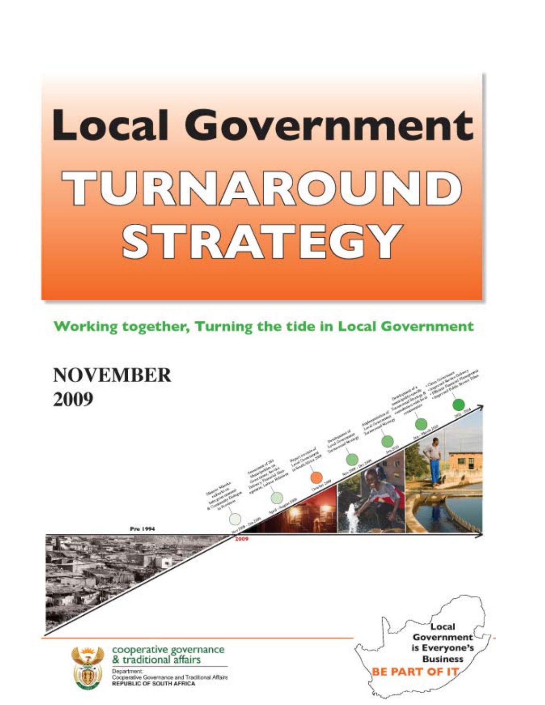# **Local Government** TURNAROUND STRATEGY

**Working together, Turning the tide in Local Government** 

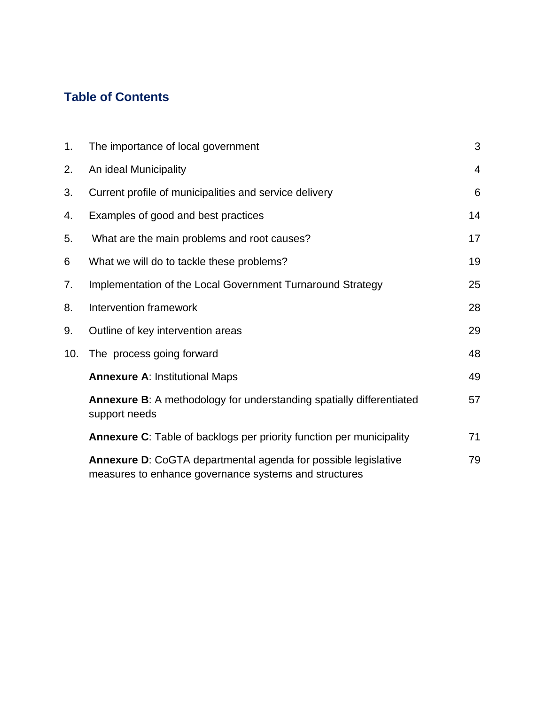# **Table of Contents**

| 1.  | The importance of local government                                                                                             | 3              |
|-----|--------------------------------------------------------------------------------------------------------------------------------|----------------|
| 2.  | An ideal Municipality                                                                                                          | $\overline{4}$ |
| 3.  | Current profile of municipalities and service delivery                                                                         | 6              |
| 4.  | Examples of good and best practices                                                                                            | 14             |
| 5.  | What are the main problems and root causes?                                                                                    | 17             |
| 6   | What we will do to tackle these problems?                                                                                      | 19             |
| 7.  | Implementation of the Local Government Turnaround Strategy                                                                     | 25             |
| 8.  | Intervention framework                                                                                                         | 28             |
| 9.  | Outline of key intervention areas                                                                                              | 29             |
| 10. | The process going forward                                                                                                      | 48             |
|     | <b>Annexure A: Institutional Maps</b>                                                                                          | 49             |
|     | Annexure B: A methodology for understanding spatially differentiated<br>support needs                                          | 57             |
|     | <b>Annexure C:</b> Table of backlogs per priority function per municipality                                                    | 71             |
|     | <b>Annexure D:</b> CoGTA departmental agenda for possible legislative<br>measures to enhance governance systems and structures | 79             |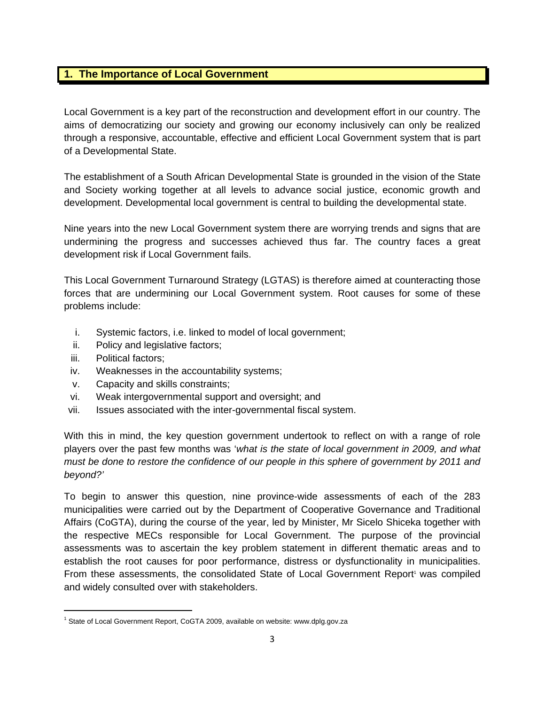# **1. The Importance of Local Government**

Local Government is a key part of the reconstruction and development effort in our country. The aims of democratizing our society and growing our economy inclusively can only be realized through a responsive, accountable, effective and efficient Local Government system that is part of a Developmental State.

The establishment of a South African Developmental State is grounded in the vision of the State and Society working together at all levels to advance social justice, economic growth and development. Developmental local government is central to building the developmental state.

Nine years into the new Local Government system there are worrying trends and signs that are undermining the progress and successes achieved thus far. The country faces a great development risk if Local Government fails.

This Local Government Turnaround Strategy (LGTAS) is therefore aimed at counteracting those forces that are undermining our Local Government system. Root causes for some of these problems include:

- i. Systemic factors, i.e. linked to model of local government;
- ii. Policy and legislative factors;
- iii. Political factors;

- iv. Weaknesses in the accountability systems;
- v. Capacity and skills constraints;
- vi. Weak intergovernmental support and oversight; and
- vii. Issues associated with the inter-governmental fiscal system.

With this in mind, the key question government undertook to reflect on with a range of role players over the past few months was '*what is the state of local government in 2009, and what must be done to restore the confidence of our people in this sphere of government by 2011 and beyond?'* 

To begin to answer this question, nine province-wide assessments of each of the 283 municipalities were carried out by the Department of Cooperative Governance and Traditional Affairs (CoGTA), during the course of the year, led by Minister, Mr Sicelo Shiceka together with the respective MECs responsible for Local Government. The purpose of the provincial assessments was to ascertain the key problem statement in different thematic areas and to establish the root causes for poor performance, distress or dysfunctionality in municipalities. From these assessments, the consolidated State of Local Government Report<sup>1</sup> was compiled and widely consulted over with stakeholders.

<sup>&</sup>lt;sup>1</sup> State of Local Government Report, CoGTA 2009, available on website: www.dplg.gov.za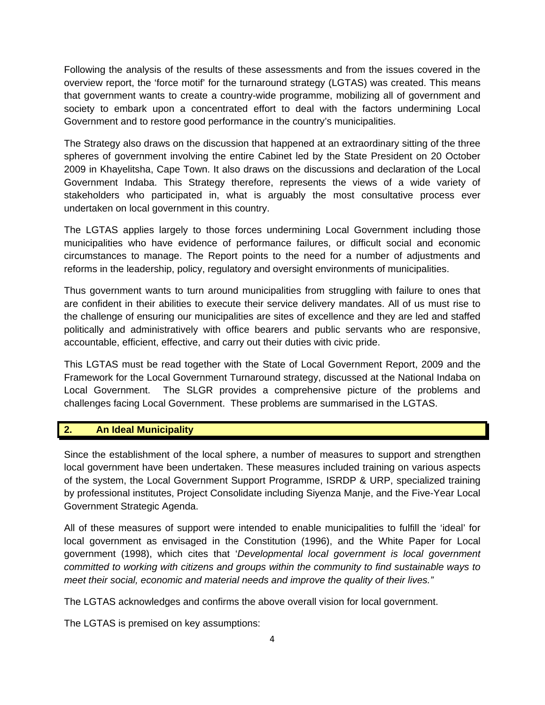Following the analysis of the results of these assessments and from the issues covered in the overview report, the 'force motif' for the turnaround strategy (LGTAS) was created. This means that government wants to create a country-wide programme, mobilizing all of government and society to embark upon a concentrated effort to deal with the factors undermining Local Government and to restore good performance in the country's municipalities.

The Strategy also draws on the discussion that happened at an extraordinary sitting of the three spheres of government involving the entire Cabinet led by the State President on 20 October 2009 in Khayelitsha, Cape Town. It also draws on the discussions and declaration of the Local Government Indaba. This Strategy therefore, represents the views of a wide variety of stakeholders who participated in, what is arguably the most consultative process ever undertaken on local government in this country.

The LGTAS applies largely to those forces undermining Local Government including those municipalities who have evidence of performance failures, or difficult social and economic circumstances to manage. The Report points to the need for a number of adjustments and reforms in the leadership, policy, regulatory and oversight environments of municipalities.

Thus government wants to turn around municipalities from struggling with failure to ones that are confident in their abilities to execute their service delivery mandates. All of us must rise to the challenge of ensuring our municipalities are sites of excellence and they are led and staffed politically and administratively with office bearers and public servants who are responsive, accountable, efficient, effective, and carry out their duties with civic pride.

This LGTAS must be read together with the State of Local Government Report, 2009 and the Framework for the Local Government Turnaround strategy, discussed at the National Indaba on Local Government. The SLGR provides a comprehensive picture of the problems and challenges facing Local Government. These problems are summarised in the LGTAS.

#### **2. An Ideal Municipality**

Since the establishment of the local sphere, a number of measures to support and strengthen local government have been undertaken. These measures included training on various aspects of the system, the Local Government Support Programme, ISRDP & URP, specialized training by professional institutes, Project Consolidate including Siyenza Manje, and the Five-Year Local Government Strategic Agenda.

All of these measures of support were intended to enable municipalities to fulfill the 'ideal' for local government as envisaged in the Constitution (1996), and the White Paper for Local government (1998), which cites that '*Developmental local government is local government committed to working with citizens and groups within the community to find sustainable ways to meet their social, economic and material needs and improve the quality of their lives."* 

The LGTAS acknowledges and confirms the above overall vision for local government.

The LGTAS is premised on key assumptions: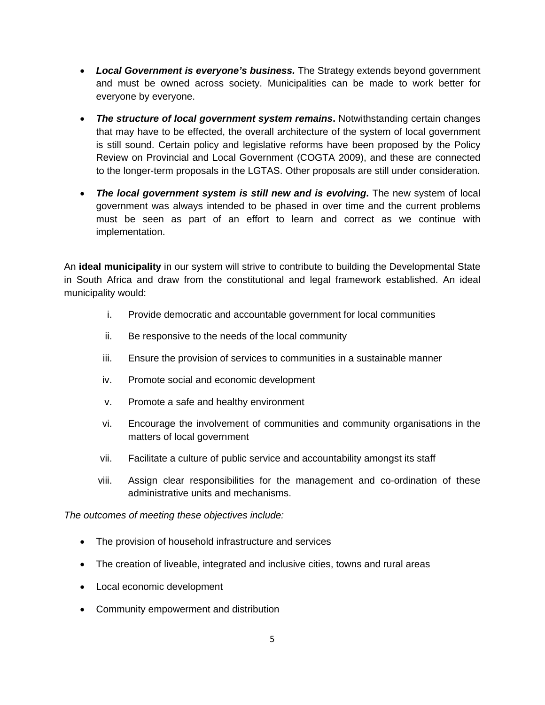- *Local Government is everyone's business.* The Strategy extends beyond government and must be owned across society. Municipalities can be made to work better for everyone by everyone.
- *The structure of local government system remains***.** Notwithstanding certain changes that may have to be effected, the overall architecture of the system of local government is still sound. Certain policy and legislative reforms have been proposed by the Policy Review on Provincial and Local Government (COGTA 2009), and these are connected to the longer-term proposals in the LGTAS. Other proposals are still under consideration.
- *The local government system is still new and is evolving***.** The new system of local government was always intended to be phased in over time and the current problems must be seen as part of an effort to learn and correct as we continue with implementation.

An **ideal municipality** in our system will strive to contribute to building the Developmental State in South Africa and draw from the constitutional and legal framework established. An ideal municipality would:

- i. Provide democratic and accountable government for local communities
- ii. Be responsive to the needs of the local community
- iii. Ensure the provision of services to communities in a sustainable manner
- iv. Promote social and economic development
- v. Promote a safe and healthy environment
- vi. Encourage the involvement of communities and community organisations in the matters of local government
- vii. Facilitate a culture of public service and accountability amongst its staff
- viii. Assign clear responsibilities for the management and co-ordination of these administrative units and mechanisms.

*The outcomes of meeting these objectives include:* 

- The provision of household infrastructure and services
- The creation of liveable, integrated and inclusive cities, towns and rural areas
- Local economic development
- Community empowerment and distribution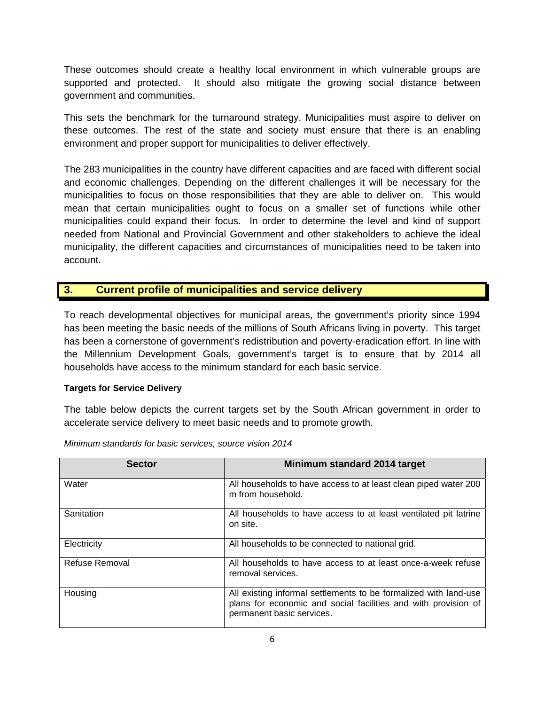These outcomes should create a healthy local environment in which vulnerable groups are supported and protected. It should also mitigate the growing social distance between government and communities.

This sets the benchmark for the turnaround strategy. Municipalities must aspire to deliver on these outcomes. The rest of the state and society must ensure that there is an enabling environment and proper support for municipalities to deliver effectively.

The 283 municipalities in the country have different capacities and are faced with different social and economic challenges. Depending on the different challenges it will be necessary for the municipalities to focus on those responsibilities that they are able to deliver on. This would mean that certain municipalities ought to focus on a smaller set of functions while other municipalities could expand their focus. In order to determine the level and kind of support needed from National and Provincial Government and other stakeholders to achieve the ideal municipality, the different capacities and circumstances of municipalities need to be taken into account.

# **3. Current profile of municipalities and service delivery**

To reach developmental objectives for municipal areas, the government's priority since 1994 has been meeting the basic needs of the millions of South Africans living in poverty. This target has been a cornerstone of government's redistribution and poverty-eradication effort. In line with the Millennium Development Goals, government's target is to ensure that by 2014 all households have access to the minimum standard for each basic service.

#### **Targets for Service Delivery**

The table below depicts the current targets set by the South African government in order to accelerate service delivery to meet basic needs and to promote growth.

| <b>Sector</b>  | Minimum standard 2014 target                                                                                                                                    |
|----------------|-----------------------------------------------------------------------------------------------------------------------------------------------------------------|
| Water          | All households to have access to at least clean piped water 200<br>m from household.                                                                            |
| Sanitation     | All households to have access to at least ventilated pit latrine<br>on site.                                                                                    |
| Electricity    | All households to be connected to national grid.                                                                                                                |
| Refuse Removal | All households to have access to at least once-a-week refuse<br>removal services.                                                                               |
| Housing        | All existing informal settlements to be formalized with land-use<br>plans for economic and social facilities and with provision of<br>permanent basic services. |

*Minimum standards for basic services, source vision 2014*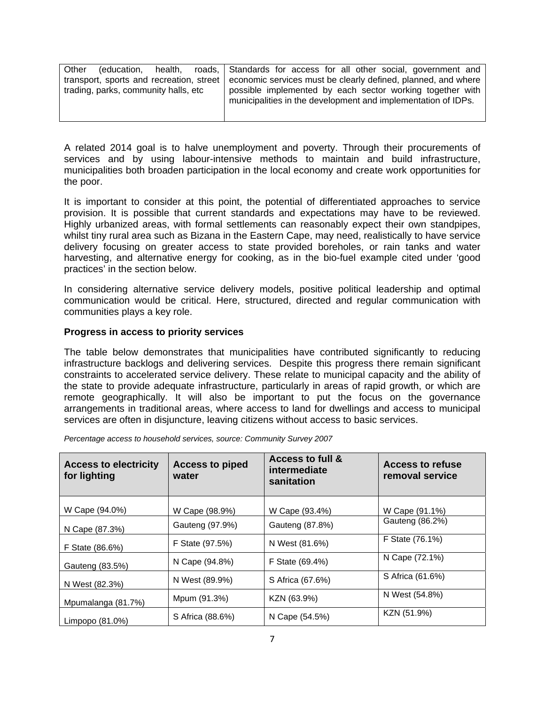| Other | education.                               |  | health, roads, Standards for access for all other social, government and                                                   |
|-------|------------------------------------------|--|----------------------------------------------------------------------------------------------------------------------------|
|       | transport, sports and recreation, street |  | economic services must be clearly defined, planned, and where                                                              |
|       | trading, parks, community halls, etc     |  | possible implemented by each sector working together with<br>municipalities in the development and implementation of IDPs. |
|       |                                          |  |                                                                                                                            |

A related 2014 goal is to halve unemployment and poverty. Through their procurements of services and by using labour-intensive methods to maintain and build infrastructure, municipalities both broaden participation in the local economy and create work opportunities for the poor.

It is important to consider at this point, the potential of differentiated approaches to service provision. It is possible that current standards and expectations may have to be reviewed. Highly urbanized areas, with formal settlements can reasonably expect their own standpipes, whilst tiny rural area such as Bizana in the Eastern Cape, may need, realistically to have service delivery focusing on greater access to state provided boreholes, or rain tanks and water harvesting, and alternative energy for cooking, as in the bio-fuel example cited under 'good practices' in the section below.

In considering alternative service delivery models, positive political leadership and optimal communication would be critical. Here, structured, directed and regular communication with communities plays a key role.

#### **Progress in access to priority services**

The table below demonstrates that municipalities have contributed significantly to reducing infrastructure backlogs and delivering services. Despite this progress there remain significant constraints to accelerated service delivery. These relate to municipal capacity and the ability of the state to provide adequate infrastructure, particularly in areas of rapid growth, or which are remote geographically. It will also be important to put the focus on the governance arrangements in traditional areas, where access to land for dwellings and access to municipal services are often in disjuncture, leaving citizens without access to basic services.

| <b>Access to electricity</b><br>for lighting | <b>Access to piped</b><br>water | <b>Access to full &amp;</b><br>intermediate<br>sanitation | <b>Access to refuse</b><br>removal service |
|----------------------------------------------|---------------------------------|-----------------------------------------------------------|--------------------------------------------|
| W Cape (94.0%)                               | W Cape (98.9%)                  | W Cape (93.4%)                                            | W Cape (91.1%)                             |
| N Cape (87.3%)                               | Gauteng (97.9%)                 | Gauteng (87.8%)                                           | Gauteng (86.2%)                            |
| F State (86.6%)                              | F State (97.5%)                 | N West (81.6%)                                            | F State (76.1%)                            |
| Gauteng (83.5%)                              | N Cape (94.8%)                  | F State (69.4%)                                           | N Cape (72.1%)                             |
| N West (82.3%)                               | N West (89.9%)                  | S Africa (67.6%)                                          | S Africa (61.6%)                           |
| Mpumalanga (81.7%)                           | Mpum (91.3%)                    | KZN (63.9%)                                               | N West (54.8%)                             |
| Limpopo (81.0%)                              | S Africa (88.6%)                | N Cape (54.5%)                                            | KZN (51.9%)                                |

*Percentage access to household services, source: Community Survey 2007*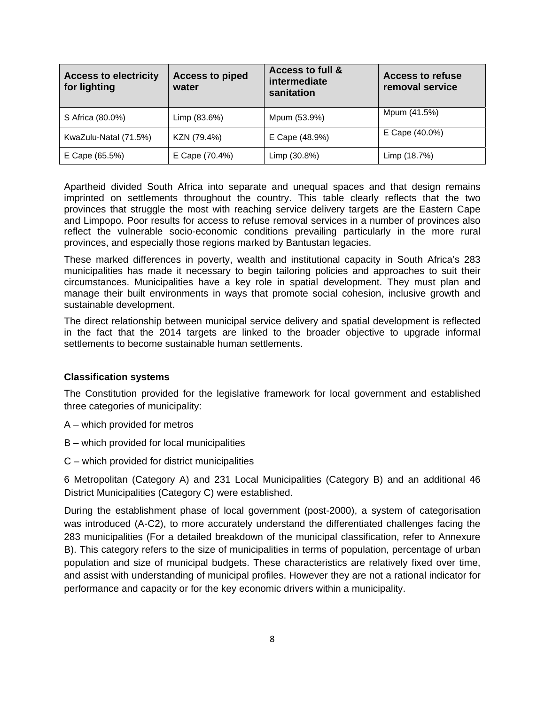| <b>Access to electricity</b><br>for lighting | <b>Access to piped</b><br>water | <b>Access to full &amp;</b><br>intermediate<br>sanitation | <b>Access to refuse</b><br>removal service |
|----------------------------------------------|---------------------------------|-----------------------------------------------------------|--------------------------------------------|
| S Africa (80.0%)                             | Limp (83.6%)                    | Mpum (53.9%)                                              | Mpum (41.5%)                               |
| KwaZulu-Natal (71.5%)                        | KZN (79.4%)                     | E Cape (48.9%)                                            | E Cape (40.0%)                             |
| E Cape (65.5%)                               | E Cape (70.4%)                  | Limp (30.8%)                                              | Limp (18.7%)                               |

Apartheid divided South Africa into separate and unequal spaces and that design remains imprinted on settlements throughout the country. This table clearly reflects that the two provinces that struggle the most with reaching service delivery targets are the Eastern Cape and Limpopo. Poor results for access to refuse removal services in a number of provinces also reflect the vulnerable socio-economic conditions prevailing particularly in the more rural provinces, and especially those regions marked by Bantustan legacies.

These marked differences in poverty, wealth and institutional capacity in South Africa's 283 municipalities has made it necessary to begin tailoring policies and approaches to suit their circumstances. Municipalities have a key role in spatial development. They must plan and manage their built environments in ways that promote social cohesion, inclusive growth and sustainable development.

The direct relationship between municipal service delivery and spatial development is reflected in the fact that the 2014 targets are linked to the broader objective to upgrade informal settlements to become sustainable human settlements.

#### **Classification systems**

The Constitution provided for the legislative framework for local government and established three categories of municipality:

- A which provided for metros
- B which provided for local municipalities
- C which provided for district municipalities

6 Metropolitan (Category A) and 231 Local Municipalities (Category B) and an additional 46 District Municipalities (Category C) were established.

During the establishment phase of local government (post-2000), a system of categorisation was introduced (A-C2), to more accurately understand the differentiated challenges facing the 283 municipalities (For a detailed breakdown of the municipal classification, refer to Annexure B). This category refers to the size of municipalities in terms of population, percentage of urban population and size of municipal budgets. These characteristics are relatively fixed over time, and assist with understanding of municipal profiles. However they are not a rational indicator for performance and capacity or for the key economic drivers within a municipality.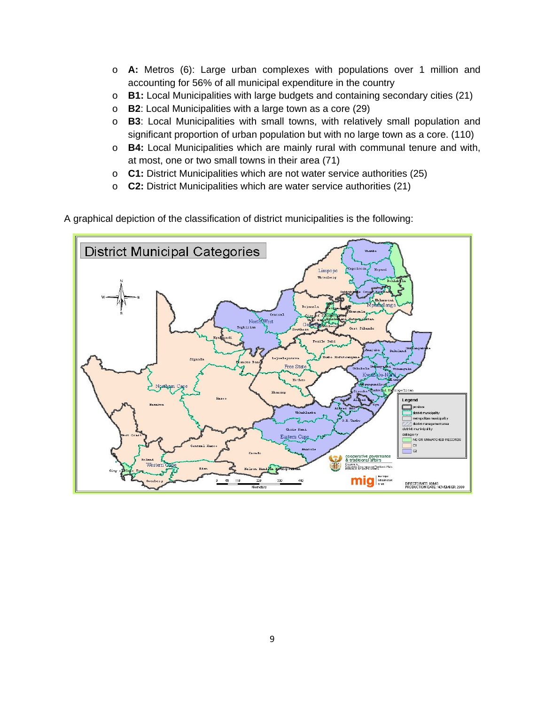- o **A:** Metros (6): Large urban complexes with populations over 1 million and accounting for 56% of all municipal expenditure in the country
- o **B1:** Local Municipalities with large budgets and containing secondary cities (21)
- o **B2**: Local Municipalities with a large town as a core (29)
- o **B3**: Local Municipalities with small towns, with relatively small population and significant proportion of urban population but with no large town as a core. (110)
- o **B4:** Local Municipalities which are mainly rural with communal tenure and with, at most, one or two small towns in their area (71)
- o **C1:** District Municipalities which are not water service authorities (25)
- o **C2:** District Municipalities which are water service authorities (21)
- A graphical depiction of the classification of district municipalities is the following:

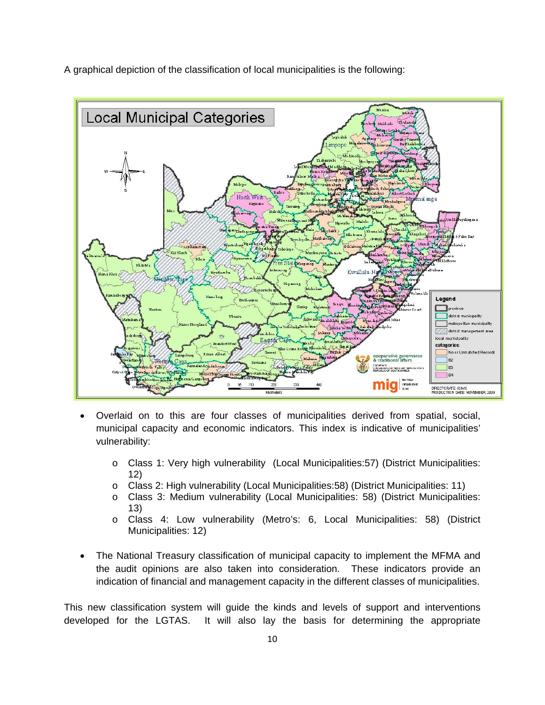A graphical depiction of the classification of local municipalities is the following:



- Overlaid on to this are four classes of municipalities derived from spatial, social, municipal capacity and economic indicators. This index is indicative of municipalities' vulnerability:
	- o Class 1: Very high vulnerability (Local Municipalities:57) (District Municipalities: 12)
	- o Class 2: High vulnerability (Local Municipalities:58) (District Municipalities: 11)
	- o Class 3: Medium vulnerability (Local Municipalities: 58) (District Municipalities: 13)
	- o Class 4: Low vulnerability (Metro's: 6, Local Municipalities: 58) (District Municipalities: 12)
- The National Treasury classification of municipal capacity to implement the MFMA and the audit opinions are also taken into consideration. These indicators provide an indication of financial and management capacity in the different classes of municipalities.

This new classification system will guide the kinds and levels of support and interventions developed for the LGTAS. It will also lay the basis for determining the appropriate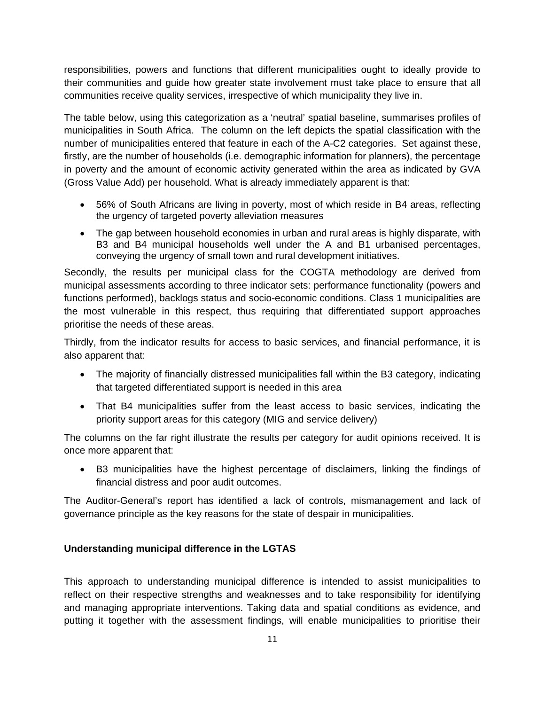responsibilities, powers and functions that different municipalities ought to ideally provide to their communities and guide how greater state involvement must take place to ensure that all communities receive quality services, irrespective of which municipality they live in.

The table below, using this categorization as a 'neutral' spatial baseline, summarises profiles of municipalities in South Africa. The column on the left depicts the spatial classification with the number of municipalities entered that feature in each of the A-C2 categories. Set against these, firstly, are the number of households (i.e. demographic information for planners), the percentage in poverty and the amount of economic activity generated within the area as indicated by GVA (Gross Value Add) per household. What is already immediately apparent is that:

- 56% of South Africans are living in poverty, most of which reside in B4 areas, reflecting the urgency of targeted poverty alleviation measures
- The gap between household economies in urban and rural areas is highly disparate, with B3 and B4 municipal households well under the A and B1 urbanised percentages, conveying the urgency of small town and rural development initiatives.

Secondly, the results per municipal class for the COGTA methodology are derived from municipal assessments according to three indicator sets: performance functionality (powers and functions performed), backlogs status and socio-economic conditions. Class 1 municipalities are the most vulnerable in this respect, thus requiring that differentiated support approaches prioritise the needs of these areas.

Thirdly, from the indicator results for access to basic services, and financial performance, it is also apparent that:

- The majority of financially distressed municipalities fall within the B3 category, indicating that targeted differentiated support is needed in this area
- That B4 municipalities suffer from the least access to basic services, indicating the priority support areas for this category (MIG and service delivery)

The columns on the far right illustrate the results per category for audit opinions received. It is once more apparent that:

• B3 municipalities have the highest percentage of disclaimers, linking the findings of financial distress and poor audit outcomes.

The Auditor-General's report has identified a lack of controls, mismanagement and lack of governance principle as the key reasons for the state of despair in municipalities.

# **Understanding municipal difference in the LGTAS**

This approach to understanding municipal difference is intended to assist municipalities to reflect on their respective strengths and weaknesses and to take responsibility for identifying and managing appropriate interventions. Taking data and spatial conditions as evidence, and putting it together with the assessment findings, will enable municipalities to prioritise their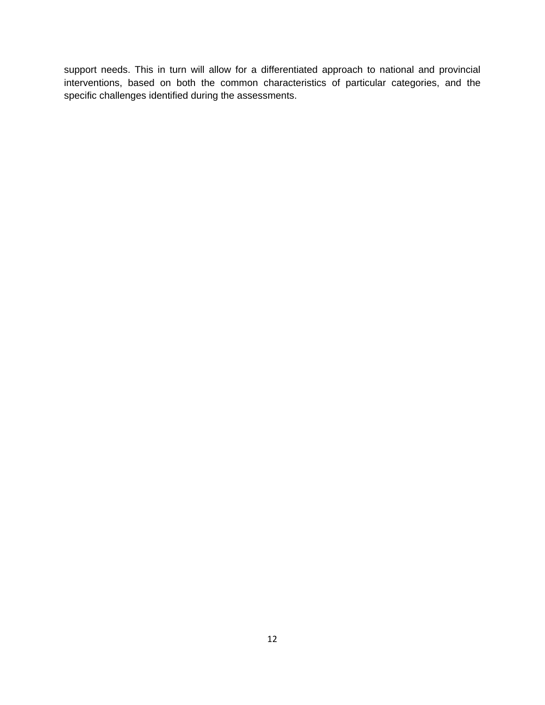support needs. This in turn will allow for a differentiated approach to national and provincial interventions, based on both the common characteristics of particular categories, and the specific challenges identified during the assessments.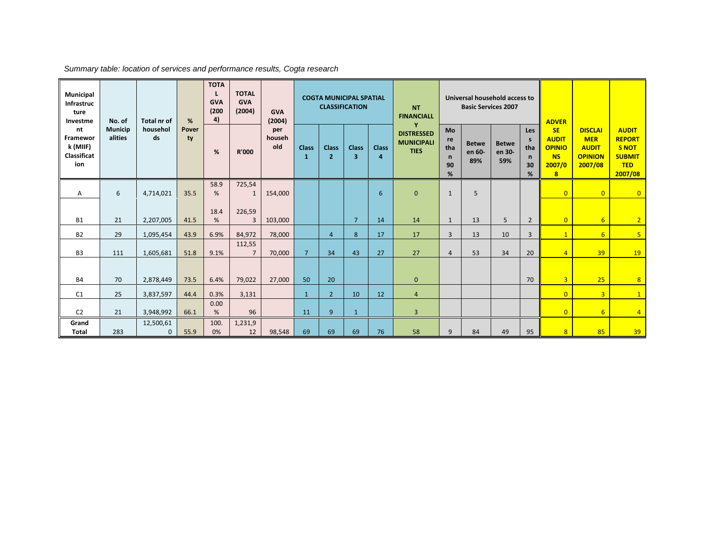| Municipal<br>Infrastruc<br>ture<br>Investme      | No. of                    | <b>Total nr of</b>        | %           | <b>TOTA</b><br><b>GVA</b><br>(200)<br>4) | <b>TOTAL</b><br><b>GVA</b><br>(2004) | <b>GVA</b><br>(2004) |                              |                                | <b>COGTA MUNICIPAL SPATIAL</b><br><b>CLASSIFICATION</b> |                                | <b>NT</b><br><b>FINANCIALL</b>                             |                                                   | Universal household access to<br><b>Basic Services 2007</b> |                               |                                                                 | <b>ADVER</b>                                                                                 |                                                                           |                                                                                         |
|--------------------------------------------------|---------------------------|---------------------------|-------------|------------------------------------------|--------------------------------------|----------------------|------------------------------|--------------------------------|---------------------------------------------------------|--------------------------------|------------------------------------------------------------|---------------------------------------------------|-------------------------------------------------------------|-------------------------------|-----------------------------------------------------------------|----------------------------------------------------------------------------------------------|---------------------------------------------------------------------------|-----------------------------------------------------------------------------------------|
| nt<br>Framewor<br>k (MIIF)<br>Classificat<br>ion | <b>Municip</b><br>alities | househol<br>ds            | Pover<br>ty | %                                        | <b>R'000</b>                         | per<br>househ<br>old | <b>Class</b><br>$\mathbf{1}$ | <b>Class</b><br>$\overline{2}$ | <b>Class</b><br>3                                       | <b>Class</b><br>$\overline{a}$ | v<br><b>DISTRESSED</b><br><b>MUNICIPALI</b><br><b>TIES</b> | <b>Mo</b><br>re<br>tha<br>$\mathsf{n}$<br>90<br>% | <b>Betwe</b><br>en 60-<br>89%                               | <b>Betwe</b><br>en 30-<br>59% | <b>Les</b><br>$\mathsf{s}$<br>tha<br>$\mathsf{n}$<br>30<br>$\%$ | <b>SE</b><br><b>AUDIT</b><br><b>OPINIO</b><br><b>NS</b><br>2007/0<br>$\overline{\mathbf{8}}$ | <b>DISCLAI</b><br><b>MER</b><br><b>AUDIT</b><br><b>OPINION</b><br>2007/08 | <b>AUDIT</b><br><b>REPORT</b><br><b>S NOT</b><br><b>SUBMIT</b><br><b>TED</b><br>2007/08 |
| Α                                                | 6                         | 4,714,021                 | 35.5        | 58.9<br>%                                | 725,54                               | 154,000              |                              |                                |                                                         | 6                              | $\mathbf{0}$                                               | $\mathbf{1}$                                      | 5                                                           |                               |                                                                 | $\overline{0}$                                                                               | $\overline{0}$                                                            | $\overline{0}$                                                                          |
| <b>B1</b>                                        | 21                        | 2,207,005                 | 41.5        | 18.4<br>$\%$                             | 226,59<br>3                          | 103,000              |                              |                                | $\overline{7}$                                          | 14                             | 14                                                         | $\mathbf{1}$                                      | 13                                                          | 5                             | $\overline{2}$                                                  | $\Omega$                                                                                     | $6\overline{6}$                                                           | 2 <sup>2</sup>                                                                          |
| <b>B2</b>                                        | 29                        | 1,095,454                 | 43.9        | 6.9%                                     | 84.972                               | 78,000               |                              | $\overline{4}$                 | 8                                                       | 17                             | 17                                                         | $\overline{3}$                                    | 13                                                          | 10                            | 3                                                               | $\mathbf{1}$                                                                                 | 6                                                                         | 5 <sup>1</sup>                                                                          |
| B <sub>3</sub>                                   | 111                       | 1,605,681                 | 51.8        | 9.1%                                     | 112,55<br>$\overline{7}$             | 70,000               | $\overline{7}$               | 34                             | 43                                                      | 27                             | 27                                                         | 4                                                 | 53                                                          | 34                            | 20                                                              | $\overline{4}$                                                                               | 39                                                                        | 19                                                                                      |
| <b>B4</b>                                        | 70                        | 2,878,449                 | 73.5        | 6.4%                                     | 79,022                               | 27,000               | 50                           | 20                             |                                                         |                                | $\mathbf{0}$                                               |                                                   |                                                             |                               | 70                                                              | $\overline{3}$                                                                               | 25                                                                        | 8                                                                                       |
| C1                                               | 25                        | 3,837,597                 | 44.4        | 0.3%                                     | 3,131                                |                      | $\mathbf{1}$                 | $\overline{2}$                 | 10                                                      | 12                             | $\overline{4}$                                             |                                                   |                                                             |                               |                                                                 | $\overline{0}$                                                                               | $\overline{3}$                                                            | $\mathbf{1}$                                                                            |
| C <sub>2</sub>                                   | 21                        | 3,948,992                 | 66.1        | 0.00<br>%                                | 96                                   |                      | 11                           | 9                              | $\mathbf{1}$                                            |                                | $\overline{3}$                                             |                                                   |                                                             |                               |                                                                 | $\overline{0}$                                                                               | $6 \overline{6}$                                                          | $\overline{4}$                                                                          |
| Grand<br><b>Total</b>                            | 283                       | 12,500,61<br>$\mathbf{0}$ | 55.9        | 100<br>0%                                | 1,231,9<br>12                        | 98,548               | 69                           | 69                             | 69                                                      | 76                             | 58                                                         | 9                                                 | 84                                                          | 49                            | 95                                                              | $\overline{8}$                                                                               | 85                                                                        | 39                                                                                      |

*Summary table: location of services and performance results, Cogta research*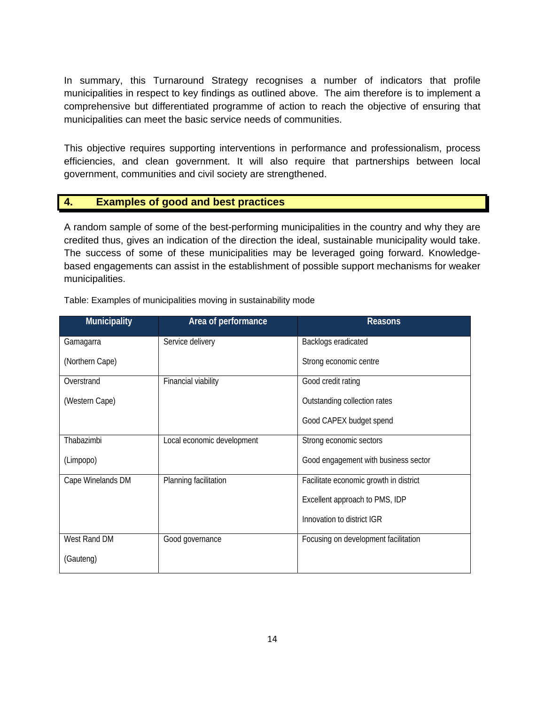In summary, this Turnaround Strategy recognises a number of indicators that profile municipalities in respect to key findings as outlined above. The aim therefore is to implement a comprehensive but differentiated programme of action to reach the objective of ensuring that municipalities can meet the basic service needs of communities.

This objective requires supporting interventions in performance and professionalism, process efficiencies, and clean government. It will also require that partnerships between local government, communities and civil society are strengthened.

# **4. Examples of good and best practices**

A random sample of some of the best-performing municipalities in the country and why they are credited thus, gives an indication of the direction the ideal, sustainable municipality would take. The success of some of these municipalities may be leveraged going forward. Knowledgebased engagements can assist in the establishment of possible support mechanisms for weaker municipalities.

| <b>Municipality</b> | Area of performance        | <b>Reasons</b>                         |
|---------------------|----------------------------|----------------------------------------|
| Gamagarra           | Service delivery           | Backlogs eradicated                    |
| (Northern Cape)     |                            | Strong economic centre                 |
| Overstrand          | Financial viability        | Good credit rating                     |
| (Western Cape)      |                            | Outstanding collection rates           |
|                     |                            | Good CAPEX budget spend                |
| Thabazimbi          | Local economic development | Strong economic sectors                |
| (Limpopo)           |                            | Good engagement with business sector   |
| Cape Winelands DM   | Planning facilitation      | Facilitate economic growth in district |
|                     |                            | Excellent approach to PMS, IDP         |
|                     |                            | Innovation to district IGR             |
| West Rand DM        | Good governance            | Focusing on development facilitation   |
| (Gauteng)           |                            |                                        |

Table: Examples of municipalities moving in sustainability mode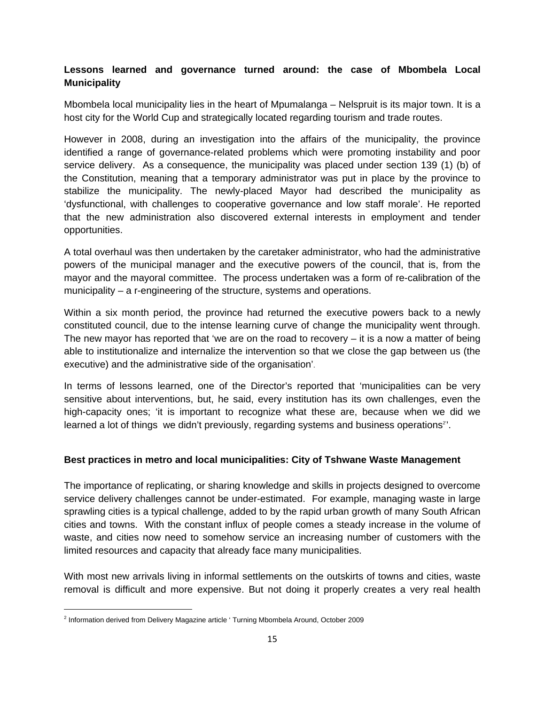# **Lessons learned and governance turned around: the case of Mbombela Local Municipality**

Mbombela local municipality lies in the heart of Mpumalanga – Nelspruit is its major town. It is a host city for the World Cup and strategically located regarding tourism and trade routes.

However in 2008, during an investigation into the affairs of the municipality, the province identified a range of governance-related problems which were promoting instability and poor service delivery. As a consequence, the municipality was placed under section 139 (1) (b) of the Constitution, meaning that a temporary administrator was put in place by the province to stabilize the municipality. The newly-placed Mayor had described the municipality as 'dysfunctional, with challenges to cooperative governance and low staff morale'. He reported that the new administration also discovered external interests in employment and tender opportunities.

A total overhaul was then undertaken by the caretaker administrator, who had the administrative powers of the municipal manager and the executive powers of the council, that is, from the mayor and the mayoral committee. The process undertaken was a form of re-calibration of the municipality – a r-engineering of the structure, systems and operations.

Within a six month period, the province had returned the executive powers back to a newly constituted council, due to the intense learning curve of change the municipality went through. The new mayor has reported that 'we are on the road to recovery  $-$  it is a now a matter of being able to institutionalize and internalize the intervention so that we close the gap between us (the executive) and the administrative side of the organisation'.

In terms of lessons learned, one of the Director's reported that 'municipalities can be very sensitive about interventions, but, he said, every institution has its own challenges, even the high-capacity ones; 'it is important to recognize what these are, because when we did we learned a lot of things we didn't previously, regarding systems and business operations<sup>2</sup>'.

#### **Best practices in metro and local municipalities: City of Tshwane Waste Management**

The importance of replicating, or sharing knowledge and skills in projects designed to overcome service delivery challenges cannot be under-estimated. For example, managing waste in large sprawling cities is a typical challenge, added to by the rapid urban growth of many South African cities and towns. With the constant influx of people comes a steady increase in the volume of waste, and cities now need to somehow service an increasing number of customers with the limited resources and capacity that already face many municipalities.

With most new arrivals living in informal settlements on the outskirts of towns and cities, waste removal is difficult and more expensive. But not doing it properly creates a very real health

<sup>&</sup>lt;sup>2</sup> Information derived from Delivery Magazine article ' Turning Mbombela Around, October 2009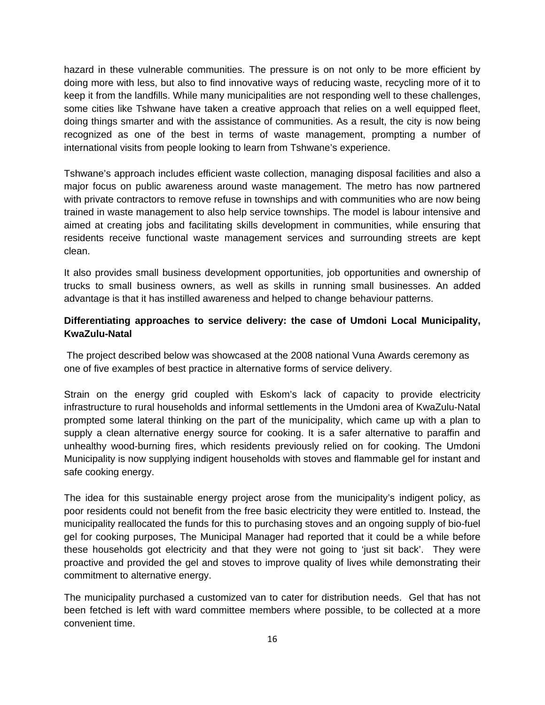hazard in these vulnerable communities. The pressure is on not only to be more efficient by doing more with less, but also to find innovative ways of reducing waste, recycling more of it to keep it from the landfills. While many municipalities are not responding well to these challenges, some cities like Tshwane have taken a creative approach that relies on a well equipped fleet, doing things smarter and with the assistance of communities. As a result, the city is now being recognized as one of the best in terms of waste management, prompting a number of international visits from people looking to learn from Tshwane's experience.

Tshwane's approach includes efficient waste collection, managing disposal facilities and also a major focus on public awareness around waste management. The metro has now partnered with private contractors to remove refuse in townships and with communities who are now being trained in waste management to also help service townships. The model is labour intensive and aimed at creating jobs and facilitating skills development in communities, while ensuring that residents receive functional waste management services and surrounding streets are kept clean.

It also provides small business development opportunities, job opportunities and ownership of trucks to small business owners, as well as skills in running small businesses. An added advantage is that it has instilled awareness and helped to change behaviour patterns.

#### **Differentiating approaches to service delivery: the case of Umdoni Local Municipality, KwaZulu-Natal**

The project described below was showcased at the 2008 national Vuna Awards ceremony as one of five examples of best practice in alternative forms of service delivery.

Strain on the energy grid coupled with Eskom's lack of capacity to provide electricity infrastructure to rural households and informal settlements in the Umdoni area of KwaZulu-Natal prompted some lateral thinking on the part of the municipality, which came up with a plan to supply a clean alternative energy source for cooking. It is a safer alternative to paraffin and unhealthy wood-burning fires, which residents previously relied on for cooking. The Umdoni Municipality is now supplying indigent households with stoves and flammable gel for instant and safe cooking energy.

The idea for this sustainable energy project arose from the municipality's indigent policy, as poor residents could not benefit from the free basic electricity they were entitled to. Instead, the municipality reallocated the funds for this to purchasing stoves and an ongoing supply of bio-fuel gel for cooking purposes, The Municipal Manager had reported that it could be a while before these households got electricity and that they were not going to 'just sit back'. They were proactive and provided the gel and stoves to improve quality of lives while demonstrating their commitment to alternative energy.

The municipality purchased a customized van to cater for distribution needs. Gel that has not been fetched is left with ward committee members where possible, to be collected at a more convenient time.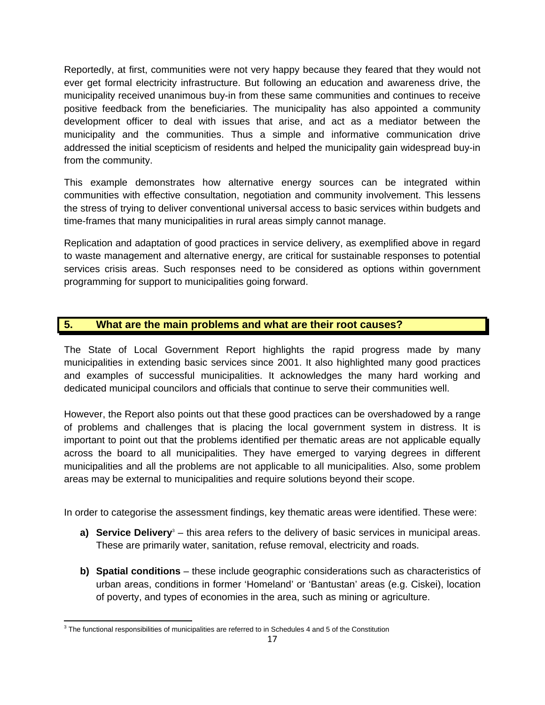Reportedly, at first, communities were not very happy because they feared that they would not ever get formal electricity infrastructure. But following an education and awareness drive, the municipality received unanimous buy-in from these same communities and continues to receive positive feedback from the beneficiaries. The municipality has also appointed a community development officer to deal with issues that arise, and act as a mediator between the municipality and the communities. Thus a simple and informative communication drive addressed the initial scepticism of residents and helped the municipality gain widespread buy-in from the community.

This example demonstrates how alternative energy sources can be integrated within communities with effective consultation, negotiation and community involvement. This lessens the stress of trying to deliver conventional universal access to basic services within budgets and time-frames that many municipalities in rural areas simply cannot manage.

Replication and adaptation of good practices in service delivery, as exemplified above in regard to waste management and alternative energy, are critical for sustainable responses to potential services crisis areas. Such responses need to be considered as options within government programming for support to municipalities going forward.

# **5. What are the main problems and what are their root causes?**

The State of Local Government Report highlights the rapid progress made by many municipalities in extending basic services since 2001. It also highlighted many good practices and examples of successful municipalities. It acknowledges the many hard working and dedicated municipal councilors and officials that continue to serve their communities well.

However, the Report also points out that these good practices can be overshadowed by a range of problems and challenges that is placing the local government system in distress. It is important to point out that the problems identified per thematic areas are not applicable equally across the board to all municipalities. They have emerged to varying degrees in different municipalities and all the problems are not applicable to all municipalities. Also, some problem areas may be external to municipalities and require solutions beyond their scope.

In order to categorise the assessment findings, key thematic areas were identified. These were:

- a) Service Delivery<sup>3</sup> this area refers to the delivery of basic services in municipal areas. These are primarily water, sanitation, refuse removal, electricity and roads.
- **b) Spatial conditions** these include geographic considerations such as characteristics of urban areas, conditions in former 'Homeland' or 'Bantustan' areas (e.g. Ciskei), location of poverty, and types of economies in the area, such as mining or agriculture.

  $3$  The functional responsibilities of municipalities are referred to in Schedules 4 and 5 of the Constitution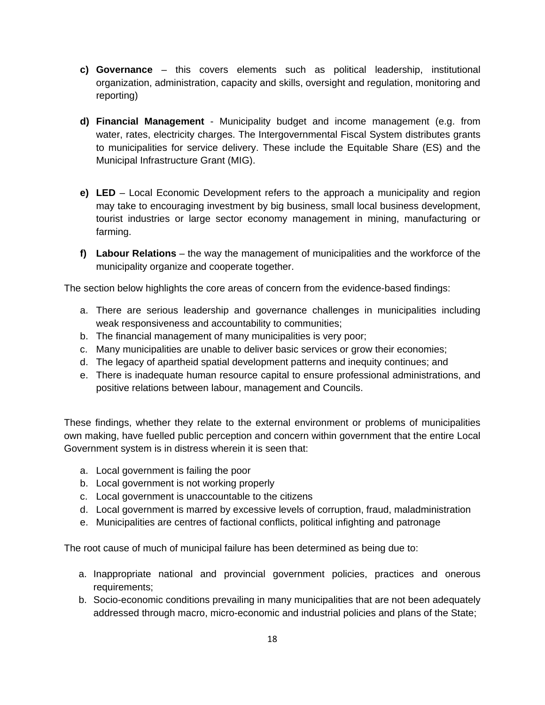- **c) Governance** this covers elements such as political leadership, institutional organization, administration, capacity and skills, oversight and regulation, monitoring and reporting)
- **d) Financial Management** Municipality budget and income management (e.g. from water, rates, electricity charges. The Intergovernmental Fiscal System distributes grants to municipalities for service delivery. These include the Equitable Share (ES) and the Municipal Infrastructure Grant (MIG).
- **e) LED**  Local Economic Development refers to the approach a municipality and region may take to encouraging investment by big business, small local business development, tourist industries or large sector economy management in mining, manufacturing or farming.
- **f) Labour Relations**  the way the management of municipalities and the workforce of the municipality organize and cooperate together.

The section below highlights the core areas of concern from the evidence-based findings:

- a. There are serious leadership and governance challenges in municipalities including weak responsiveness and accountability to communities;
- b. The financial management of many municipalities is very poor;
- c. Many municipalities are unable to deliver basic services or grow their economies;
- d. The legacy of apartheid spatial development patterns and inequity continues; and
- e. There is inadequate human resource capital to ensure professional administrations, and positive relations between labour, management and Councils.

These findings, whether they relate to the external environment or problems of municipalities own making, have fuelled public perception and concern within government that the entire Local Government system is in distress wherein it is seen that:

- a. Local government is failing the poor
- b. Local government is not working properly
- c. Local government is unaccountable to the citizens
- d. Local government is marred by excessive levels of corruption, fraud, maladministration
- e. Municipalities are centres of factional conflicts, political infighting and patronage

The root cause of much of municipal failure has been determined as being due to:

- a. Inappropriate national and provincial government policies, practices and onerous requirements;
- b. Socio-economic conditions prevailing in many municipalities that are not been adequately addressed through macro, micro-economic and industrial policies and plans of the State;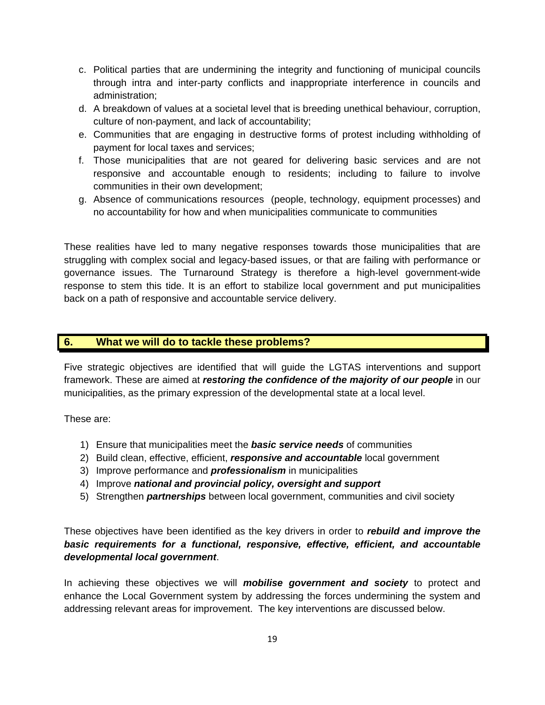- c. Political parties that are undermining the integrity and functioning of municipal councils through intra and inter-party conflicts and inappropriate interference in councils and administration;
- d. A breakdown of values at a societal level that is breeding unethical behaviour, corruption, culture of non-payment, and lack of accountability;
- e. Communities that are engaging in destructive forms of protest including withholding of payment for local taxes and services;
- f. Those municipalities that are not geared for delivering basic services and are not responsive and accountable enough to residents; including to failure to involve communities in their own development;
- g. Absence of communications resources (people, technology, equipment processes) and no accountability for how and when municipalities communicate to communities

These realities have led to many negative responses towards those municipalities that are struggling with complex social and legacy-based issues, or that are failing with performance or governance issues. The Turnaround Strategy is therefore a high-level government-wide response to stem this tide. It is an effort to stabilize local government and put municipalities back on a path of responsive and accountable service delivery.

#### **6. What we will do to tackle these problems?**

Five strategic objectives are identified that will guide the LGTAS interventions and support framework. These are aimed at *restoring the confidence of the majority of our people* in our municipalities, as the primary expression of the developmental state at a local level.

These are:

- 1) Ensure that municipalities meet the *basic service needs* of communities
- 2) Build clean, effective, efficient, *responsive and accountable* local government
- 3) Improve performance and *professionalism* in municipalities
- 4) Improve *national and provincial policy, oversight and support*
- 5) Strengthen *partnerships* between local government, communities and civil society

These objectives have been identified as the key drivers in order to *rebuild and improve the basic requirements for a functional, responsive, effective, efficient, and accountable developmental local government*.

In achieving these objectives we will *mobilise government and society* to protect and enhance the Local Government system by addressing the forces undermining the system and addressing relevant areas for improvement. The key interventions are discussed below.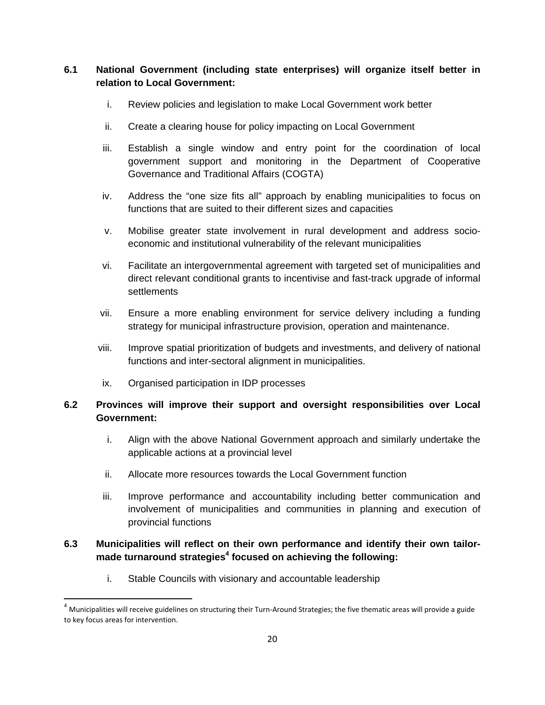# **6.1 National Government (including state enterprises) will organize itself better in relation to Local Government:**

- i. Review policies and legislation to make Local Government work better
- ii. Create a clearing house for policy impacting on Local Government
- iii. Establish a single window and entry point for the coordination of local government support and monitoring in the Department of Cooperative Governance and Traditional Affairs (COGTA)
- iv. Address the "one size fits all" approach by enabling municipalities to focus on functions that are suited to their different sizes and capacities
- v. Mobilise greater state involvement in rural development and address socioeconomic and institutional vulnerability of the relevant municipalities
- vi. Facilitate an intergovernmental agreement with targeted set of municipalities and direct relevant conditional grants to incentivise and fast-track upgrade of informal settlements
- vii. Ensure a more enabling environment for service delivery including a funding strategy for municipal infrastructure provision, operation and maintenance.
- viii. Improve spatial prioritization of budgets and investments, and delivery of national functions and inter-sectoral alignment in municipalities.
- ix. Organised participation in IDP processes

# **6.2 Provinces will improve their support and oversight responsibilities over Local Government:**

- i. Align with the above National Government approach and similarly undertake the applicable actions at a provincial level
- ii. Allocate more resources towards the Local Government function
- iii. Improve performance and accountability including better communication and involvement of municipalities and communities in planning and execution of provincial functions

# **6.3 Municipalities will reflect on their own performance and identify their own tailormade turnaround strategies<sup>4</sup> focused on achieving the following:**

i. Stable Councils with visionary and accountable leadership

 $^4$  Municipalities will receive guidelines on structuring their Turn-Around Strategies; the five thematic areas will provide a guide to key focus areas for intervention.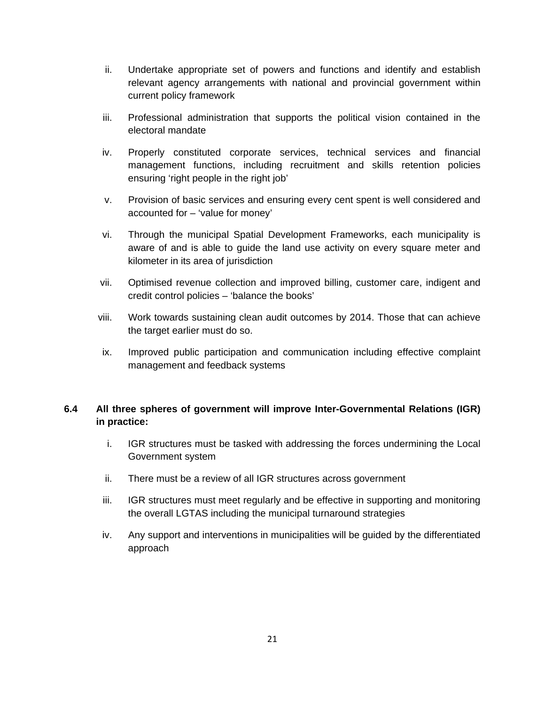- ii. Undertake appropriate set of powers and functions and identify and establish relevant agency arrangements with national and provincial government within current policy framework
- iii. Professional administration that supports the political vision contained in the electoral mandate
- iv. Properly constituted corporate services, technical services and financial management functions, including recruitment and skills retention policies ensuring 'right people in the right job'
- v. Provision of basic services and ensuring every cent spent is well considered and accounted for – 'value for money'
- vi. Through the municipal Spatial Development Frameworks, each municipality is aware of and is able to guide the land use activity on every square meter and kilometer in its area of jurisdiction
- vii. Optimised revenue collection and improved billing, customer care, indigent and credit control policies – 'balance the books'
- viii. Work towards sustaining clean audit outcomes by 2014. Those that can achieve the target earlier must do so.
- ix. Improved public participation and communication including effective complaint management and feedback systems

# **6.4 All three spheres of government will improve Inter-Governmental Relations (IGR) in practice:**

- i. IGR structures must be tasked with addressing the forces undermining the Local Government system
- ii. There must be a review of all IGR structures across government
- iii. IGR structures must meet regularly and be effective in supporting and monitoring the overall LGTAS including the municipal turnaround strategies
- iv. Any support and interventions in municipalities will be guided by the differentiated approach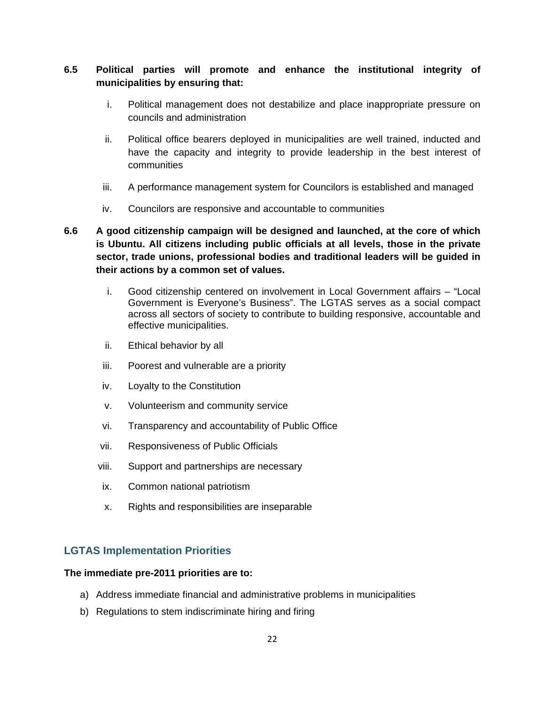# **6.5 Political parties will promote and enhance the institutional integrity of municipalities by ensuring that:**

- i. Political management does not destabilize and place inappropriate pressure on councils and administration
- ii. Political office bearers deployed in municipalities are well trained, inducted and have the capacity and integrity to provide leadership in the best interest of communities
- iii. A performance management system for Councilors is established and managed
- iv. Councilors are responsive and accountable to communities

# **6.6 A good citizenship campaign will be designed and launched, at the core of which is Ubuntu. All citizens including public officials at all levels, those in the private sector, trade unions, professional bodies and traditional leaders will be guided in their actions by a common set of values.**

- i. Good citizenship centered on involvement in Local Government affairs "Local Government is Everyone's Business". The LGTAS serves as a social compact across all sectors of society to contribute to building responsive, accountable and effective municipalities.
- ii. Ethical behavior by all
- iii. Poorest and vulnerable are a priority
- iv. Loyalty to the Constitution
- v. Volunteerism and community service
- vi. Transparency and accountability of Public Office
- vii. Responsiveness of Public Officials
- viii. Support and partnerships are necessary
- ix. Common national patriotism
- x. Rights and responsibilities are inseparable

#### **LGTAS Implementation Priorities**

#### **The immediate pre-2011 priorities are to:**

- a) Address immediate financial and administrative problems in municipalities
- b) Regulations to stem indiscriminate hiring and firing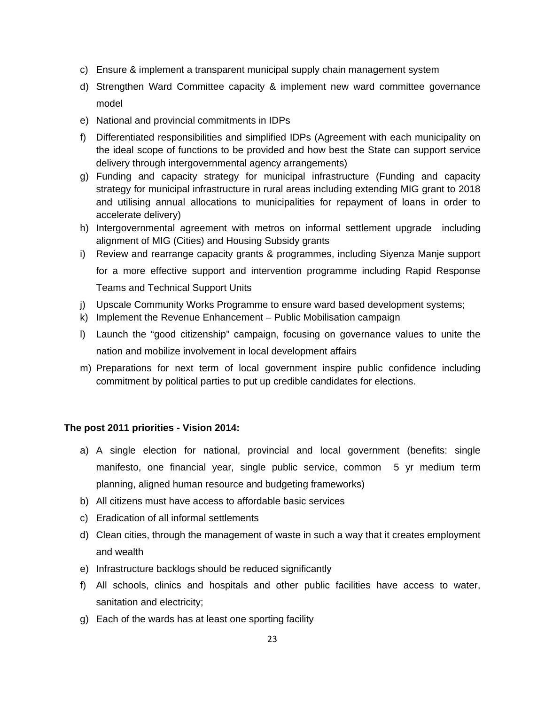- c) Ensure & implement a transparent municipal supply chain management system
- d) Strengthen Ward Committee capacity & implement new ward committee governance model
- e) National and provincial commitments in IDPs
- f) Differentiated responsibilities and simplified IDPs (Agreement with each municipality on the ideal scope of functions to be provided and how best the State can support service delivery through intergovernmental agency arrangements)
- g) Funding and capacity strategy for municipal infrastructure (Funding and capacity strategy for municipal infrastructure in rural areas including extending MIG grant to 2018 and utilising annual allocations to municipalities for repayment of loans in order to accelerate delivery)
- h) Intergovernmental agreement with metros on informal settlement upgrade including alignment of MIG (Cities) and Housing Subsidy grants
- i) Review and rearrange capacity grants & programmes, including Siyenza Manje support for a more effective support and intervention programme including Rapid Response Teams and Technical Support Units
- j) Upscale Community Works Programme to ensure ward based development systems;
- k) Implement the Revenue Enhancement Public Mobilisation campaign
- l) Launch the "good citizenship" campaign, focusing on governance values to unite the nation and mobilize involvement in local development affairs
- m) Preparations for next term of local government inspire public confidence including commitment by political parties to put up credible candidates for elections.

#### **The post 2011 priorities - Vision 2014:**

- a) A single election for national, provincial and local government (benefits: single manifesto, one financial year, single public service, common 5 yr medium term planning, aligned human resource and budgeting frameworks)
- b) All citizens must have access to affordable basic services
- c) Eradication of all informal settlements
- d) Clean cities, through the management of waste in such a way that it creates employment and wealth
- e) Infrastructure backlogs should be reduced significantly
- f) All schools, clinics and hospitals and other public facilities have access to water, sanitation and electricity;
- g) Each of the wards has at least one sporting facility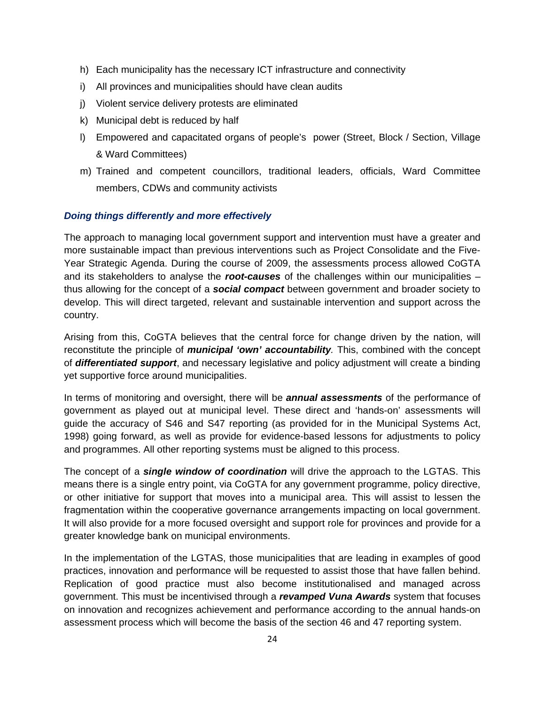- h) Each municipality has the necessary ICT infrastructure and connectivity
- i) All provinces and municipalities should have clean audits
- j) Violent service delivery protests are eliminated
- k) Municipal debt is reduced by half
- l) Empowered and capacitated organs of people's power (Street, Block / Section, Village & Ward Committees)
- m) Trained and competent councillors, traditional leaders, officials, Ward Committee members, CDWs and community activists

#### *Doing things differently and more effectively*

The approach to managing local government support and intervention must have a greater and more sustainable impact than previous interventions such as Project Consolidate and the Five-Year Strategic Agenda. During the course of 2009, the assessments process allowed CoGTA and its stakeholders to analyse the *root-causes* of the challenges within our municipalities – thus allowing for the concept of a *social compact* between government and broader society to develop. This will direct targeted, relevant and sustainable intervention and support across the country.

Arising from this, CoGTA believes that the central force for change driven by the nation, will reconstitute the principle of *municipal 'own' accountability.* This, combined with the concept of *differentiated support*, and necessary legislative and policy adjustment will create a binding yet supportive force around municipalities.

In terms of monitoring and oversight, there will be *annual assessments* of the performance of government as played out at municipal level. These direct and 'hands-on' assessments will guide the accuracy of S46 and S47 reporting (as provided for in the Municipal Systems Act, 1998) going forward, as well as provide for evidence-based lessons for adjustments to policy and programmes. All other reporting systems must be aligned to this process.

The concept of a *single window of coordination* will drive the approach to the LGTAS. This means there is a single entry point, via CoGTA for any government programme, policy directive, or other initiative for support that moves into a municipal area. This will assist to lessen the fragmentation within the cooperative governance arrangements impacting on local government. It will also provide for a more focused oversight and support role for provinces and provide for a greater knowledge bank on municipal environments.

In the implementation of the LGTAS, those municipalities that are leading in examples of good practices, innovation and performance will be requested to assist those that have fallen behind. Replication of good practice must also become institutionalised and managed across government. This must be incentivised through a *revamped Vuna Awards* system that focuses on innovation and recognizes achievement and performance according to the annual hands-on assessment process which will become the basis of the section 46 and 47 reporting system.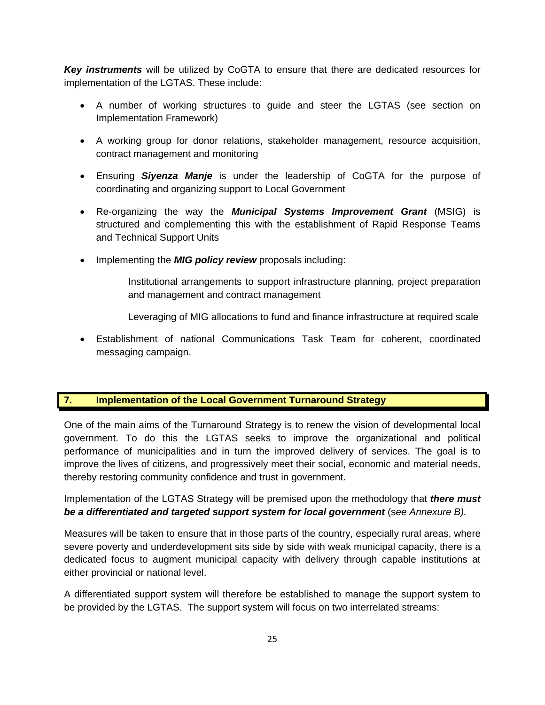*Key instruments* will be utilized by CoGTA to ensure that there are dedicated resources for implementation of the LGTAS. These include:

- A number of working structures to guide and steer the LGTAS (see section on Implementation Framework)
- A working group for donor relations, stakeholder management, resource acquisition, contract management and monitoring
- Ensuring *Siyenza Manje* is under the leadership of CoGTA for the purpose of coordinating and organizing support to Local Government
- Re-organizing the way the *Municipal Systems Improvement Grant* (MSIG) is structured and complementing this with the establishment of Rapid Response Teams and Technical Support Units
- Implementing the *MIG policy review* proposals including:
	- Institutional arrangements to support infrastructure planning, project preparation and management and contract management
	- Leveraging of MIG allocations to fund and finance infrastructure at required scale
- Establishment of national Communications Task Team for coherent, coordinated messaging campaign.

#### **7. Implementation of the Local Government Turnaround Strategy**

One of the main aims of the Turnaround Strategy is to renew the vision of developmental local government. To do this the LGTAS seeks to improve the organizational and political performance of municipalities and in turn the improved delivery of services. The goal is to improve the lives of citizens, and progressively meet their social, economic and material needs, thereby restoring community confidence and trust in government.

Implementation of the LGTAS Strategy will be premised upon the methodology that *there must be a differentiated and targeted support system for local government* (s*ee Annexure B).* 

Measures will be taken to ensure that in those parts of the country, especially rural areas, where severe poverty and underdevelopment sits side by side with weak municipal capacity, there is a dedicated focus to augment municipal capacity with delivery through capable institutions at either provincial or national level.

A differentiated support system will therefore be established to manage the support system to be provided by the LGTAS. The support system will focus on two interrelated streams: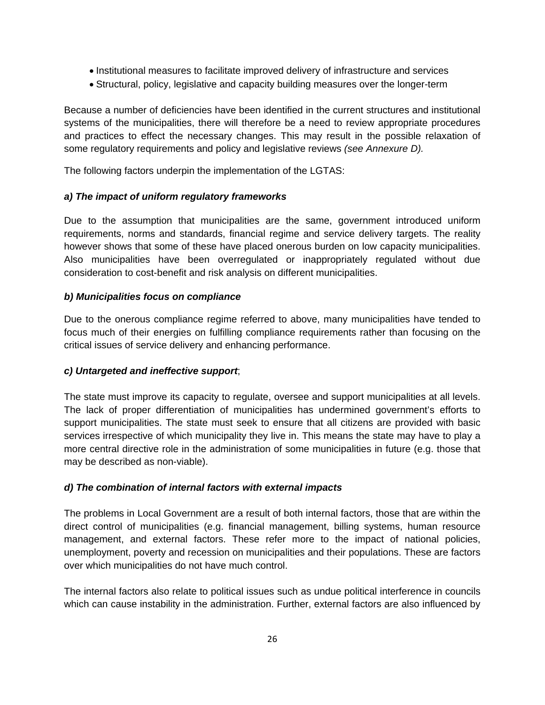- Institutional measures to facilitate improved delivery of infrastructure and services
- Structural, policy, legislative and capacity building measures over the longer-term

Because a number of deficiencies have been identified in the current structures and institutional systems of the municipalities, there will therefore be a need to review appropriate procedures and practices to effect the necessary changes. This may result in the possible relaxation of some regulatory requirements and policy and legislative reviews *(see Annexure D).*

The following factors underpin the implementation of the LGTAS:

#### *a) The impact of uniform regulatory frameworks*

Due to the assumption that municipalities are the same, government introduced uniform requirements, norms and standards, financial regime and service delivery targets. The reality however shows that some of these have placed onerous burden on low capacity municipalities. Also municipalities have been overregulated or inappropriately regulated without due consideration to cost-benefit and risk analysis on different municipalities.

#### *b) Municipalities focus on compliance*

Due to the onerous compliance regime referred to above, many municipalities have tended to focus much of their energies on fulfilling compliance requirements rather than focusing on the critical issues of service delivery and enhancing performance.

#### *c) Untargeted and ineffective support*;

The state must improve its capacity to regulate, oversee and support municipalities at all levels. The lack of proper differentiation of municipalities has undermined government's efforts to support municipalities. The state must seek to ensure that all citizens are provided with basic services irrespective of which municipality they live in. This means the state may have to play a more central directive role in the administration of some municipalities in future (e.g. those that may be described as non-viable).

#### *d) The combination of internal factors with external impacts*

The problems in Local Government are a result of both internal factors, those that are within the direct control of municipalities (e.g. financial management, billing systems, human resource management, and external factors. These refer more to the impact of national policies, unemployment, poverty and recession on municipalities and their populations. These are factors over which municipalities do not have much control.

The internal factors also relate to political issues such as undue political interference in councils which can cause instability in the administration. Further, external factors are also influenced by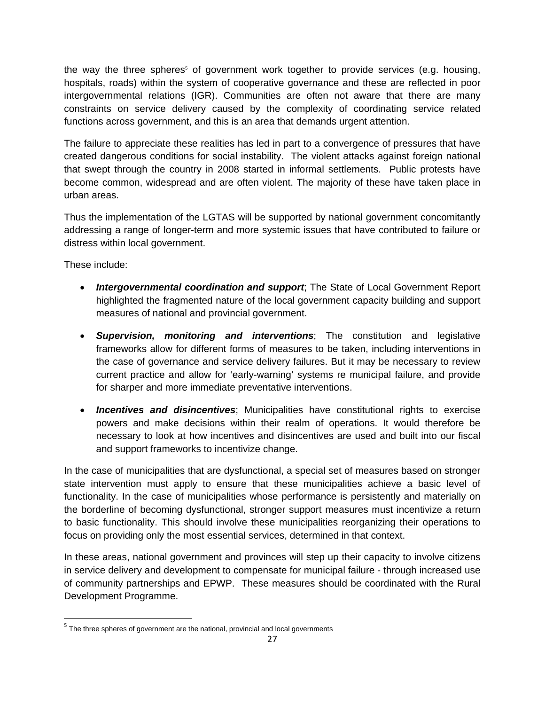the way the three spheres<sup>5</sup> of government work together to provide services (e.g. housing, hospitals, roads) within the system of cooperative governance and these are reflected in poor intergovernmental relations (IGR). Communities are often not aware that there are many constraints on service delivery caused by the complexity of coordinating service related functions across government, and this is an area that demands urgent attention.

The failure to appreciate these realities has led in part to a convergence of pressures that have created dangerous conditions for social instability. The violent attacks against foreign national that swept through the country in 2008 started in informal settlements. Public protests have become common, widespread and are often violent. The majority of these have taken place in urban areas.

Thus the implementation of the LGTAS will be supported by national government concomitantly addressing a range of longer-term and more systemic issues that have contributed to failure or distress within local government.

These include:

- *Intergovernmental coordination and support*; The State of Local Government Report highlighted the fragmented nature of the local government capacity building and support measures of national and provincial government.
- *Supervision, monitoring and interventions*; The constitution and legislative frameworks allow for different forms of measures to be taken, including interventions in the case of governance and service delivery failures. But it may be necessary to review current practice and allow for 'early-warning' systems re municipal failure, and provide for sharper and more immediate preventative interventions.
- *Incentives and disincentives*; Municipalities have constitutional rights to exercise powers and make decisions within their realm of operations. It would therefore be necessary to look at how incentives and disincentives are used and built into our fiscal and support frameworks to incentivize change.

In the case of municipalities that are dysfunctional, a special set of measures based on stronger state intervention must apply to ensure that these municipalities achieve a basic level of functionality. In the case of municipalities whose performance is persistently and materially on the borderline of becoming dysfunctional, stronger support measures must incentivize a return to basic functionality. This should involve these municipalities reorganizing their operations to focus on providing only the most essential services, determined in that context.

In these areas, national government and provinces will step up their capacity to involve citizens in service delivery and development to compensate for municipal failure - through increased use of community partnerships and EPWP. These measures should be coordinated with the Rural Development Programme.

<sup>&</sup>lt;sup>5</sup> The three spheres of government are the national, provincial and local governments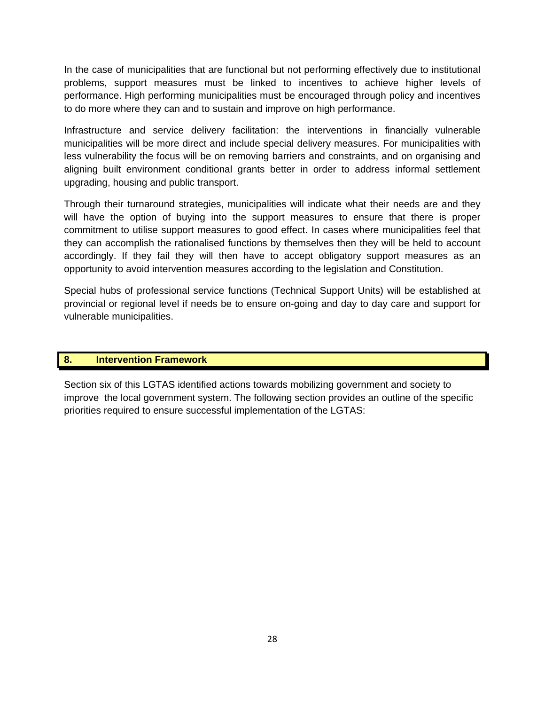In the case of municipalities that are functional but not performing effectively due to institutional problems, support measures must be linked to incentives to achieve higher levels of performance. High performing municipalities must be encouraged through policy and incentives to do more where they can and to sustain and improve on high performance.

Infrastructure and service delivery facilitation: the interventions in financially vulnerable municipalities will be more direct and include special delivery measures. For municipalities with less vulnerability the focus will be on removing barriers and constraints, and on organising and aligning built environment conditional grants better in order to address informal settlement upgrading, housing and public transport.

Through their turnaround strategies, municipalities will indicate what their needs are and they will have the option of buying into the support measures to ensure that there is proper commitment to utilise support measures to good effect. In cases where municipalities feel that they can accomplish the rationalised functions by themselves then they will be held to account accordingly. If they fail they will then have to accept obligatory support measures as an opportunity to avoid intervention measures according to the legislation and Constitution.

Special hubs of professional service functions (Technical Support Units) will be established at provincial or regional level if needs be to ensure on-going and day to day care and support for vulnerable municipalities.

#### **8. Intervention Framework**

Section six of this LGTAS identified actions towards mobilizing government and society to improve the local government system. The following section provides an outline of the specific priorities required to ensure successful implementation of the LGTAS: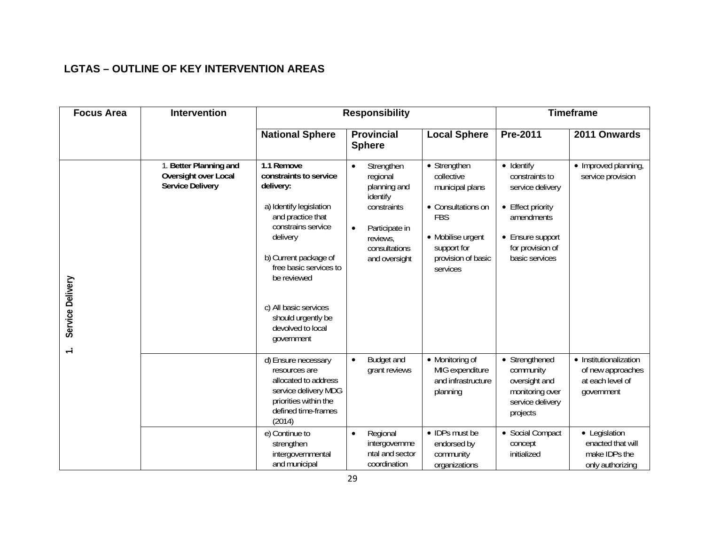# **LGTAS – OUTLINE OF KEY INTERVENTION AREAS**

| <b>Focus Area</b>          | <b>Intervention</b>                                                       |                                                                                                                                                                                                                                                                                         | <b>Responsibility</b>                                                                                                                          |                                                                                                                                                         | <b>Timeframe</b>                                                                                                                                      |                                                                               |  |
|----------------------------|---------------------------------------------------------------------------|-----------------------------------------------------------------------------------------------------------------------------------------------------------------------------------------------------------------------------------------------------------------------------------------|------------------------------------------------------------------------------------------------------------------------------------------------|---------------------------------------------------------------------------------------------------------------------------------------------------------|-------------------------------------------------------------------------------------------------------------------------------------------------------|-------------------------------------------------------------------------------|--|
|                            |                                                                           | <b>National Sphere</b>                                                                                                                                                                                                                                                                  | <b>Provincial</b><br><b>Sphere</b>                                                                                                             | <b>Local Sphere</b>                                                                                                                                     | Pre-2011                                                                                                                                              | 2011 Onwards                                                                  |  |
| Service Delivery<br>$\div$ | 1. Better Planning and<br>Oversight over Local<br><b>Service Delivery</b> | 1.1 Remove<br>constraints to service<br>delivery:<br>a) Identify legislation<br>and practice that<br>constrains service<br>delivery<br>b) Current package of<br>free basic services to<br>be reviewed<br>c) All basic services<br>should urgently be<br>devolved to local<br>government | Strengthen<br>regional<br>planning and<br>identify<br>constraints<br>Participate in<br>$\bullet$<br>reviews,<br>consultations<br>and oversight | • Strengthen<br>collective<br>municipal plans<br>• Consultations on<br><b>FBS</b><br>• Mobilise urgent<br>support for<br>provision of basic<br>services | $\bullet$ Identify<br>constraints to<br>service delivery<br>• Effect priority<br>amendments<br>• Ensure support<br>for provision of<br>basic services | • Improved planning,<br>service provision                                     |  |
|                            |                                                                           | d) Ensure necessary<br>resources are<br>allocated to address<br>service delivery MDG<br>priorities within the<br>defined time-frames<br>(2014)                                                                                                                                          | <b>Budget and</b><br>$\bullet$<br>grant reviews                                                                                                | • Monitoring of<br>MIG expenditure<br>and infrastructure<br>planning                                                                                    | • Strengthened<br>community<br>oversight and<br>monitoring over<br>service delivery<br>projects                                                       | • Institutionalization<br>of new approaches<br>at each level of<br>government |  |
|                            |                                                                           | e) Continue to<br>strengthen<br>intergovernmental<br>and municipal                                                                                                                                                                                                                      | Regional<br>$\bullet$<br>intergovernme<br>ntal and sector<br>coordination                                                                      | • IDPs must be<br>endorsed by<br>community<br>organizations                                                                                             | • Social Compact<br>concept<br>initialized                                                                                                            | • Legislation<br>enacted that will<br>make IDPs the<br>only authorizing       |  |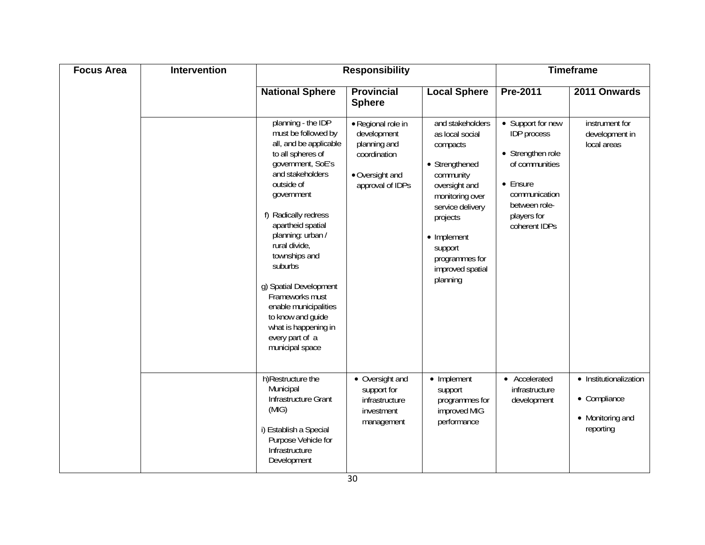| <b>Focus Area</b> | <b>Intervention</b> |                                                                                                                                                                                                                                                                                                                                                                                                                                       | <b>Responsibility</b>                                                                                    |                                                                                                                                                                                                                                |                                                                                                                                                              | <b>Timeframe</b>                                                        |
|-------------------|---------------------|---------------------------------------------------------------------------------------------------------------------------------------------------------------------------------------------------------------------------------------------------------------------------------------------------------------------------------------------------------------------------------------------------------------------------------------|----------------------------------------------------------------------------------------------------------|--------------------------------------------------------------------------------------------------------------------------------------------------------------------------------------------------------------------------------|--------------------------------------------------------------------------------------------------------------------------------------------------------------|-------------------------------------------------------------------------|
|                   |                     | <b>National Sphere</b>                                                                                                                                                                                                                                                                                                                                                                                                                | <b>Provincial</b><br><b>Sphere</b>                                                                       | <b>Local Sphere</b>                                                                                                                                                                                                            | Pre-2011                                                                                                                                                     | 2011 Onwards                                                            |
|                   |                     | planning - the IDP<br>must be followed by<br>all, and be applicable<br>to all spheres of<br>government, SoE's<br>and stakeholders<br>outside of<br>government<br>f) Radically redress<br>apartheid spatial<br>planning: urban /<br>rural divide,<br>townships and<br>suburbs<br>g) Spatial Development<br>Frameworks must<br>enable municipalities<br>to know and guide<br>what is happening in<br>every part of a<br>municipal space | · Regional role in<br>development<br>planning and<br>coordination<br>• Oversight and<br>approval of IDPs | and stakeholders<br>as local social<br>compacts<br>• Strengthened<br>community<br>oversight and<br>monitoring over<br>service delivery<br>projects<br>• Implement<br>support<br>programmes for<br>improved spatial<br>planning | • Support for new<br><b>IDP</b> process<br>• Strengthen role<br>of communities<br>• Ensure<br>communication<br>between role-<br>players for<br>coherent IDPs | instrument for<br>development in<br>local areas                         |
|                   |                     | h)Restructure the<br>Municipal<br>Infrastructure Grant<br>(MIG)<br>i) Establish a Special<br>Purpose Vehicle for<br>Infrastructure<br>Development                                                                                                                                                                                                                                                                                     | • Oversight and<br>support for<br>infrastructure<br>investment<br>management                             | • Implement<br>support<br>programmes for<br>improved MIG<br>performance                                                                                                                                                        | • Accelerated<br>infrastructure<br>development                                                                                                               | • Institutionalization<br>• Compliance<br>• Monitoring and<br>reporting |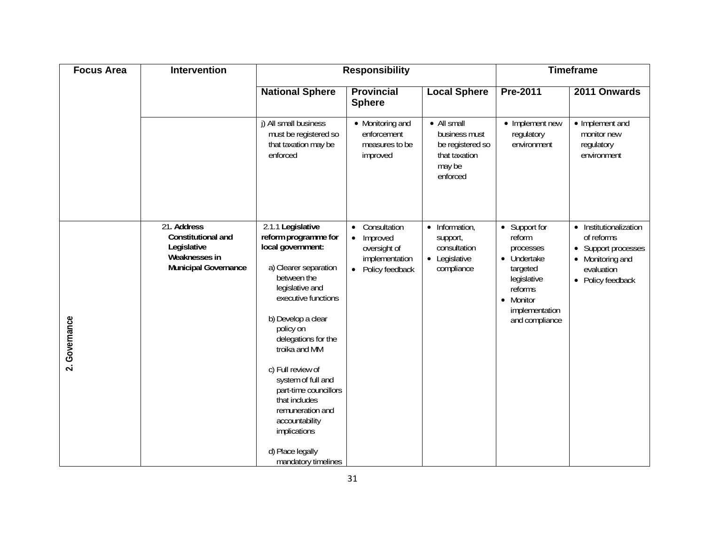| <b>Focus Area</b>                     | <b>Intervention</b>                                                                              |                                                                                                                                                                                                                                                                                                                                                                                                                   | <b>Responsibility</b>                                                                                                |                                                                                         | <b>Timeframe</b>                                                                                                                           |                                                                                                                               |  |
|---------------------------------------|--------------------------------------------------------------------------------------------------|-------------------------------------------------------------------------------------------------------------------------------------------------------------------------------------------------------------------------------------------------------------------------------------------------------------------------------------------------------------------------------------------------------------------|----------------------------------------------------------------------------------------------------------------------|-----------------------------------------------------------------------------------------|--------------------------------------------------------------------------------------------------------------------------------------------|-------------------------------------------------------------------------------------------------------------------------------|--|
|                                       |                                                                                                  | <b>National Sphere</b>                                                                                                                                                                                                                                                                                                                                                                                            | <b>Provincial</b><br><b>Sphere</b>                                                                                   | <b>Local Sphere</b>                                                                     | <b>Pre-2011</b>                                                                                                                            | 2011 Onwards                                                                                                                  |  |
|                                       |                                                                                                  | j) All small business<br>must be registered so<br>that taxation may be<br>enforced                                                                                                                                                                                                                                                                                                                                | • Monitoring and<br>enforcement<br>measures to be<br>improved                                                        | • All small<br>business must<br>be registered so<br>that taxation<br>may be<br>enforced | • Implement new<br>regulatory<br>environment                                                                                               | • Implement and<br>monitor new<br>regulatory<br>environment                                                                   |  |
| Governance<br>$\overline{\mathbf{v}}$ | 21. Address<br>Constitutional and<br>Legislative<br>Weaknesses in<br><b>Municipal Governance</b> | 2.1.1 Legislative<br>reform programme for<br>local government:<br>a) Clearer separation<br>between the<br>legislative and<br>executive functions<br>b) Develop a clear<br>policy on<br>delegations for the<br>troika and MM<br>c) Full review of<br>system of full and<br>part-time councillors<br>that includes<br>remuneration and<br>accountability<br>implications<br>d) Place legally<br>mandatory timelines | Consultation<br>$\bullet$<br>Improved<br>$\bullet$<br>oversight of<br>implementation<br>Policy feedback<br>$\bullet$ | $\bullet$ Information,<br>support,<br>consultation<br>• Legislative<br>compliance       | • Support for<br>reform<br>processes<br>• Undertake<br>targeted<br>legislative<br>reforms<br>• Monitor<br>implementation<br>and compliance | • Institutionalization<br>of reforms<br>Support processes<br>$\bullet$<br>• Monitoring and<br>evaluation<br>• Policy feedback |  |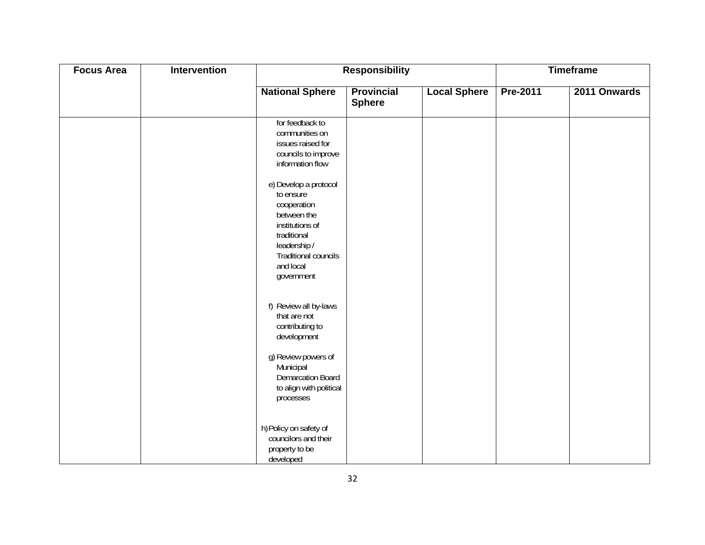| <b>Focus Area</b> | Intervention |                                                                                                                                                                       | <b>Responsibility</b>              |                     |          | <b>Timeframe</b> |
|-------------------|--------------|-----------------------------------------------------------------------------------------------------------------------------------------------------------------------|------------------------------------|---------------------|----------|------------------|
|                   |              | <b>National Sphere</b>                                                                                                                                                | <b>Provincial</b><br><b>Sphere</b> | <b>Local Sphere</b> | Pre-2011 | 2011 Onwards     |
|                   |              | for feedback to<br>communities on<br>issues raised for<br>councils to improve<br>information flow                                                                     |                                    |                     |          |                  |
|                   |              | e) Develop a protocol<br>to ensure<br>cooperation<br>between the<br>institutions of<br>traditional<br>leadership /<br>Traditional councils<br>and local<br>government |                                    |                     |          |                  |
|                   |              | f) Review all by-laws<br>that are not<br>contributing to<br>development                                                                                               |                                    |                     |          |                  |
|                   |              | g) Review powers of<br>Municipal<br><b>Demarcation Board</b><br>to align with political<br>processes                                                                  |                                    |                     |          |                  |
|                   |              | h) Policy on safety of<br>councilors and their<br>property to be<br>developed                                                                                         |                                    |                     |          |                  |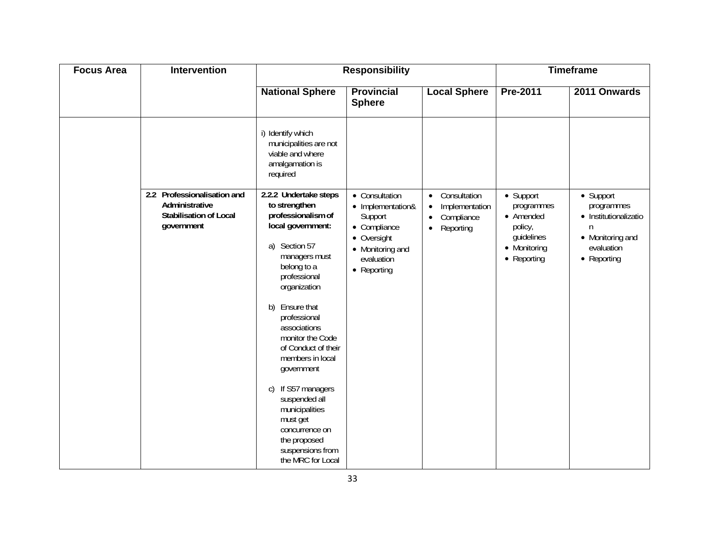| <b>Focus Area</b> | Intervention                                                                                 |                                                                                                                                                                                                                                                                                                                                                                                                                                                         | <b>Responsibility</b>                                                                                                          |                                                                                                               |                                                                                              | <b>Timeframe</b>                                                                                       |
|-------------------|----------------------------------------------------------------------------------------------|---------------------------------------------------------------------------------------------------------------------------------------------------------------------------------------------------------------------------------------------------------------------------------------------------------------------------------------------------------------------------------------------------------------------------------------------------------|--------------------------------------------------------------------------------------------------------------------------------|---------------------------------------------------------------------------------------------------------------|----------------------------------------------------------------------------------------------|--------------------------------------------------------------------------------------------------------|
|                   |                                                                                              | <b>National Sphere</b>                                                                                                                                                                                                                                                                                                                                                                                                                                  | <b>Provincial</b><br><b>Sphere</b>                                                                                             | <b>Local Sphere</b>                                                                                           | <b>Pre-2011</b>                                                                              | 2011 Onwards                                                                                           |
|                   |                                                                                              | i) Identify which<br>municipalities are not<br>viable and where<br>amalgamation is<br>required                                                                                                                                                                                                                                                                                                                                                          |                                                                                                                                |                                                                                                               |                                                                                              |                                                                                                        |
|                   | 2.2 Professionalisation and<br>Administrative<br><b>Stabilisation of Local</b><br>government | 2.2.2 Undertake steps<br>to strengthen<br>professionalism of<br>local government:<br>a) Section 57<br>managers must<br>belong to a<br>professional<br>organization<br>Ensure that<br>b)<br>professional<br>associations<br>monitor the Code<br>of Conduct of their<br>members in local<br>government<br>If S57 managers<br>C)<br>suspended all<br>municipalities<br>must get<br>concurrence on<br>the proposed<br>suspensions from<br>the MRC for Local | • Consultation<br>• Implementation&<br>Support<br>• Compliance<br>• Oversight<br>• Monitoring and<br>evaluation<br>• Reporting | Consultation<br>$\bullet$<br>Implementation<br>$\bullet$<br>Compliance<br>$\bullet$<br>Reporting<br>$\bullet$ | • Support<br>programmes<br>• Amended<br>policy,<br>guidelines<br>• Monitoring<br>• Reporting | • Support<br>programmes<br>• Institutionalizatio<br>n<br>• Monitoring and<br>evaluation<br>• Reporting |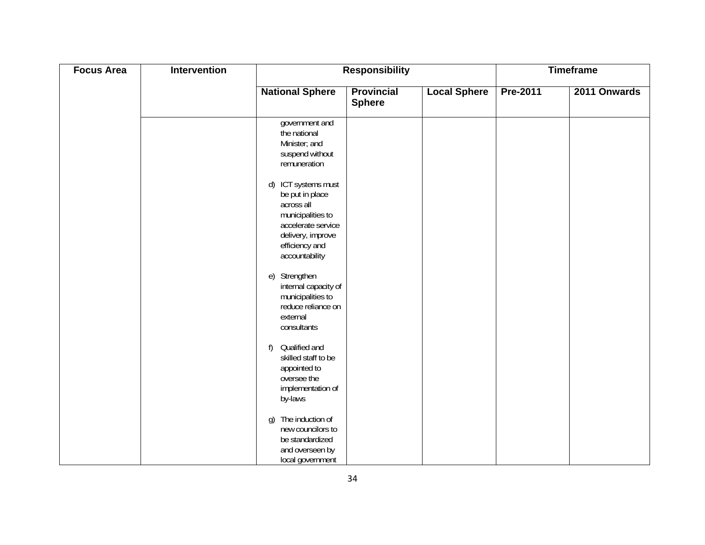| <b>Focus Area</b> | Intervention | <b>Responsibility</b>                                                                                                                                    |                                    |                     | <b>Timeframe</b> |              |
|-------------------|--------------|----------------------------------------------------------------------------------------------------------------------------------------------------------|------------------------------------|---------------------|------------------|--------------|
|                   |              | <b>National Sphere</b>                                                                                                                                   | <b>Provincial</b><br><b>Sphere</b> | <b>Local Sphere</b> | Pre-2011         | 2011 Onwards |
|                   |              | government and<br>the national<br>Minister; and<br>suspend without<br>remuneration                                                                       |                                    |                     |                  |              |
|                   |              | d) ICT systems must<br>be put in place<br>across all<br>municipalities to<br>accelerate service<br>delivery, improve<br>efficiency and<br>accountability |                                    |                     |                  |              |
|                   |              | Strengthen<br>$\epsilon$<br>internal capacity of<br>municipalities to<br>reduce reliance on<br>external<br>consultants                                   |                                    |                     |                  |              |
|                   |              | Qualified and<br>f)<br>skilled staff to be<br>appointed to<br>oversee the<br>implementation of<br>by-laws                                                |                                    |                     |                  |              |
|                   |              | The induction of<br>g)<br>new councilors to<br>be standardized<br>and overseen by<br>local government                                                    |                                    |                     |                  |              |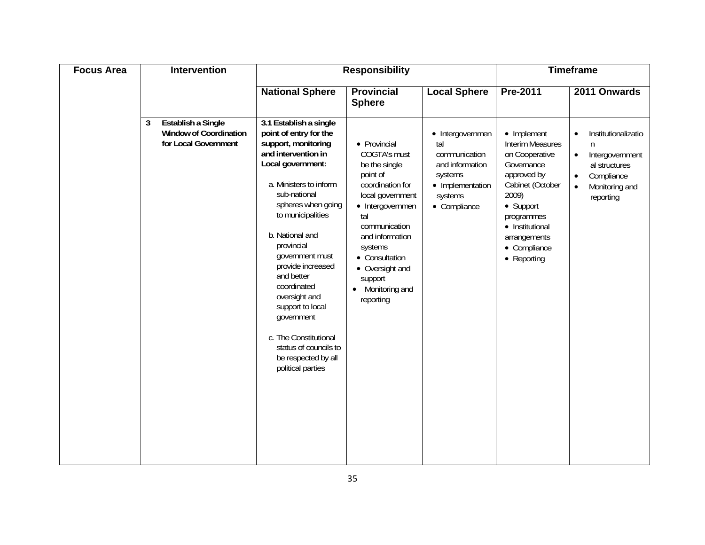| <b>Focus Area</b> | Intervention                                                                     | <b>Responsibility</b>                                                                                                                                                                                                                                                                                                                                                                                                                                           |                                                                                                                                                                                                                                                                         |                                                                                                                       | <b>Timeframe</b>                                                                                                                                                                                                        |                                                                                                                                                  |
|-------------------|----------------------------------------------------------------------------------|-----------------------------------------------------------------------------------------------------------------------------------------------------------------------------------------------------------------------------------------------------------------------------------------------------------------------------------------------------------------------------------------------------------------------------------------------------------------|-------------------------------------------------------------------------------------------------------------------------------------------------------------------------------------------------------------------------------------------------------------------------|-----------------------------------------------------------------------------------------------------------------------|-------------------------------------------------------------------------------------------------------------------------------------------------------------------------------------------------------------------------|--------------------------------------------------------------------------------------------------------------------------------------------------|
|                   |                                                                                  | <b>National Sphere</b>                                                                                                                                                                                                                                                                                                                                                                                                                                          | <b>Provincial</b><br><b>Sphere</b>                                                                                                                                                                                                                                      | <b>Local Sphere</b>                                                                                                   | Pre-2011                                                                                                                                                                                                                | 2011 Onwards                                                                                                                                     |
|                   | Establish a Single<br>3<br><b>Window of Coordination</b><br>for Local Government | 3.1 Establish a single<br>point of entry for the<br>support, monitoring<br>and intervention in<br>Local government:<br>a. Ministers to inform<br>sub-national<br>spheres when going<br>to municipalities<br>b. National and<br>provincial<br>government must<br>provide increased<br>and better<br>coordinated<br>oversight and<br>support to local<br>government<br>c. The Constitutional<br>status of councils to<br>be respected by all<br>political parties | • Provincial<br>COGTA's must<br>be the single<br>point of<br>coordination for<br>local government<br>• Intergovernmen<br>tal<br>communication<br>and information<br>systems<br>• Consultation<br>• Oversight and<br>support<br>Monitoring and<br>$\bullet$<br>reporting | • Intergovernmen<br>tal<br>communication<br>and information<br>systems<br>• Implementation<br>systems<br>• Compliance | • Implement<br><b>Interim Measures</b><br>on Cooperative<br>Governance<br>approved by<br>Cabinet (October<br>2009)<br>• Support<br>programmes<br>• Institutional<br>arrangements<br>• Compliance<br>$\bullet$ Reporting | Institutionalizatio<br>$\bullet$<br>n<br>Intergovernment<br>$\bullet$<br>al structures<br>Compliance<br>$\bullet$<br>Monitoring and<br>reporting |
|                   |                                                                                  |                                                                                                                                                                                                                                                                                                                                                                                                                                                                 |                                                                                                                                                                                                                                                                         |                                                                                                                       |                                                                                                                                                                                                                         |                                                                                                                                                  |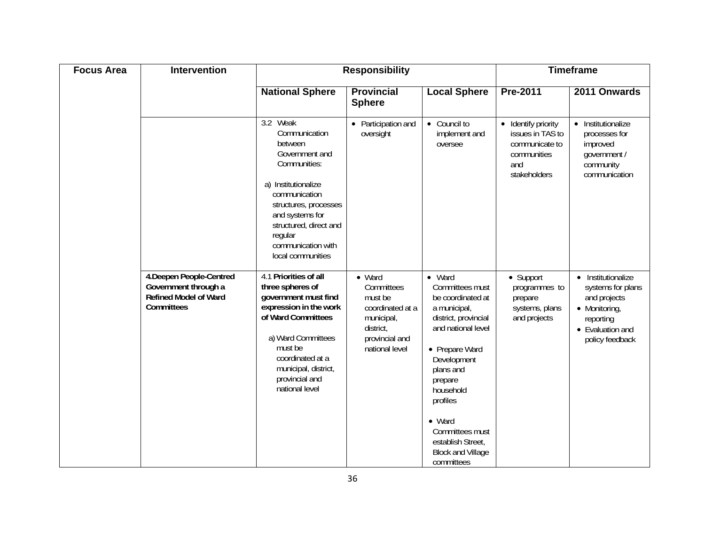| <b>Focus Area</b> | <b>Intervention</b>                                                                            | <b>Responsibility</b>                                                                                                                                                                                                                      |                                                                                                                            |                                                                                                                                                                                                                                                                                                            | <b>Timeframe</b>                                                                                |                                                                                                                              |
|-------------------|------------------------------------------------------------------------------------------------|--------------------------------------------------------------------------------------------------------------------------------------------------------------------------------------------------------------------------------------------|----------------------------------------------------------------------------------------------------------------------------|------------------------------------------------------------------------------------------------------------------------------------------------------------------------------------------------------------------------------------------------------------------------------------------------------------|-------------------------------------------------------------------------------------------------|------------------------------------------------------------------------------------------------------------------------------|
|                   |                                                                                                | <b>National Sphere</b>                                                                                                                                                                                                                     | <b>Provincial</b><br><b>Sphere</b>                                                                                         | <b>Local Sphere</b>                                                                                                                                                                                                                                                                                        | Pre-2011                                                                                        | 2011 Onwards                                                                                                                 |
|                   |                                                                                                | 3.2 Weak<br>Communication<br>between<br>Government and<br>Communities:<br>a) Institutionalize<br>communication<br>structures, processes<br>and systems for<br>structured, direct and<br>regular<br>communication with<br>local communities | • Participation and<br>oversight                                                                                           | • Council to<br>implement and<br>oversee                                                                                                                                                                                                                                                                   | • Identify priority<br>issues in TAS to<br>communicate to<br>communities<br>and<br>stakeholders | Institutionalize<br>$\bullet$<br>processes for<br>improved<br>government /<br>community<br>communication                     |
|                   | 4. Deepen People-Centred<br>Government through a<br><b>Refined Model of Ward</b><br>Committees | 4.1 Priorities of all<br>three spheres of<br>government must find<br>expression in the work<br>of Ward Committees<br>a) Ward Committees<br>must be<br>coordinated at a<br>municipal, district,<br>provincial and<br>national level         | $\bullet$ Ward<br>Committees<br>must be<br>coordinated at a<br>municipal,<br>district,<br>provincial and<br>national level | $\bullet$ Ward<br>Committees must<br>be coordinated at<br>a municipal,<br>district, provincial<br>and national level<br>• Prepare Ward<br>Development<br>plans and<br>prepare<br>household<br>profiles<br>$\bullet$ Ward<br>Committees must<br>establish Street,<br><b>Block and Village</b><br>committees | • Support<br>programmes to<br>prepare<br>systems, plans<br>and projects                         | • Institutionalize<br>systems for plans<br>and projects<br>• Monitoring,<br>reporting<br>• Evaluation and<br>policy feedback |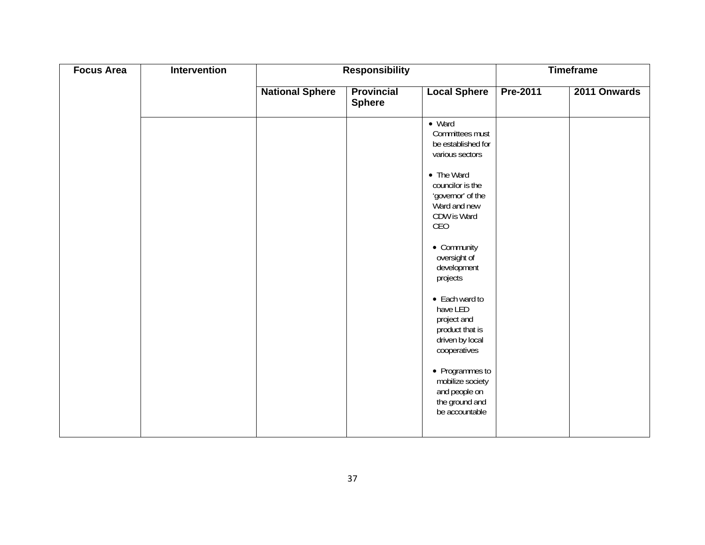| <b>Focus Area</b> | Intervention |                        | <b>Responsibility</b>              |                                                                                                                                                                                                                                                                                                                                                                                                                                  | <b>Timeframe</b> |              |  |
|-------------------|--------------|------------------------|------------------------------------|----------------------------------------------------------------------------------------------------------------------------------------------------------------------------------------------------------------------------------------------------------------------------------------------------------------------------------------------------------------------------------------------------------------------------------|------------------|--------------|--|
|                   |              | <b>National Sphere</b> | <b>Provincial</b><br><b>Sphere</b> | <b>Local Sphere</b>                                                                                                                                                                                                                                                                                                                                                                                                              | Pre-2011         | 2011 Onwards |  |
|                   |              |                        |                                    | $\bullet$ Ward<br>Committees must<br>be established for<br>various sectors<br>• The Ward<br>councilor is the<br>'governor' of the<br>Ward and new<br>CDW is Ward<br>CEO<br>• Community<br>oversight of<br>development<br>projects<br>• Each ward to<br>have LED<br>project and<br>product that is<br>driven by local<br>cooperatives<br>• Programmes to<br>mobilize society<br>and people on<br>the ground and<br>be accountable |                  |              |  |
|                   |              |                        |                                    |                                                                                                                                                                                                                                                                                                                                                                                                                                  |                  |              |  |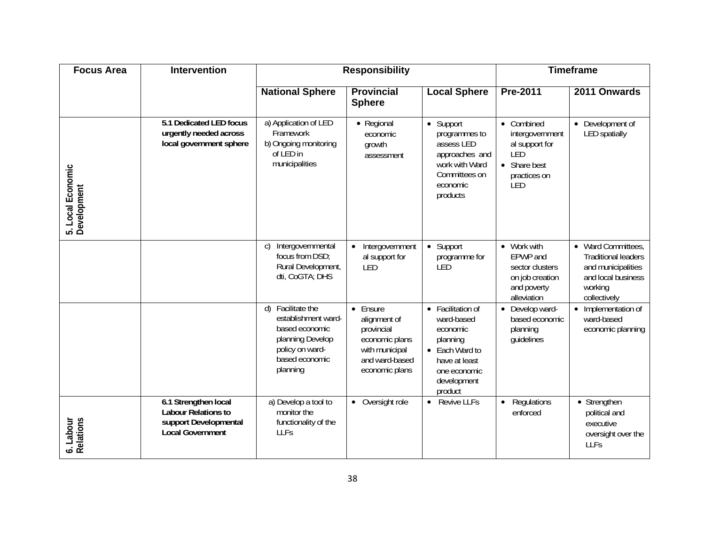| <b>Focus Area</b>                | <b>Intervention</b>                                                                             |                                                                                                                                    | <b>Responsibility</b>                                                                                          |                                                                                                                                      |                                                                                               | <b>Timeframe</b>                                                                                                        |
|----------------------------------|-------------------------------------------------------------------------------------------------|------------------------------------------------------------------------------------------------------------------------------------|----------------------------------------------------------------------------------------------------------------|--------------------------------------------------------------------------------------------------------------------------------------|-----------------------------------------------------------------------------------------------|-------------------------------------------------------------------------------------------------------------------------|
|                                  |                                                                                                 | <b>National Sphere</b>                                                                                                             | <b>Provincial</b><br><b>Sphere</b>                                                                             | <b>Local Sphere</b>                                                                                                                  | Pre-2011                                                                                      | 2011 Onwards                                                                                                            |
| 5. Local Economic<br>Development | 5.1 Dedicated LED focus<br>urgently needed across<br>local government sphere                    | a) Application of LED<br>Framework<br>b) Ongoing monitoring<br>of LED in<br>municipalities                                         | • Regional<br>economic<br>growth<br>assessment                                                                 | • Support<br>programmes to<br>assess LED<br>approaches and<br>work with Ward<br>Committees on<br>economic<br>products                | • Combined<br>intergovernment<br>al support for<br>LED<br>• Share best<br>practices on<br>LED | • Development of<br><b>LED</b> spatially                                                                                |
|                                  |                                                                                                 | Intergovernmental<br>$\mathsf{C}$<br>focus from DSD;<br>Rural Development,<br>dti, CoGTA; DHS                                      | Intergovernment<br>$\bullet$<br>al support for<br>LED                                                          | • Support<br>programme for<br>LED                                                                                                    | • Work with<br>EPWP and<br>sector clusters<br>on job creation<br>and poverty<br>alleviation   | • Ward Committees,<br><b>Traditional leaders</b><br>and municipalities<br>and local business<br>working<br>collectively |
|                                  |                                                                                                 | Facilitate the<br>d)<br>establishment ward-<br>based economic<br>planning Develop<br>policy on ward-<br>based economic<br>planning | • Ensure<br>alignment of<br>provincial<br>economic plans<br>with municipal<br>and ward-based<br>economic plans | • Facilitation of<br>ward-based<br>economic<br>planning<br>• Each Ward to<br>have at least<br>one economic<br>development<br>product | • Develop ward-<br>based economic<br>planning<br>guidelines                                   | Implementation of<br>ward-based<br>economic planning                                                                    |
| 6. Labour<br>Relations           | 6.1 Strengthen local<br>Labour Relations to<br>support Developmental<br><b>Local Government</b> | a) Develop a tool to<br>monitor the<br>functionality of the<br>LLFs                                                                | Oversight role<br>$\bullet$                                                                                    | • Revive LLFs                                                                                                                        | Regulations<br>$\bullet$<br>enforced                                                          | • Strengthen<br>political and<br>executive<br>oversight over the<br>LLFs                                                |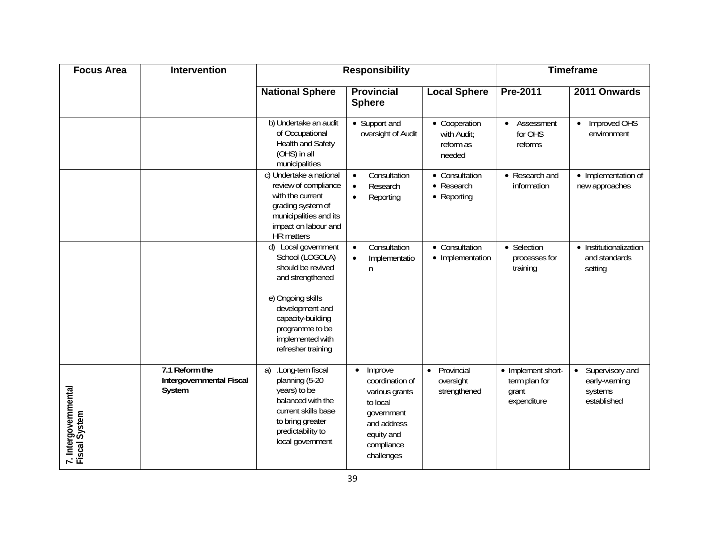| <b>Focus Area</b>                     | <b>Intervention</b>                                  |                                                                                                                                                                                                           | <b>Responsibility</b>                                                                                                                        |                                                                | <b>Timeframe</b>                                            |                                                                         |  |
|---------------------------------------|------------------------------------------------------|-----------------------------------------------------------------------------------------------------------------------------------------------------------------------------------------------------------|----------------------------------------------------------------------------------------------------------------------------------------------|----------------------------------------------------------------|-------------------------------------------------------------|-------------------------------------------------------------------------|--|
|                                       |                                                      | <b>National Sphere</b>                                                                                                                                                                                    | <b>Provincial</b><br><b>Sphere</b>                                                                                                           | <b>Local Sphere</b>                                            | Pre-2011                                                    | 2011 Onwards                                                            |  |
|                                       |                                                      | b) Undertake an audit<br>of Occupational<br>Health and Safety<br>(OHS) in all<br>municipalities                                                                                                           | • Support and<br>oversight of Audit                                                                                                          | • Cooperation<br>with Audit:<br>reform as<br>needed            | Assessment<br>$\bullet$<br>for OHS<br>reforms               | Improved OHS<br>environment                                             |  |
|                                       |                                                      | c) Undertake a national<br>review of compliance<br>with the current<br>grading system of<br>municipalities and its<br>impact on labour and<br>HR matters                                                  | Consultation<br>$\bullet$<br>Research<br>$\bullet$<br>Reporting<br>$\bullet$                                                                 | • Consultation<br>Research<br>$\bullet$<br>$\bullet$ Reporting | • Research and<br>information                               | • Implementation of<br>new approaches                                   |  |
|                                       |                                                      | d) Local government<br>School (LOGOLA)<br>should be revived<br>and strengthened<br>e) Ongoing skills<br>development and<br>capacity-building<br>programme to be<br>implemented with<br>refresher training | Consultation<br>$\bullet$<br>Implementatio<br>$\bullet$<br>n                                                                                 | • Consultation<br>• Implementation                             | • Selection<br>processes for<br>training                    | • Institutionalization<br>and standards<br>setting                      |  |
| 7. Intergovernmental<br>Fiscal System | 7.1 Reform the<br>Intergovernmental Fiscal<br>System | .Long-tem fiscal<br>a)<br>planning (5-20<br>years) to be<br>balanced with the<br>current skills base<br>to bring greater<br>predictability to<br>local government                                         | Improve<br>$\bullet$<br>coordination of<br>various grants<br>to local<br>government<br>and address<br>equity and<br>compliance<br>challenges | Provincial<br>$\bullet$<br>oversight<br>strengthened           | • Implement short-<br>term plan for<br>grant<br>expenditure | Supervisory and<br>$\bullet$<br>early-warning<br>systems<br>established |  |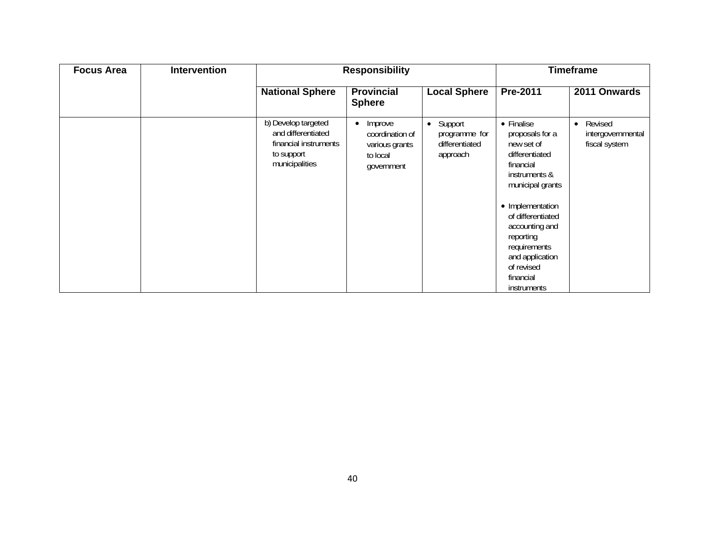| <b>Focus Area</b> | <b>Intervention</b> | <b>Responsibility</b>                                                                              |                                                                        |                                                          |                                                                                                                                                                                                                                                                             | <b>Timeframe</b>                                           |
|-------------------|---------------------|----------------------------------------------------------------------------------------------------|------------------------------------------------------------------------|----------------------------------------------------------|-----------------------------------------------------------------------------------------------------------------------------------------------------------------------------------------------------------------------------------------------------------------------------|------------------------------------------------------------|
|                   |                     | <b>National Sphere</b>                                                                             | <b>Provincial</b><br><b>Sphere</b>                                     | <b>Local Sphere</b>                                      | Pre-2011                                                                                                                                                                                                                                                                    | 2011 Onwards                                               |
|                   |                     | b) Develop targeted<br>and differentiated<br>financial instruments<br>to support<br>municipalities | Improve<br>coordination of<br>various grants<br>to local<br>government | • Support<br>programme for<br>differentiated<br>approach | • Finalise<br>proposals for a<br>new set of<br>differentiated<br>financial<br>instruments &<br>municipal grants<br>• Implementation<br>of differentiated<br>accounting and<br>reporting<br>requirements<br>and application<br>of revised<br>financial<br><i>instruments</i> | Revised<br>$\bullet$<br>intergovernmental<br>fiscal system |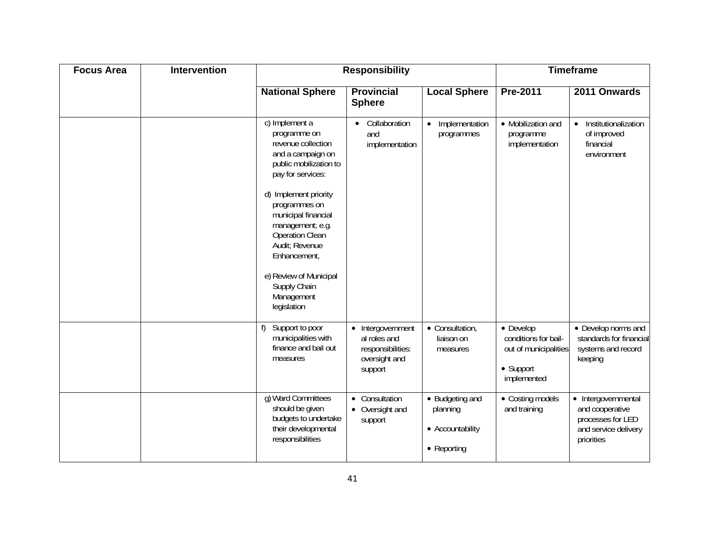| <b>Focus Area</b> | <b>Intervention</b> |                                                                                                                                                                                                                                                                                                                                                  | <b>Responsibility</b>                                                              |                                                                |                                                                                                | <b>Timeframe</b>                                                                                  |
|-------------------|---------------------|--------------------------------------------------------------------------------------------------------------------------------------------------------------------------------------------------------------------------------------------------------------------------------------------------------------------------------------------------|------------------------------------------------------------------------------------|----------------------------------------------------------------|------------------------------------------------------------------------------------------------|---------------------------------------------------------------------------------------------------|
|                   |                     | <b>National Sphere</b>                                                                                                                                                                                                                                                                                                                           | <b>Provincial</b><br><b>Sphere</b>                                                 | <b>Local Sphere</b>                                            | Pre-2011                                                                                       | 2011 Onwards                                                                                      |
|                   |                     | c) Implement a<br>programme on<br>revenue collection<br>and a campaign on<br>public mobilization to<br>pay for services:<br>d) Implement priority<br>programmes on<br>municipal financial<br>management; e.g.<br><b>Operation Clean</b><br>Audit; Revenue<br>Enhancement,<br>e) Review of Municipal<br>Supply Chain<br>Management<br>legislation | Collaboration<br>and<br>implementation                                             | • Implementation<br>programmes                                 | • Mobilization and<br>programme<br>implementation                                              | Institutionalization<br>$\bullet$<br>of improved<br>financial<br>environment                      |
|                   |                     | Support to poor<br>f)<br>municipalities with<br>finance and bail out<br>measures                                                                                                                                                                                                                                                                 | • Intergovernment<br>al roles and<br>responsibilities:<br>oversight and<br>support | • Consultation,<br>liaison on<br>measures                      | $\bullet$ Develop<br>conditions for bail-<br>out of municipalities<br>• Support<br>implemented | • Develop norms and<br>standards for financial<br>systems and record<br>keeping                   |
|                   |                     | g) Ward Committees<br>should be given<br>budgets to undertake<br>their developmental<br>responsibilities                                                                                                                                                                                                                                         | • Consultation<br>• Oversight and<br>support                                       | • Budgeting and<br>planning<br>• Accountability<br>• Reporting | • Costing models<br>and training                                                               | • Intergovernmental<br>and cooperative<br>processes for LED<br>and service delivery<br>priorities |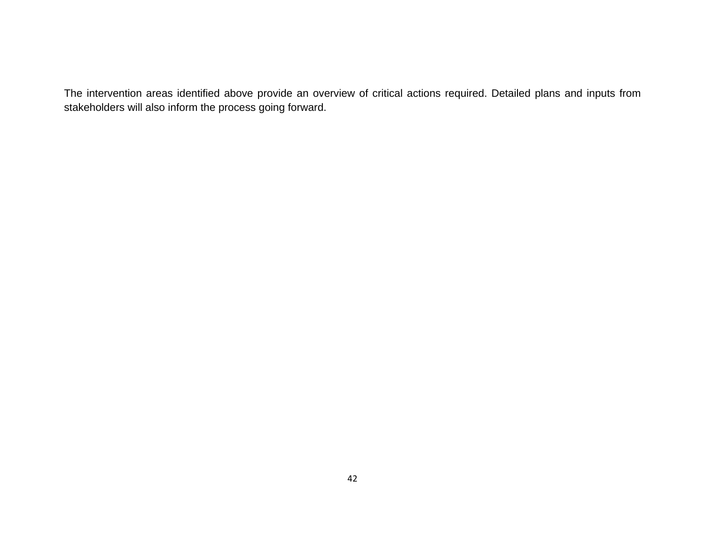The intervention areas identified above provide an overview of critical actions required. Detailed plans and inputs from stakeholders will also inform the process going forward.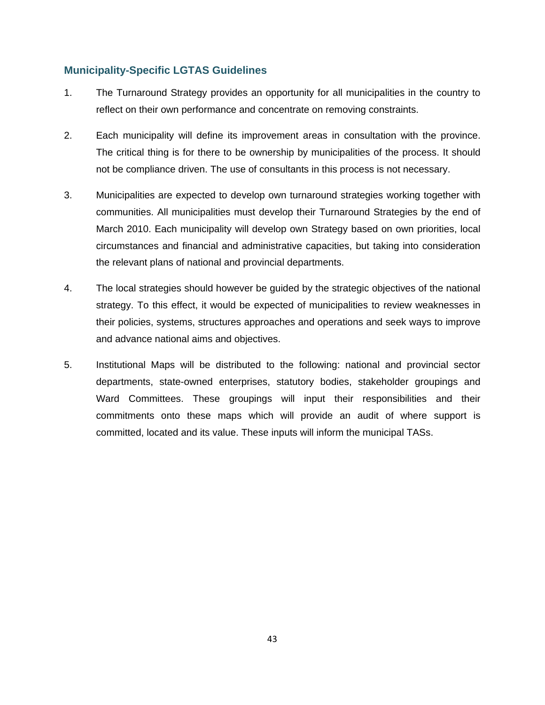## **Municipality-Specific LGTAS Guidelines**

- 1. The Turnaround Strategy provides an opportunity for all municipalities in the country to reflect on their own performance and concentrate on removing constraints.
- 2. Each municipality will define its improvement areas in consultation with the province. The critical thing is for there to be ownership by municipalities of the process. It should not be compliance driven. The use of consultants in this process is not necessary.
- 3. Municipalities are expected to develop own turnaround strategies working together with communities. All municipalities must develop their Turnaround Strategies by the end of March 2010. Each municipality will develop own Strategy based on own priorities, local circumstances and financial and administrative capacities, but taking into consideration the relevant plans of national and provincial departments.
- 4. The local strategies should however be guided by the strategic objectives of the national strategy. To this effect, it would be expected of municipalities to review weaknesses in their policies, systems, structures approaches and operations and seek ways to improve and advance national aims and objectives.
- 5. Institutional Maps will be distributed to the following: national and provincial sector departments, state-owned enterprises, statutory bodies, stakeholder groupings and Ward Committees. These groupings will input their responsibilities and their commitments onto these maps which will provide an audit of where support is committed, located and its value. These inputs will inform the municipal TASs.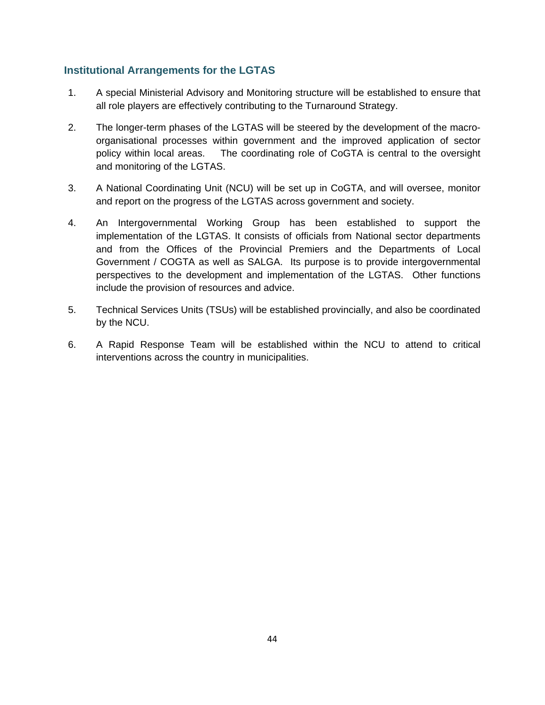## **Institutional Arrangements for the LGTAS**

- 1. A special Ministerial Advisory and Monitoring structure will be established to ensure that all role players are effectively contributing to the Turnaround Strategy.
- 2. The longer-term phases of the LGTAS will be steered by the development of the macro organisational processes within government and the improved application of sector policy within local areas. The coordinating role of CoGTA is central to the oversight and monitoring of the LGTAS.
- 3. A National Coordinating Unit (NCU) will be set up in CoGTA, and will oversee, monitor and report on the progress of the LGTAS across government and society.
- 4. An Intergovernmental Working Group has been established to support the implementation of the LGTAS. It consists of officials from National sector departments and from the Offices of the Provincial Premiers and the Departments of Local Government / COGTA as well as SALGA. Its purpose is to provide intergovernmental perspectives to the development and implementation of the LGTAS. Other functions include the provision of resources and advice.
- 5. Technical Services Units (TSUs) will be established provincially, and also be coordinated by the NCU.
- 6. A Rapid Response Team will be established within the NCU to attend to critical interventions across the country in municipalities.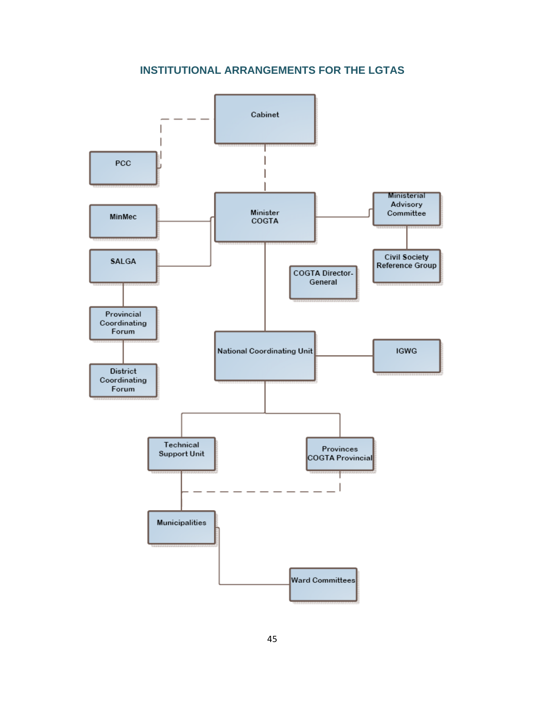# **INSTITUTIONAL ARRANGEMENTS FOR THE LGTAS**

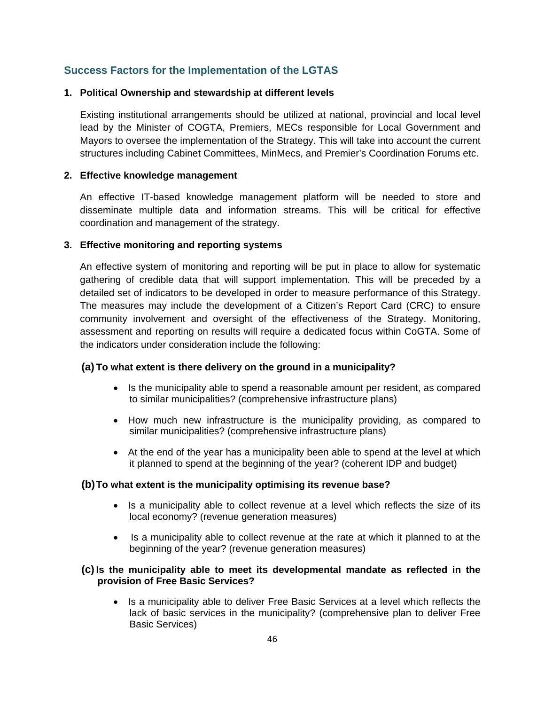## **Success Factors for the Implementation of the LGTAS**

### **1. Political Ownership and stewardship at different levels**

Existing institutional arrangements should be utilized at national, provincial and local level lead by the Minister of COGTA, Premiers, MECs responsible for Local Government and Mayors to oversee the implementation of the Strategy. This will take into account the current structures including Cabinet Committees, MinMecs, and Premier's Coordination Forums etc.

### **2. Effective knowledge management**

An effective IT-based knowledge management platform will be needed to store and disseminate multiple data and information streams. This will be critical for effective coordination and management of the strategy.

### **3. Effective monitoring and reporting systems**

An effective system of monitoring and reporting will be put in place to allow for systematic gathering of credible data that will support implementation. This will be preceded by a detailed set of indicators to be developed in order to measure performance of this Strategy. The measures may include the development of a Citizen's Report Card (CRC) to ensure community involvement and oversight of the effectiveness of the Strategy. Monitoring, assessment and reporting on results will require a dedicated focus within CoGTA. Some of the indicators under consideration include the following:

### **(a) To what extent is there delivery on the ground in a municipality?**

- Is the municipality able to spend a reasonable amount per resident, as compared to similar municipalities? (comprehensive infrastructure plans)
- How much new infrastructure is the municipality providing, as compared to similar municipalities? (comprehensive infrastructure plans)
- At the end of the year has a municipality been able to spend at the level at which it planned to spend at the beginning of the year? (coherent IDP and budget)

### **(b) To what extent is the municipality optimising its revenue base?**

- Is a municipality able to collect revenue at a level which reflects the size of its local economy? (revenue generation measures)
- Is a municipality able to collect revenue at the rate at which it planned to at the beginning of the year? (revenue generation measures)

### **(c) Is the municipality able to meet its developmental mandate as reflected in the provision of Free Basic Services?**

• Is a municipality able to deliver Free Basic Services at a level which reflects the lack of basic services in the municipality? (comprehensive plan to deliver Free Basic Services)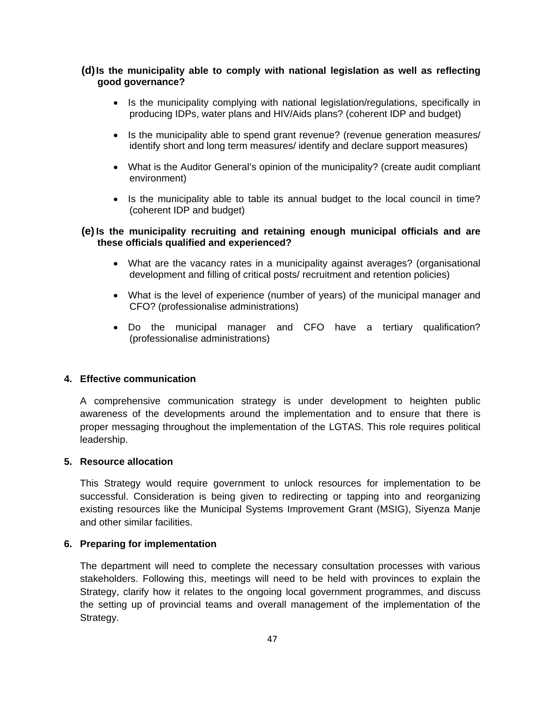### **(d) Is the municipality able to comply with national legislation as well as reflecting good governance?**

- Is the municipality complying with national legislation/regulations, specifically in producing IDPs, water plans and HIV/Aids plans? (coherent IDP and budget)
- Is the municipality able to spend grant revenue? (revenue generation measures/ identify short and long term measures/ identify and declare support measures)
- What is the Auditor General's opinion of the municipality? (create audit compliant environment)
- Is the municipality able to table its annual budget to the local council in time? (coherent IDP and budget)

### **(e) Is the municipality recruiting and retaining enough municipal officials and are these officials qualified and experienced?**

- What are the vacancy rates in a municipality against averages? (organisational development and filling of critical posts/ recruitment and retention policies)
- What is the level of experience (number of years) of the municipal manager and CFO? (professionalise administrations)
- Do the municipal manager and CFO have a tertiary qualification? (professionalise administrations)

### **4. Effective communication**

A comprehensive communication strategy is under development to heighten public awareness of the developments around the implementation and to ensure that there is proper messaging throughout the implementation of the LGTAS. This role requires political leadership.

### **5. Resource allocation**

This Strategy would require government to unlock resources for implementation to be successful. Consideration is being given to redirecting or tapping into and reorganizing existing resources like the Municipal Systems Improvement Grant (MSIG), Siyenza Manje and other similar facilities.

### **6. Preparing for implementation**

The department will need to complete the necessary consultation processes with various stakeholders. Following this, meetings will need to be held with provinces to explain the Strategy, clarify how it relates to the ongoing local government programmes, and discuss the setting up of provincial teams and overall management of the implementation of the Strategy.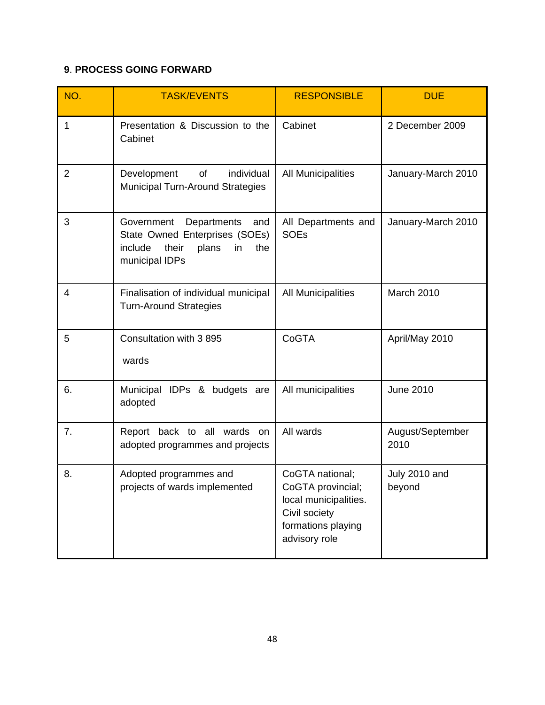# **9**. **PROCESS GOING FORWARD**

| NO.            | <b>TASK/EVENTS</b>                                                                                                             | <b>RESPONSIBLE</b>                                                                                                    | <b>DUE</b>               |
|----------------|--------------------------------------------------------------------------------------------------------------------------------|-----------------------------------------------------------------------------------------------------------------------|--------------------------|
| 1              | Presentation & Discussion to the<br>Cabinet                                                                                    | Cabinet                                                                                                               | 2 December 2009          |
| $\overline{2}$ | Development<br>of<br>individual<br><b>Municipal Turn-Around Strategies</b>                                                     | All Municipalities                                                                                                    | January-March 2010       |
| 3              | Government<br>Departments<br>and<br>State Owned Enterprises (SOEs)<br>include<br>their<br>plans<br>in<br>the<br>municipal IDPs | All Departments and<br><b>SOEs</b>                                                                                    | January-March 2010       |
| 4              | Finalisation of individual municipal<br><b>Turn-Around Strategies</b>                                                          | <b>All Municipalities</b>                                                                                             | March 2010               |
| 5              | Consultation with 3 895<br>wards                                                                                               | CoGTA                                                                                                                 | April/May 2010           |
| 6.             | Municipal IDPs & budgets are<br>adopted                                                                                        | All municipalities                                                                                                    | <b>June 2010</b>         |
| 7.             | Report back to all wards on<br>adopted programmes and projects                                                                 | All wards                                                                                                             | August/September<br>2010 |
| 8.             | Adopted programmes and<br>projects of wards implemented                                                                        | CoGTA national;<br>CoGTA provincial;<br>local municipalities.<br>Civil society<br>formations playing<br>advisory role | July 2010 and<br>beyond  |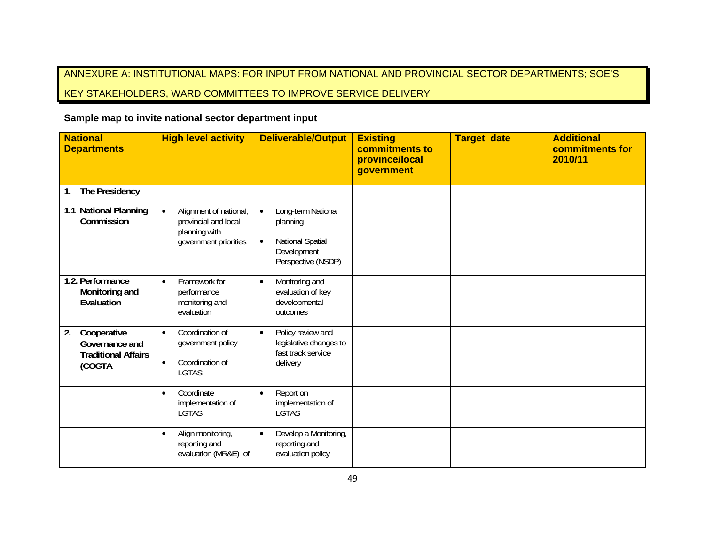# ANNEXURE A: INSTITUTIONAL MAPS: FOR INPUT FROM NATIONAL AND PROVINCIAL SECTOR DEPARTMENTS; SOE'S

# KEY STAKEHOLDERS, WARD COMMITTEES TO IMPROVE SERVICE DELIVERY

## **Sample map to invite national sector department input**

| <b>National</b><br><b>Departments</b>                                       | <b>High level activity</b>                                                                            | <b>Deliverable/Output</b>                                                                                         | <b>Existing</b><br>commitments to<br>province/local<br>government | <b>Target date</b> | <b>Additional</b><br>commitments for<br>2010/11 |
|-----------------------------------------------------------------------------|-------------------------------------------------------------------------------------------------------|-------------------------------------------------------------------------------------------------------------------|-------------------------------------------------------------------|--------------------|-------------------------------------------------|
| The Presidency<br>1.                                                        |                                                                                                       |                                                                                                                   |                                                                   |                    |                                                 |
| 1.1 National Planning<br>Commission                                         | Alignment of national,<br>$\bullet$<br>provincial and local<br>planning with<br>government priorities | Long-term National<br>$\bullet$<br>planning<br>National Spatial<br>$\bullet$<br>Development<br>Perspective (NSDP) |                                                                   |                    |                                                 |
| 1.2. Performance<br>Monitoring and<br>Evaluation                            | Framework for<br>$\bullet$<br>performance<br>monitoring and<br>evaluation                             | Monitoring and<br>$\bullet$<br>evaluation of key<br>developmental<br>outcomes                                     |                                                                   |                    |                                                 |
| Cooperative<br>2.<br>Governance and<br><b>Traditional Affairs</b><br>(COGTA | Coordination of<br>$\bullet$<br>government policy<br>Coordination of<br>$\bullet$<br><b>LGTAS</b>     | Policy review and<br>$\bullet$<br>legislative changes to<br>fast track service<br>delivery                        |                                                                   |                    |                                                 |
|                                                                             | Coordinate<br>$\bullet$<br>implementation of<br><b>LGTAS</b>                                          | Report on<br>$\bullet$<br>implementation of<br><b>LGTAS</b>                                                       |                                                                   |                    |                                                 |
|                                                                             | Align monitoring,<br>$\bullet$<br>reporting and<br>evaluation (MR&E) of                               | Develop a Monitoring,<br>$\bullet$<br>reporting and<br>evaluation policy                                          |                                                                   |                    |                                                 |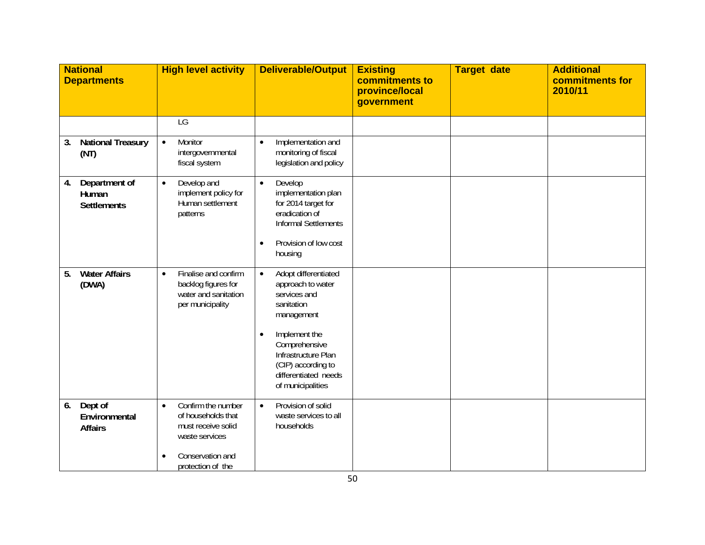| <b>National</b><br><b>Departments</b>              | <b>High level activity</b>                                                                                                                          | <b>Deliverable/Output</b>                                                                                                                                                                                                                   | <b>Existing</b><br>commitments to<br>province/local<br>government | <b>Target date</b> | <b>Additional</b><br>commitments for<br>2010/11 |
|----------------------------------------------------|-----------------------------------------------------------------------------------------------------------------------------------------------------|---------------------------------------------------------------------------------------------------------------------------------------------------------------------------------------------------------------------------------------------|-------------------------------------------------------------------|--------------------|-------------------------------------------------|
|                                                    | LG                                                                                                                                                  |                                                                                                                                                                                                                                             |                                                                   |                    |                                                 |
| <b>National Treasury</b><br>3.<br>(NT)             | Monitor<br>$\bullet$<br>intergovernmental<br>fiscal system                                                                                          | Implementation and<br>$\bullet$<br>monitoring of fiscal<br>legislation and policy                                                                                                                                                           |                                                                   |                    |                                                 |
| Department of<br>4.<br>Human<br><b>Settlements</b> | Develop and<br>$\bullet$<br>implement policy for<br>Human settlement<br>patterns                                                                    | Develop<br>$\bullet$<br>implementation plan<br>for 2014 target for<br>eradication of<br>Informal Settlements<br>Provision of low cost<br>$\bullet$<br>housing                                                                               |                                                                   |                    |                                                 |
| <b>Water Affairs</b><br>5.<br>(DWA)                | Finalise and confirm<br>$\bullet$<br>backlog figures for<br>water and sanitation<br>per municipality                                                | Adopt differentiated<br>$\bullet$<br>approach to water<br>services and<br>sanitation<br>management<br>Implement the<br>$\bullet$<br>Comprehensive<br>Infrastructure Plan<br>(CIP) according to<br>differentiated needs<br>of municipalities |                                                                   |                    |                                                 |
| Dept of<br>6.<br>Environmental<br><b>Affairs</b>   | Confirm the number<br>$\bullet$<br>of households that<br>must receive solid<br>waste services<br>Conservation and<br>$\bullet$<br>protection of the | Provision of solid<br>$\bullet$<br>waste services to all<br>households                                                                                                                                                                      |                                                                   |                    |                                                 |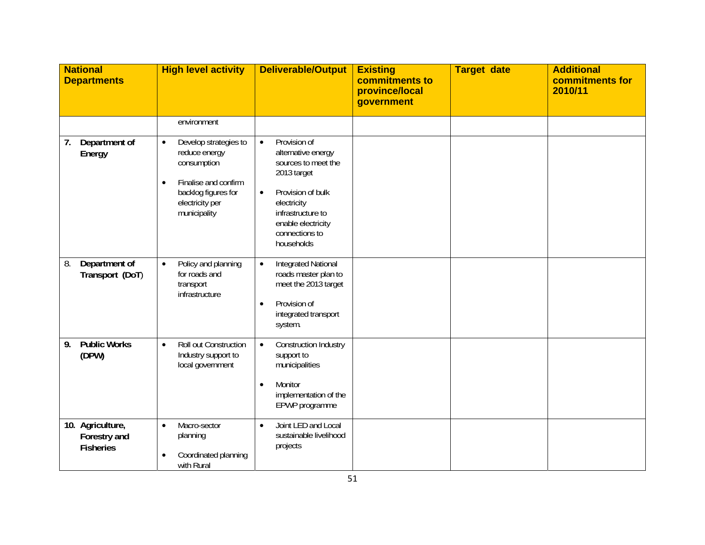| <b>National</b><br><b>Departments</b>                | <b>High level activity</b>                                                                                                                           | <b>Deliverable/Output</b>                                                                                                                                                                                         | <b>Existing</b><br>commitments to<br>province/local<br>government | <b>Target date</b> | <b>Additional</b><br>commitments for<br>2010/11 |
|------------------------------------------------------|------------------------------------------------------------------------------------------------------------------------------------------------------|-------------------------------------------------------------------------------------------------------------------------------------------------------------------------------------------------------------------|-------------------------------------------------------------------|--------------------|-------------------------------------------------|
|                                                      | environment                                                                                                                                          |                                                                                                                                                                                                                   |                                                                   |                    |                                                 |
| Department of<br>7.<br>Energy                        | Develop strategies to<br>$\bullet$<br>reduce energy<br>consumption<br>Finalise and confirm<br>backlog figures for<br>electricity per<br>municipality | Provision of<br>$\bullet$<br>alternative energy<br>sources to meet the<br>2013 target<br>Provision of bulk<br>$\bullet$<br>electricity<br>infrastructure to<br>enable electricity<br>connections to<br>households |                                                                   |                    |                                                 |
| 8.<br>Department of<br>Transport (DoT)               | Policy and planning<br>$\bullet$<br>for roads and<br>transport<br>infrastructure                                                                     | <b>Integrated National</b><br>$\bullet$<br>roads master plan to<br>meet the 2013 target<br>Provision of<br>$\bullet$<br>integrated transport<br>system.                                                           |                                                                   |                    |                                                 |
| <b>Public Works</b><br>9.<br>(DPW)                   | Roll out Construction<br>$\bullet$<br>Industry support to<br>local government                                                                        | Construction Industry<br>$\bullet$<br>support to<br>municipalities<br>Monitor<br>$\bullet$<br>implementation of the<br>EPWP programme                                                                             |                                                                   |                    |                                                 |
| 10. Agriculture,<br>Forestry and<br><b>Fisheries</b> | Macro-sector<br>$\bullet$<br>planning<br>Coordinated planning<br>with Rural                                                                          | Joint LED and Local<br>$\bullet$<br>sustainable livelihood<br>projects                                                                                                                                            |                                                                   |                    |                                                 |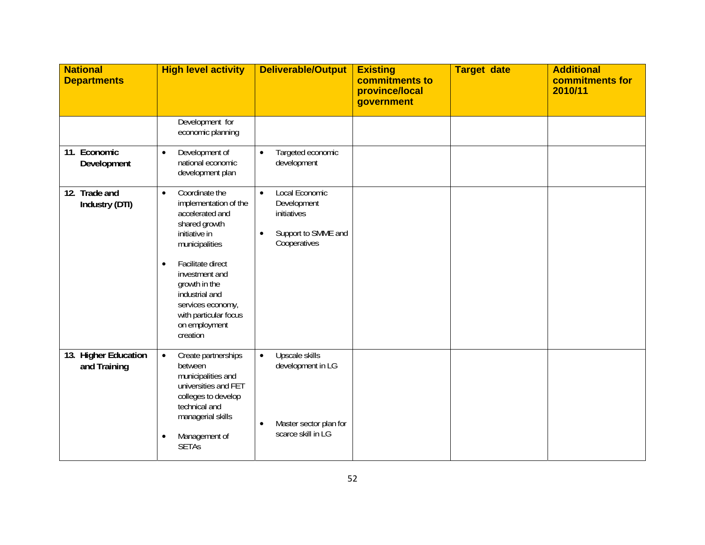| <b>National</b><br><b>Departments</b> | <b>High level activity</b>                                                                                                                                                                                                                                                                    | <b>Deliverable/Output</b>                                                                                     | <b>Existing</b><br>commitments to<br>province/local<br>government | <b>Target date</b> | <b>Additional</b><br>commitments for<br>2010/11 |
|---------------------------------------|-----------------------------------------------------------------------------------------------------------------------------------------------------------------------------------------------------------------------------------------------------------------------------------------------|---------------------------------------------------------------------------------------------------------------|-------------------------------------------------------------------|--------------------|-------------------------------------------------|
|                                       | Development for<br>economic planning                                                                                                                                                                                                                                                          |                                                                                                               |                                                                   |                    |                                                 |
| 11. Economic<br>Development           | Development of<br>$\bullet$<br>national economic<br>development plan                                                                                                                                                                                                                          | Targeted economic<br>$\bullet$<br>development                                                                 |                                                                   |                    |                                                 |
| 12. Trade and<br>Industry (DTI)       | Coordinate the<br>$\bullet$<br>implementation of the<br>accelerated and<br>shared growth<br>initiative in<br>municipalities<br>Facilitate direct<br>$\bullet$<br>investment and<br>growth in the<br>industrial and<br>services economy,<br>with particular focus<br>on employment<br>creation | Local Economic<br>$\bullet$<br>Development<br>initiatives<br>Support to SMME and<br>$\bullet$<br>Cooperatives |                                                                   |                    |                                                 |
| 13. Higher Education<br>and Training  | Create partnerships<br>$\bullet$<br>between<br>municipalities and<br>universities and FET<br>colleges to develop<br>technical and<br>managerial skills<br>Management of<br>$\bullet$<br><b>SETAs</b>                                                                                          | Upscale skills<br>$\bullet$<br>development in LG<br>Master sector plan for<br>$\bullet$<br>scarce skill in LG |                                                                   |                    |                                                 |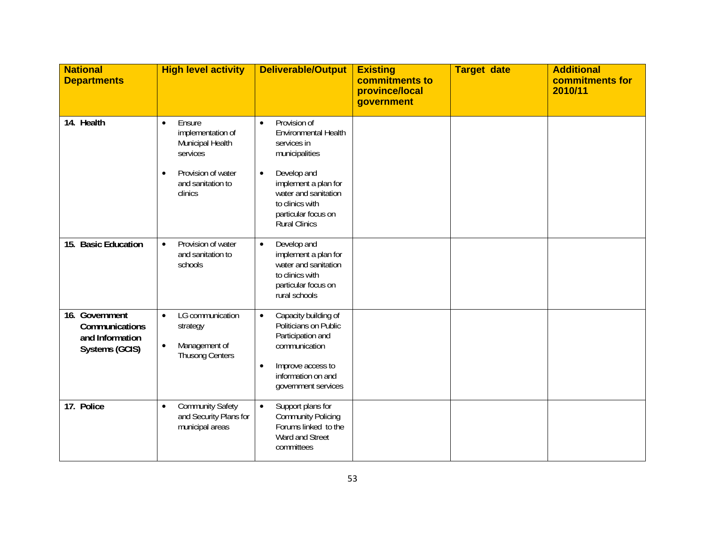| <b>National</b><br><b>Departments</b>                                 | <b>High level activity</b>                                                                                                                  | <b>Deliverable/Output</b>                                                                                                                                                                                                        | <b>Existing</b><br>commitments to<br>province/local<br>government | <b>Target date</b> | <b>Additional</b><br>commitments for<br>2010/11 |
|-----------------------------------------------------------------------|---------------------------------------------------------------------------------------------------------------------------------------------|----------------------------------------------------------------------------------------------------------------------------------------------------------------------------------------------------------------------------------|-------------------------------------------------------------------|--------------------|-------------------------------------------------|
| 14. Health                                                            | Ensure<br>$\bullet$<br>implementation of<br>Municipal Health<br>services<br>Provision of water<br>$\bullet$<br>and sanitation to<br>clinics | Provision of<br>$\bullet$<br>Environmental Health<br>services in<br>municipalities<br>Develop and<br>$\bullet$<br>implement a plan for<br>water and sanitation<br>to clinics with<br>particular focus on<br><b>Rural Clinics</b> |                                                                   |                    |                                                 |
| 15. Basic Education                                                   | Provision of water<br>$\bullet$<br>and sanitation to<br>schools                                                                             | Develop and<br>$\bullet$<br>implement a plan for<br>water and sanitation<br>to clinics with<br>particular focus on<br>rural schools                                                                                              |                                                                   |                    |                                                 |
| 16. Government<br>Communications<br>and Information<br>Systems (GCIS) | LG communication<br>$\bullet$<br>strategy<br>Management of<br>$\bullet$<br><b>Thusong Centers</b>                                           | Capacity building of<br>$\bullet$<br>Politicians on Public<br>Participation and<br>communication<br>Improve access to<br>$\bullet$<br>information on and<br>government services                                                  |                                                                   |                    |                                                 |
| 17. Police                                                            | <b>Community Safety</b><br>$\bullet$<br>and Security Plans for<br>municipal areas                                                           | Support plans for<br>$\bullet$<br><b>Community Policing</b><br>Forums linked to the<br>Ward and Street<br>committees                                                                                                             |                                                                   |                    |                                                 |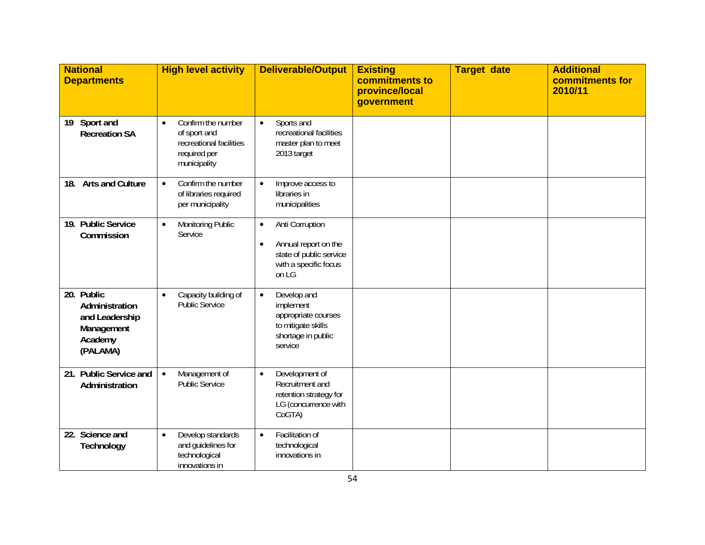| <b>National</b><br><b>Departments</b>                                               | <b>High level activity</b>                                                                                 | <b>Deliverable/Output</b>                                                                                                      | <b>Existing</b><br>commitments to<br>province/local<br>government | <b>Target date</b> | <b>Additional</b><br>commitments for<br>2010/11 |
|-------------------------------------------------------------------------------------|------------------------------------------------------------------------------------------------------------|--------------------------------------------------------------------------------------------------------------------------------|-------------------------------------------------------------------|--------------------|-------------------------------------------------|
| Sport and<br>19<br><b>Recreation SA</b>                                             | Confirm the number<br>$\bullet$<br>of sport and<br>recreational facilities<br>required per<br>municipality | Sports and<br>$\bullet$<br>recreational facilities<br>master plan to meet<br>2013 target                                       |                                                                   |                    |                                                 |
| <b>Arts and Culture</b><br>18.                                                      | Confirm the number<br>$\bullet$<br>of libraries required<br>per municipality                               | Improve access to<br>$\bullet$<br>libraries in<br>municipalities                                                               |                                                                   |                    |                                                 |
| 19. Public Service<br>Commission                                                    | Monitoring Public<br>$\bullet$<br>Service                                                                  | Anti Corruption<br>$\bullet$<br>Annual report on the<br>$\bullet$<br>state of public service<br>with a specific focus<br>on LG |                                                                   |                    |                                                 |
| 20. Public<br>Administration<br>and Leadership<br>Management<br>Academy<br>(PALAMA) | Capacity building of<br>$\bullet$<br>Public Service                                                        | Develop and<br>$\bullet$<br>implement<br>appropriate courses<br>to mitigate skills<br>shortage in public<br>service            |                                                                   |                    |                                                 |
| 21. Public Service and<br>Administration                                            | Management of<br>$\bullet$<br><b>Public Service</b>                                                        | Development of<br>$\bullet$<br>Recruitment and<br>retention strategy for<br>LG (concurrence with<br>CoGTA)                     |                                                                   |                    |                                                 |
| 22. Science and<br>Technology                                                       | Develop standards<br>$\bullet$<br>and guidelines for<br>technological<br>innovations in                    | Facilitation of<br>$\bullet$<br>technological<br>innovations in                                                                |                                                                   |                    |                                                 |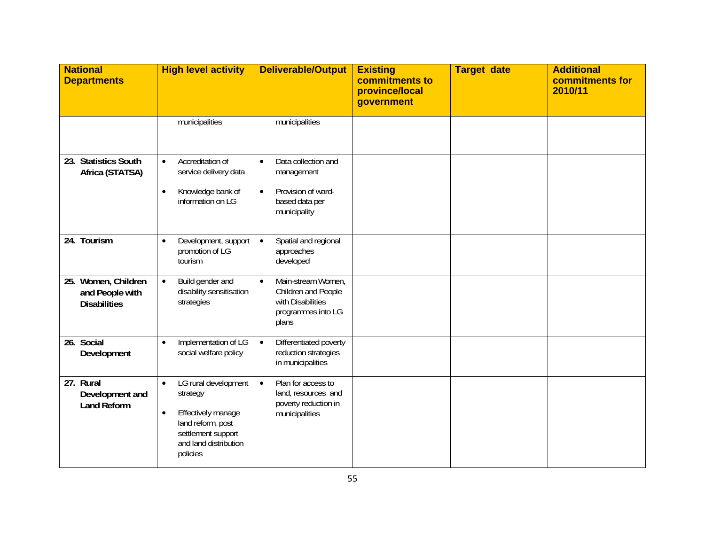| <b>National</b><br><b>Departments</b>                            | <b>High level activity</b>                                                                                                                                       | <b>Deliverable/Output</b>                                                                                           | <b>Existing</b><br>commitments to<br>province/local<br>government | <b>Target date</b> | <b>Additional</b><br>commitments for<br>2010/11 |
|------------------------------------------------------------------|------------------------------------------------------------------------------------------------------------------------------------------------------------------|---------------------------------------------------------------------------------------------------------------------|-------------------------------------------------------------------|--------------------|-------------------------------------------------|
|                                                                  | municipalities                                                                                                                                                   | municipalities                                                                                                      |                                                                   |                    |                                                 |
| <b>Statistics South</b><br>23.<br>Africa (STATSA)                | Accreditation of<br>$\bullet$<br>service delivery data<br>Knowledge bank of<br>$\bullet$<br>information on LG                                                    | Data collection and<br>$\bullet$<br>management<br>Provision of ward-<br>$\bullet$<br>based data per<br>municipality |                                                                   |                    |                                                 |
| 24. Tourism                                                      | Development, support<br>$\bullet$<br>promotion of LG<br>tourism                                                                                                  | Spatial and regional<br>$\bullet$<br>approaches<br>developed                                                        |                                                                   |                    |                                                 |
| Women, Children<br>25.<br>and People with<br><b>Disabilities</b> | Build gender and<br>$\bullet$<br>disability sensitisation<br>strategies                                                                                          | Main-stream Women,<br>$\bullet$<br>Children and People<br>with Disabilities<br>programmes into LG<br>plans          |                                                                   |                    |                                                 |
| 26. Social<br>Development                                        | Implementation of LG<br>$\bullet$<br>social welfare policy                                                                                                       | Differentiated poverty<br>$\bullet$<br>reduction strategies<br>in municipalities                                    |                                                                   |                    |                                                 |
| 27. Rural<br>Development and<br><b>Land Reform</b>               | LG rural development<br>$\bullet$<br>strategy<br>Effectively manage<br>$\bullet$<br>land reform, post<br>settlement support<br>and land distribution<br>policies | Plan for access to<br>$\bullet$<br>land, resources and<br>poverty reduction in<br>municipalities                    |                                                                   |                    |                                                 |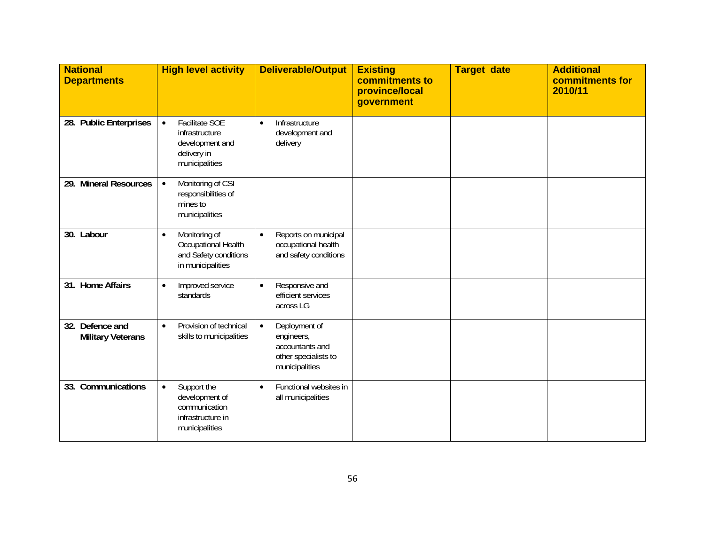| <b>National</b><br><b>Departments</b>       | <b>High level activity</b>                                                                               | <b>Deliverable/Output</b>                                                                             | <b>Existing</b><br>commitments to<br>province/local<br>government | <b>Target date</b> | <b>Additional</b><br>commitments for<br>2010/11 |
|---------------------------------------------|----------------------------------------------------------------------------------------------------------|-------------------------------------------------------------------------------------------------------|-------------------------------------------------------------------|--------------------|-------------------------------------------------|
| 28. Public Enterprises                      | <b>Facilitate SOE</b><br>$\bullet$<br>infrastructure<br>development and<br>delivery in<br>municipalities | Infrastructure<br>$\bullet$<br>development and<br>delivery                                            |                                                                   |                    |                                                 |
| 29. Mineral Resources                       | Monitoring of CSI<br>$\bullet$<br>responsibilities of<br>mines to<br>municipalities                      |                                                                                                       |                                                                   |                    |                                                 |
| 30. Labour                                  | Monitoring of<br>$\bullet$<br>Occupational Health<br>and Safety conditions<br>in municipalities          | Reports on municipal<br>$\bullet$<br>occupational health<br>and safety conditions                     |                                                                   |                    |                                                 |
| 31. Home Affairs                            | Improved service<br>$\bullet$<br>standards                                                               | Responsive and<br>$\bullet$<br>efficient services<br>across LG                                        |                                                                   |                    |                                                 |
| 32. Defence and<br><b>Military Veterans</b> | Provision of technical<br>$\bullet$<br>skills to municipalities                                          | Deployment of<br>$\bullet$<br>engineers,<br>accountants and<br>other specialists to<br>municipalities |                                                                   |                    |                                                 |
| 33. Communications                          | Support the<br>$\bullet$<br>development of<br>communication<br>infrastructure in<br>municipalities       | Functional websites in<br>$\bullet$<br>all municipalities                                             |                                                                   |                    |                                                 |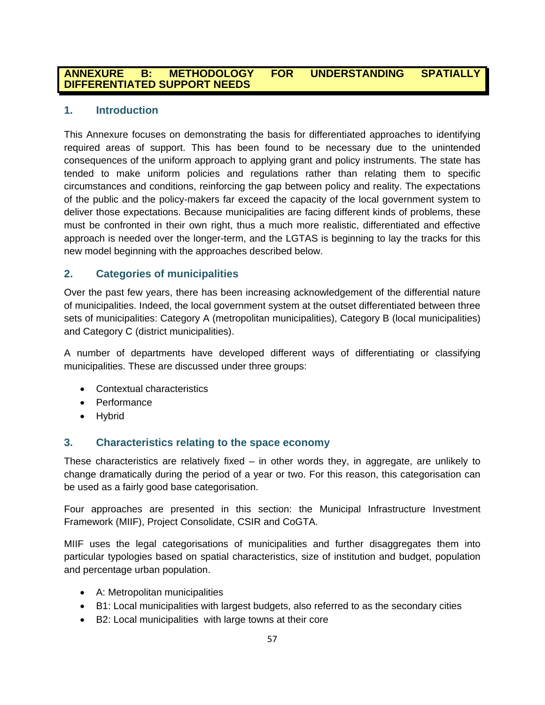## **ANNEXURE B: METHODOLOGY FOR UNDERSTANDING SPATIALLY DIFFERENTIATED SUPPORT NEEDS**

## **1. Introduction**

This Annexure focuses on demonstrating the basis for differentiated approaches to identifying required areas of support. This has been found to be necessary due to the unintended consequences of the uniform approach to applying grant and policy instruments. The state has tended to make uniform policies and regulations rather than relating them to specific circumstances and conditions, reinforcing the gap between policy and reality. The expectations of the public and the policy-makers far exceed the capacity of the local government system to deliver those expectations. Because municipalities are facing different kinds of problems, these must be confronted in their own right, thus a much more realistic, differentiated and effective approach is needed over the longer-term, and the LGTAS is beginning to lay the tracks for this new model beginning with the approaches described below.

## **2. Categories of municipalities**

Over the past few years, there has been increasing acknowledgement of the differential nature of municipalities. Indeed, the local government system at the outset differentiated between three sets of municipalities: Category A (metropolitan municipalities), Category B (local municipalities) and Category C (district municipalities).

A number of departments have developed different ways of differentiating or classifying municipalities. These are discussed under three groups:

- Contextual characteristics
- Performance
- Hybrid

## **3. Characteristics relating to the space economy**

These characteristics are relatively fixed  $-$  in other words they, in aggregate, are unlikely to change dramatically during the period of a year or two. For this reason, this categorisation can be used as a fairly good base categorisation.

Four approaches are presented in this section: the Municipal Infrastructure Investment Framework (MIIF), Project Consolidate, CSIR and CoGTA.

MIIF uses the legal categorisations of municipalities and further disaggregates them into particular typologies based on spatial characteristics, size of institution and budget, population and percentage urban population.

- A: Metropolitan municipalities
- B1: Local municipalities with largest budgets, also referred to as the secondary cities
- B2: Local municipalities with large towns at their core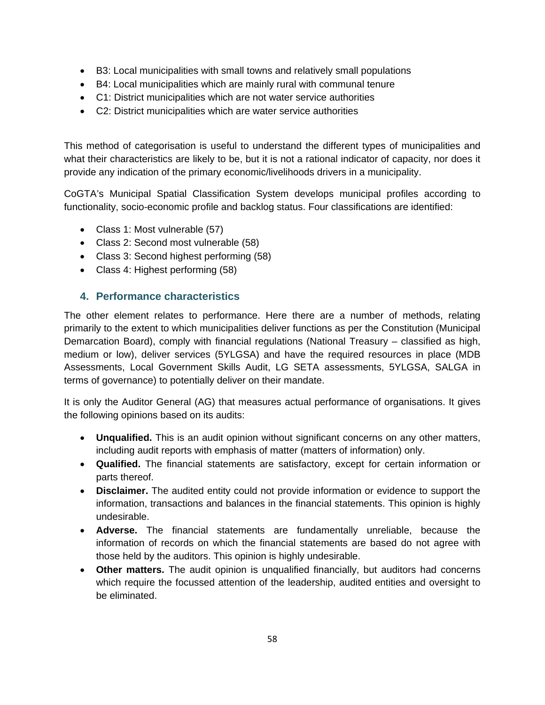- B3: Local municipalities with small towns and relatively small populations
- B4: Local municipalities which are mainly rural with communal tenure
- C1: District municipalities which are not water service authorities
- C2: District municipalities which are water service authorities

This method of categorisation is useful to understand the different types of municipalities and what their characteristics are likely to be, but it is not a rational indicator of capacity, nor does it provide any indication of the primary economic/livelihoods drivers in a municipality.

CoGTA's Municipal Spatial Classification System develops municipal profiles according to functionality, socio-economic profile and backlog status. Four classifications are identified:

- Class 1: Most vulnerable (57)
- Class 2: Second most vulnerable (58)
- Class 3: Second highest performing (58)
- Class 4: Highest performing (58)

## **4. Performance characteristics**

The other element relates to performance. Here there are a number of methods, relating primarily to the extent to which municipalities deliver functions as per the Constitution (Municipal Demarcation Board), comply with financial regulations (National Treasury – classified as high, medium or low), deliver services (5YLGSA) and have the required resources in place (MDB Assessments, Local Government Skills Audit, LG SETA assessments, 5YLGSA, SALGA in terms of governance) to potentially deliver on their mandate.

It is only the Auditor General (AG) that measures actual performance of organisations. It gives the following opinions based on its audits:

- **Unqualified.** This is an audit opinion without significant concerns on any other matters, including audit reports with emphasis of matter (matters of information) only.
- **Qualified.** The financial statements are satisfactory, except for certain information or parts thereof.
- **Disclaimer.** The audited entity could not provide information or evidence to support the information, transactions and balances in the financial statements. This opinion is highly undesirable.
- **Adverse.** The financial statements are fundamentally unreliable, because the information of records on which the financial statements are based do not agree with those held by the auditors. This opinion is highly undesirable.
- **Other matters.** The audit opinion is unqualified financially, but auditors had concerns which require the focussed attention of the leadership, audited entities and oversight to be eliminated.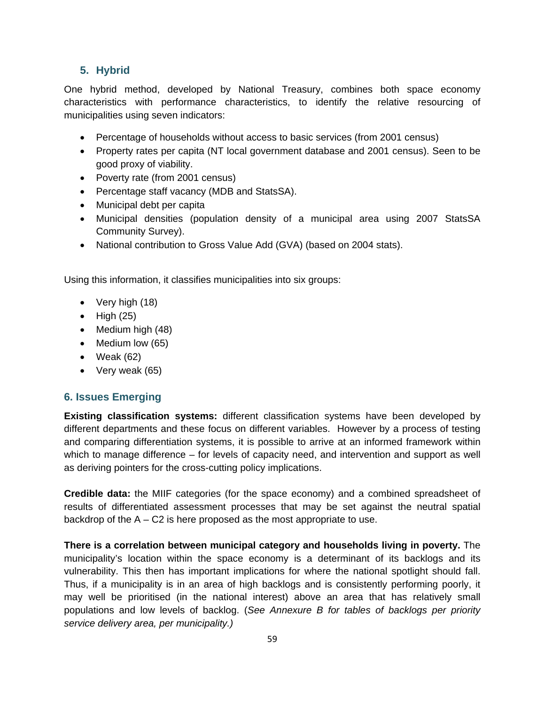## **5. Hybrid**

One hybrid method, developed by National Treasury, combines both space economy characteristics with performance characteristics, to identify the relative resourcing of municipalities using seven indicators:

- Percentage of households without access to basic services (from 2001 census)
- Property rates per capita (NT local government database and 2001 census). Seen to be good proxy of viability.
- Poverty rate (from 2001 census)
- Percentage staff vacancy (MDB and StatsSA).
- Municipal debt per capita
- Municipal densities (population density of a municipal area using 2007 StatsSA Community Survey).
- National contribution to Gross Value Add (GVA) (based on 2004 stats).

Using this information, it classifies municipalities into six groups:

- Very high (18)
- $\bullet$  High (25)
- Medium high (48)
- Medium low (65)
- Weak (62)
- Very weak (65)

## **6. Issues Emerging**

**Existing classification systems:** different classification systems have been developed by different departments and these focus on different variables. However by a process of testing and comparing differentiation systems, it is possible to arrive at an informed framework within which to manage difference – for levels of capacity need, and intervention and support as well as deriving pointers for the cross-cutting policy implications.

**Credible data:** the MIIF categories (for the space economy) and a combined spreadsheet of results of differentiated assessment processes that may be set against the neutral spatial backdrop of the  $A - C2$  is here proposed as the most appropriate to use.

**There is a correlation between municipal category and households living in poverty.** The municipality's location within the space economy is a determinant of its backlogs and its vulnerability. This then has important implications for where the national spotlight should fall. Thus, if a municipality is in an area of high backlogs and is consistently performing poorly, it may well be prioritised (in the national interest) above an area that has relatively small populations and low levels of backlog. (*See Annexure B for tables of backlogs per priority service delivery area, per municipality.)*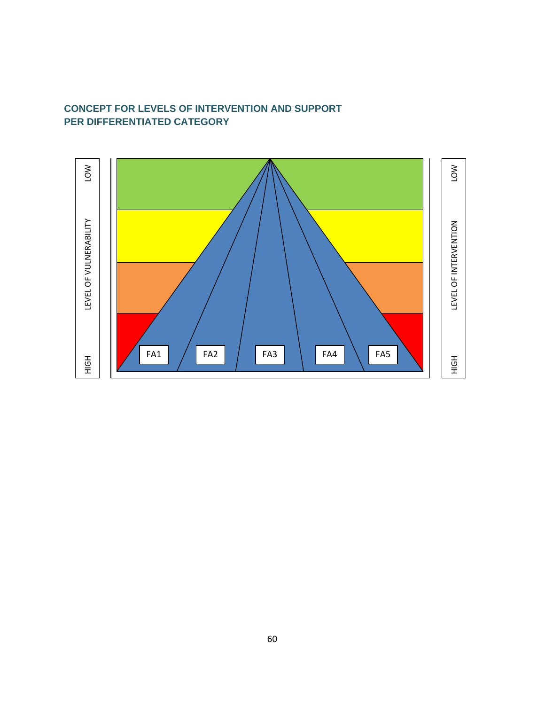# **CONCEPT FOR LEVELS OF INTERVENTION AND SUPPORT PER DIFFERENTIATED CATEGORY**

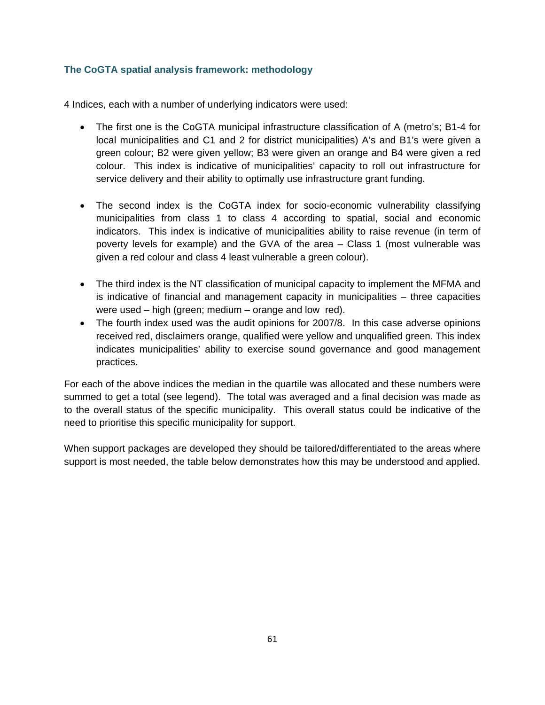## **The CoGTA spatial analysis framework: methodology**

4 Indices, each with a number of underlying indicators were used:

- The first one is the CoGTA municipal infrastructure classification of A (metro's; B1-4 for local municipalities and C1 and 2 for district municipalities) A's and B1's were given a green colour; B2 were given yellow; B3 were given an orange and B4 were given a red colour. This index is indicative of municipalities' capacity to roll out infrastructure for service delivery and their ability to optimally use infrastructure grant funding.
- The second index is the CoGTA index for socio-economic vulnerability classifying municipalities from class 1 to class 4 according to spatial, social and economic indicators. This index is indicative of municipalities ability to raise revenue (in term of poverty levels for example) and the GVA of the area – Class 1 (most vulnerable was given a red colour and class 4 least vulnerable a green colour).
- The third index is the NT classification of municipal capacity to implement the MFMA and is indicative of financial and management capacity in municipalities – three capacities were used – high (green; medium – orange and low red).
- The fourth index used was the audit opinions for 2007/8. In this case adverse opinions received red, disclaimers orange, qualified were yellow and unqualified green. This index indicates municipalities' ability to exercise sound governance and good management practices.

For each of the above indices the median in the quartile was allocated and these numbers were summed to get a total (see legend). The total was averaged and a final decision was made as to the overall status of the specific municipality. This overall status could be indicative of the need to prioritise this specific municipality for support.

When support packages are developed they should be tailored/differentiated to the areas where support is most needed, the table below demonstrates how this may be understood and applied.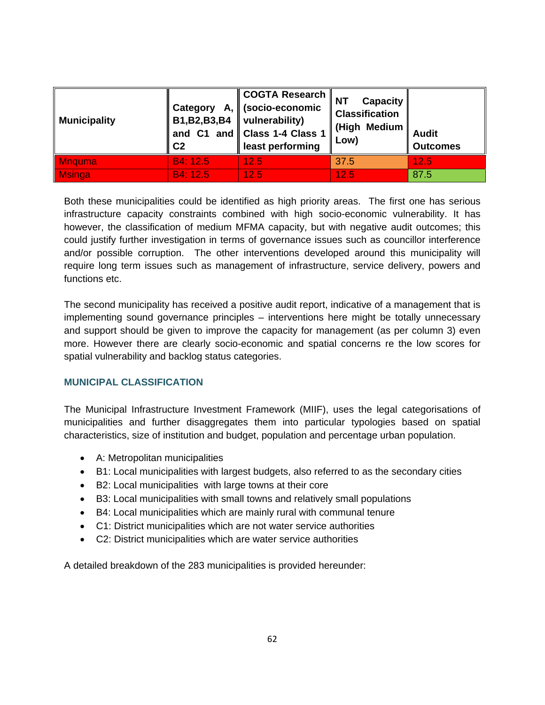| <b>Municipality</b> | Α,<br>Category<br>B1, B2, B3, B4<br>C <sub>2</sub> | <b>COGTA Research</b><br>(socio-economic<br>vulnerability)<br>and C1 and Class 1-4 Class 1<br>least performing | <b>NT</b><br><b>Capacity</b><br><b>Classification</b><br>(High Medium<br>Low) | <b>Audit</b><br><b>Outcomes</b> |
|---------------------|----------------------------------------------------|----------------------------------------------------------------------------------------------------------------|-------------------------------------------------------------------------------|---------------------------------|
| <b>Mnquma</b>       | B4: 12.5                                           | 12.5                                                                                                           | 37.5                                                                          | 12.5                            |
| <b>Msinga</b>       | B4: 12.5                                           | 12.5                                                                                                           | 12.5                                                                          | 87.5                            |

Both these municipalities could be identified as high priority areas. The first one has serious infrastructure capacity constraints combined with high socio-economic vulnerability. It has however, the classification of medium MFMA capacity, but with negative audit outcomes; this could justify further investigation in terms of governance issues such as councillor interference and/or possible corruption. The other interventions developed around this municipality will require long term issues such as management of infrastructure, service delivery, powers and functions etc.

The second municipality has received a positive audit report, indicative of a management that is implementing sound governance principles – interventions here might be totally unnecessary and support should be given to improve the capacity for management (as per column 3) even more. However there are clearly socio-economic and spatial concerns re the low scores for spatial vulnerability and backlog status categories.

## **MUNICIPAL CLASSIFICATION**

The Municipal Infrastructure Investment Framework (MIIF), uses the legal categorisations of municipalities and further disaggregates them into particular typologies based on spatial characteristics, size of institution and budget, population and percentage urban population.

- A: Metropolitan municipalities
- B1: Local municipalities with largest budgets, also referred to as the secondary cities
- B2: Local municipalities with large towns at their core
- B3: Local municipalities with small towns and relatively small populations
- B4: Local municipalities which are mainly rural with communal tenure
- C1: District municipalities which are not water service authorities
- C2: District municipalities which are water service authorities

A detailed breakdown of the 283 municipalities is provided hereunder: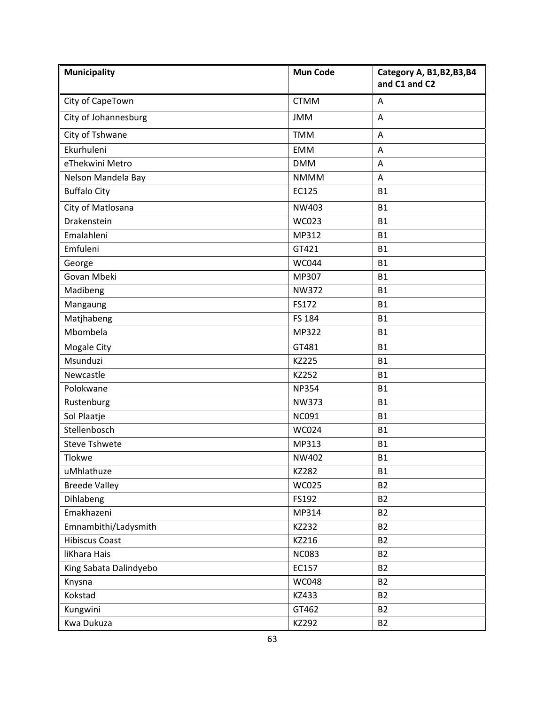| <b>Municipality</b>    | <b>Mun Code</b> | Category A, B1, B2, B3, B4<br>and C1 and C2 |
|------------------------|-----------------|---------------------------------------------|
| City of CapeTown       | <b>CTMM</b>     | Α                                           |
| City of Johannesburg   | <b>JMM</b>      | Α                                           |
| City of Tshwane        | <b>TMM</b>      | A                                           |
| Ekurhuleni             | <b>EMM</b>      | Α                                           |
| eThekwini Metro        | <b>DMM</b>      | A                                           |
| Nelson Mandela Bay     | <b>NMMM</b>     | A                                           |
| <b>Buffalo City</b>    | EC125           | <b>B1</b>                                   |
| City of Matlosana      | NW403           | <b>B1</b>                                   |
| Drakenstein            | WC023           | <b>B1</b>                                   |
| Emalahleni             | MP312           | <b>B1</b>                                   |
| Emfuleni               | GT421           | <b>B1</b>                                   |
| George                 | <b>WC044</b>    | <b>B1</b>                                   |
| Govan Mbeki            | MP307           | <b>B1</b>                                   |
| Madibeng               | <b>NW372</b>    | <b>B1</b>                                   |
| Mangaung               | FS172           | <b>B1</b>                                   |
| Matjhabeng             | FS 184          | <b>B1</b>                                   |
| Mbombela               | MP322           | <b>B1</b>                                   |
| <b>Mogale City</b>     | GT481           | <b>B1</b>                                   |
| Msunduzi               | <b>KZ225</b>    | <b>B1</b>                                   |
| Newcastle              | KZ252           | <b>B1</b>                                   |
| Polokwane              | <b>NP354</b>    | <b>B1</b>                                   |
| Rustenburg             | <b>NW373</b>    | <b>B1</b>                                   |
| Sol Plaatje            | <b>NC091</b>    | <b>B1</b>                                   |
| Stellenbosch           | <b>WC024</b>    | <b>B1</b>                                   |
| <b>Steve Tshwete</b>   | MP313           | <b>B1</b>                                   |
| Tlokwe                 | NW402           | <b>B1</b>                                   |
| uMhlathuze             | KZ282           | <b>B1</b>                                   |
| <b>Breede Valley</b>   | <b>WC025</b>    | <b>B2</b>                                   |
| Dihlabeng              | FS192           | <b>B2</b>                                   |
| Emakhazeni             | MP314           | <b>B2</b>                                   |
| Emnambithi/Ladysmith   | KZ232           | <b>B2</b>                                   |
| <b>Hibiscus Coast</b>  | KZ216           | <b>B2</b>                                   |
| liKhara Hais           | <b>NC083</b>    | <b>B2</b>                                   |
| King Sabata Dalindyebo | EC157           | <b>B2</b>                                   |
| Knysna                 | <b>WC048</b>    | <b>B2</b>                                   |
| Kokstad                | KZ433           | <b>B2</b>                                   |
| Kungwini               | GT462           | <b>B2</b>                                   |
| Kwa Dukuza             | KZ292           | <b>B2</b>                                   |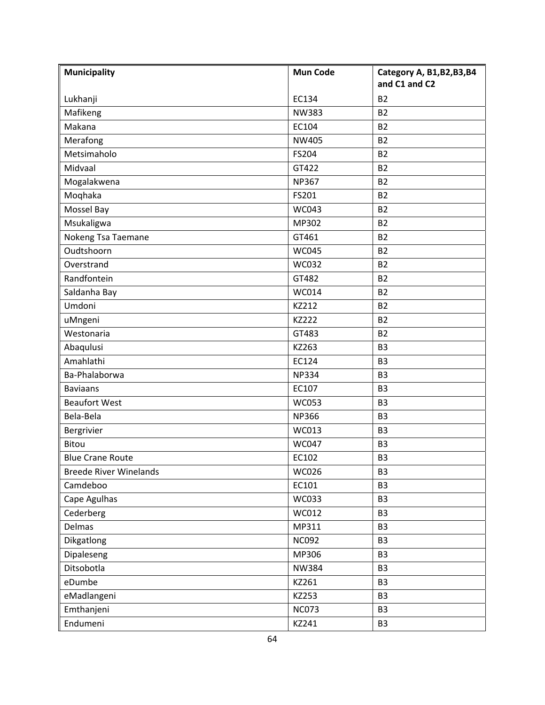| <b>Municipality</b>           | <b>Mun Code</b> | Category A, B1, B2, B3, B4<br>and C1 and C2 |
|-------------------------------|-----------------|---------------------------------------------|
| Lukhanji                      | EC134           | <b>B2</b>                                   |
| Mafikeng                      | <b>NW383</b>    | <b>B2</b>                                   |
| Makana                        | EC104           | <b>B2</b>                                   |
| Merafong                      | <b>NW405</b>    | <b>B2</b>                                   |
| Metsimaholo                   | FS204           | <b>B2</b>                                   |
| Midvaal                       | GT422           | <b>B2</b>                                   |
| Mogalakwena                   | <b>NP367</b>    | <b>B2</b>                                   |
| Moqhaka                       | FS201           | <b>B2</b>                                   |
| Mossel Bay                    | <b>WC043</b>    | <b>B2</b>                                   |
| Msukaligwa                    | MP302           | <b>B2</b>                                   |
| Nokeng Tsa Taemane            | GT461           | <b>B2</b>                                   |
| Oudtshoorn                    | <b>WC045</b>    | <b>B2</b>                                   |
| Overstrand                    | <b>WC032</b>    | <b>B2</b>                                   |
| Randfontein                   | GT482           | <b>B2</b>                                   |
| Saldanha Bay                  | WC014           | <b>B2</b>                                   |
| Umdoni                        | KZ212           | <b>B2</b>                                   |
| uMngeni                       | <b>KZ222</b>    | <b>B2</b>                                   |
| Westonaria                    | GT483           | <b>B2</b>                                   |
| Abaqulusi                     | KZ263           | B <sub>3</sub>                              |
| Amahlathi                     | EC124           | B <sub>3</sub>                              |
| Ba-Phalaborwa                 | <b>NP334</b>    | B <sub>3</sub>                              |
| <b>Baviaans</b>               | EC107           | B <sub>3</sub>                              |
| <b>Beaufort West</b>          | <b>WC053</b>    | B <sub>3</sub>                              |
| Bela-Bela                     | <b>NP366</b>    | B <sub>3</sub>                              |
| Bergrivier                    | WC013           | B <sub>3</sub>                              |
| Bitou                         | <b>WC047</b>    | B <sub>3</sub>                              |
| <b>Blue Crane Route</b>       | EC102           | B <sub>3</sub>                              |
| <b>Breede River Winelands</b> | <b>WC026</b>    | B <sub>3</sub>                              |
| Camdeboo                      | EC101           | B <sub>3</sub>                              |
| Cape Agulhas                  | WC033           | B <sub>3</sub>                              |
| Cederberg                     | WC012           | B <sub>3</sub>                              |
| Delmas                        | MP311           | B <sub>3</sub>                              |
| Dikgatlong                    | <b>NC092</b>    | B <sub>3</sub>                              |
| Dipaleseng                    | MP306           | B <sub>3</sub>                              |
| Ditsobotla                    | <b>NW384</b>    | <b>B3</b>                                   |
| eDumbe                        | KZ261           | B <sub>3</sub>                              |
| eMadlangeni                   | KZ253           | B <sub>3</sub>                              |
| Emthanjeni                    | <b>NC073</b>    | B <sub>3</sub>                              |
| Endumeni                      | KZ241           | B <sub>3</sub>                              |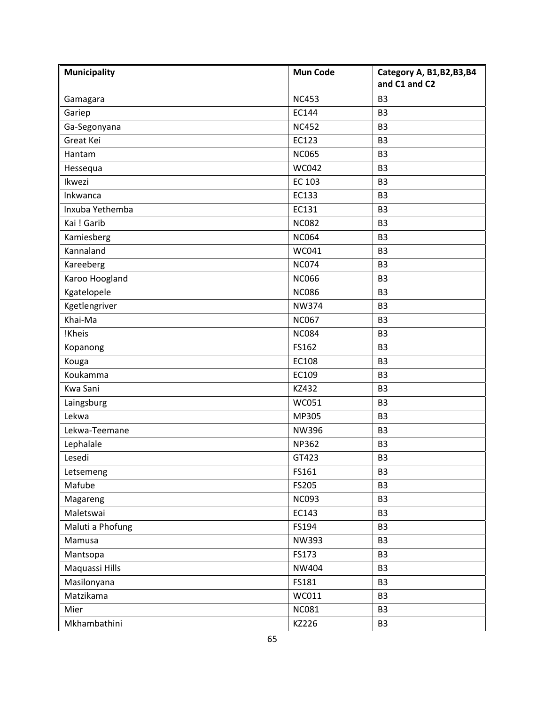| <b>Municipality</b> | <b>Mun Code</b> | Category A, B1, B2, B3, B4<br>and C1 and C2 |
|---------------------|-----------------|---------------------------------------------|
| Gamagara            | <b>NC453</b>    | B <sub>3</sub>                              |
| Gariep              | EC144           | B <sub>3</sub>                              |
| Ga-Segonyana        | <b>NC452</b>    | B <sub>3</sub>                              |
| Great Kei           | EC123           | B <sub>3</sub>                              |
| Hantam              | <b>NC065</b>    | B <sub>3</sub>                              |
| Hessequa            | <b>WC042</b>    | B <sub>3</sub>                              |
| Ikwezi              | EC 103          | B <sub>3</sub>                              |
| Inkwanca            | EC133           | B <sub>3</sub>                              |
| Inxuba Yethemba     | EC131           | B <sub>3</sub>                              |
| Kai ! Garib         | <b>NC082</b>    | B <sub>3</sub>                              |
| Kamiesberg          | <b>NC064</b>    | B <sub>3</sub>                              |
| Kannaland           | WC041           | B <sub>3</sub>                              |
| Kareeberg           | <b>NC074</b>    | B <sub>3</sub>                              |
| Karoo Hoogland      | <b>NC066</b>    | B <sub>3</sub>                              |
| Kgatelopele         | <b>NC086</b>    | B <sub>3</sub>                              |
| Kgetlengriver       | <b>NW374</b>    | B <sub>3</sub>                              |
| Khai-Ma             | <b>NC067</b>    | B <sub>3</sub>                              |
| !Kheis              | <b>NC084</b>    | B <sub>3</sub>                              |
| Kopanong            | FS162           | B <sub>3</sub>                              |
| Kouga               | EC108           | B <sub>3</sub>                              |
| Koukamma            | EC109           | B <sub>3</sub>                              |
| Kwa Sani            | KZ432           | B <sub>3</sub>                              |
| Laingsburg          | <b>WC051</b>    | B <sub>3</sub>                              |
| Lekwa               | MP305           | B <sub>3</sub>                              |
| Lekwa-Teemane       | <b>NW396</b>    | B <sub>3</sub>                              |
| Lephalale           | <b>NP362</b>    | B <sub>3</sub>                              |
| Lesedi              | GT423           | B <sub>3</sub>                              |
| Letsemeng           | FS161           | B <sub>3</sub>                              |
| Mafube              | FS205           | B <sub>3</sub>                              |
| Magareng            | <b>NC093</b>    | B <sub>3</sub>                              |
| Maletswai           | EC143           | B <sub>3</sub>                              |
| Maluti a Phofung    | FS194           | B <sub>3</sub>                              |
| Mamusa              | NW393           | B <sub>3</sub>                              |
| Mantsopa            | FS173           | B <sub>3</sub>                              |
| Maquassi Hills      | NW404           | B <sub>3</sub>                              |
| Masilonyana         | FS181           | B <sub>3</sub>                              |
| Matzikama           | WC011           | B <sub>3</sub>                              |
| Mier                | <b>NC081</b>    | B <sub>3</sub>                              |
| Mkhambathini        | KZ226           | B <sub>3</sub>                              |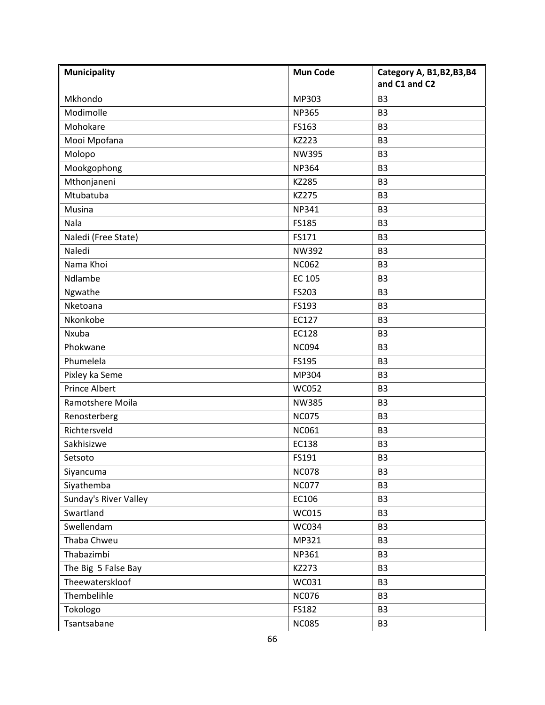| <b>Municipality</b>   | <b>Mun Code</b> | Category A, B1, B2, B3, B4<br>and C1 and C2 |
|-----------------------|-----------------|---------------------------------------------|
| Mkhondo               | MP303           | B <sub>3</sub>                              |
| Modimolle             | <b>NP365</b>    | B <sub>3</sub>                              |
| Mohokare              | FS163           | B <sub>3</sub>                              |
| Mooi Mpofana          | KZ223           | B <sub>3</sub>                              |
| Molopo                | <b>NW395</b>    | B <sub>3</sub>                              |
| Mookgophong           | <b>NP364</b>    | B <sub>3</sub>                              |
| Mthonjaneni           | KZ285           | B <sub>3</sub>                              |
| Mtubatuba             | KZ275           | B <sub>3</sub>                              |
| Musina                | <b>NP341</b>    | B <sub>3</sub>                              |
| Nala                  | FS185           | B <sub>3</sub>                              |
| Naledi (Free State)   | FS171           | B <sub>3</sub>                              |
| Naledi                | <b>NW392</b>    | B <sub>3</sub>                              |
| Nama Khoi             | <b>NC062</b>    | B <sub>3</sub>                              |
| Ndlambe               | EC 105          | B <sub>3</sub>                              |
| Ngwathe               | FS203           | B <sub>3</sub>                              |
| Nketoana              | FS193           | B <sub>3</sub>                              |
| Nkonkobe              | EC127           | B <sub>3</sub>                              |
| Nxuba                 | EC128           | B <sub>3</sub>                              |
| Phokwane              | <b>NC094</b>    | B <sub>3</sub>                              |
| Phumelela             | FS195           | B <sub>3</sub>                              |
| Pixley ka Seme        | MP304           | B <sub>3</sub>                              |
| <b>Prince Albert</b>  | <b>WC052</b>    | B <sub>3</sub>                              |
| Ramotshere Moila      | <b>NW385</b>    | B <sub>3</sub>                              |
| Renosterberg          | <b>NC075</b>    | B <sub>3</sub>                              |
| Richtersveld          | <b>NC061</b>    | B <sub>3</sub>                              |
| Sakhisizwe            | EC138           | B <sub>3</sub>                              |
| Setsoto               | FS191           | B <sub>3</sub>                              |
| Siyancuma             | <b>NC078</b>    | B <sub>3</sub>                              |
| Siyathemba            | <b>NC077</b>    | B <sub>3</sub>                              |
| Sunday's River Valley | EC106           | B <sub>3</sub>                              |
| Swartland             | WC015           | B <sub>3</sub>                              |
| Swellendam            | <b>WC034</b>    | B <sub>3</sub>                              |
| Thaba Chweu           | MP321           | B <sub>3</sub>                              |
| Thabazimbi            | NP361           | B <sub>3</sub>                              |
| The Big 5 False Bay   | KZ273           | B <sub>3</sub>                              |
| Theewaterskloof       | WC031           | B <sub>3</sub>                              |
| Thembelihle           | <b>NC076</b>    | B <sub>3</sub>                              |
| Tokologo              | FS182           | B <sub>3</sub>                              |
| Tsantsabane           | <b>NC085</b>    | B <sub>3</sub>                              |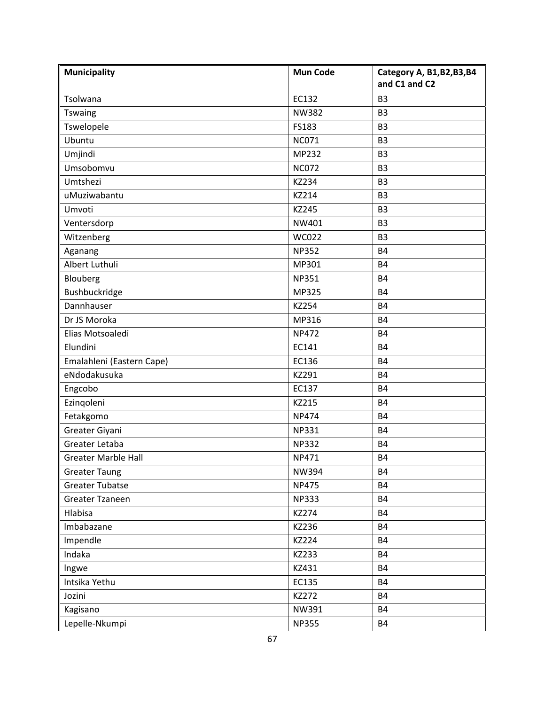| <b>Municipality</b>        | <b>Mun Code</b> | Category A, B1, B2, B3, B4<br>and C1 and C2 |
|----------------------------|-----------------|---------------------------------------------|
| Tsolwana                   | EC132           | B <sub>3</sub>                              |
| <b>Tswaing</b>             | <b>NW382</b>    | B <sub>3</sub>                              |
| Tswelopele                 | FS183           | B <sub>3</sub>                              |
| Ubuntu                     | <b>NC071</b>    | B <sub>3</sub>                              |
| Umjindi                    | MP232           | B <sub>3</sub>                              |
| Umsobomvu                  | <b>NC072</b>    | B <sub>3</sub>                              |
| Umtshezi                   | KZ234           | B <sub>3</sub>                              |
| uMuziwabantu               | KZ214           | B <sub>3</sub>                              |
| Umvoti                     | KZ245           | B <sub>3</sub>                              |
| Ventersdorp                | NW401           | B <sub>3</sub>                              |
| Witzenberg                 | <b>WC022</b>    | <b>B3</b>                                   |
| Aganang                    | <b>NP352</b>    | <b>B4</b>                                   |
| Albert Luthuli             | MP301           | <b>B4</b>                                   |
| Blouberg                   | <b>NP351</b>    | <b>B4</b>                                   |
| Bushbuckridge              | MP325           | <b>B4</b>                                   |
| Dannhauser                 | KZ254           | <b>B4</b>                                   |
| Dr JS Moroka               | MP316           | <b>B4</b>                                   |
| Elias Motsoaledi           | <b>NP472</b>    | <b>B4</b>                                   |
| Elundini                   | EC141           | <b>B4</b>                                   |
| Emalahleni (Eastern Cape)  | EC136           | <b>B4</b>                                   |
| eNdodakusuka               | KZ291           | <b>B4</b>                                   |
| Engcobo                    | EC137           | <b>B4</b>                                   |
| Ezingoleni                 | KZ215           | <b>B4</b>                                   |
| Fetakgomo                  | <b>NP474</b>    | <b>B4</b>                                   |
| Greater Giyani             | <b>NP331</b>    | <b>B4</b>                                   |
| Greater Letaba             | <b>NP332</b>    | <b>B4</b>                                   |
| <b>Greater Marble Hall</b> | NP471           | <b>B4</b>                                   |
| <b>Greater Taung</b>       | NW394           | <b>B4</b>                                   |
| <b>Greater Tubatse</b>     | <b>NP475</b>    | <b>B4</b>                                   |
| Greater Tzaneen            | <b>NP333</b>    | <b>B4</b>                                   |
| Hlabisa                    | KZ274           | <b>B4</b>                                   |
| Imbabazane                 | KZ236           | <b>B4</b>                                   |
| Impendle                   | KZ224           | <b>B4</b>                                   |
| Indaka                     | KZ233           | <b>B4</b>                                   |
| Ingwe                      | KZ431           | <b>B4</b>                                   |
| Intsika Yethu              | EC135           | <b>B4</b>                                   |
| Jozini                     | KZ272           | <b>B4</b>                                   |
| Kagisano                   | NW391           | <b>B4</b>                                   |
| Lepelle-Nkumpi             | <b>NP355</b>    | <b>B4</b>                                   |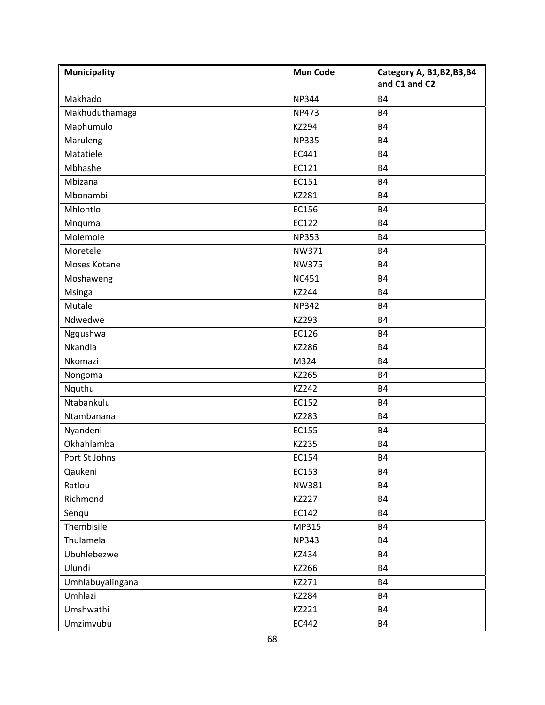| <b>Municipality</b> | <b>Mun Code</b> | Category A, B1, B2, B3, B4<br>and C1 and C2 |
|---------------------|-----------------|---------------------------------------------|
| Makhado             | <b>NP344</b>    | <b>B4</b>                                   |
| Makhuduthamaga      | <b>NP473</b>    | <b>B4</b>                                   |
| Maphumulo           | KZ294           | <b>B4</b>                                   |
| Maruleng            | <b>NP335</b>    | <b>B4</b>                                   |
| Matatiele           | EC441           | <b>B4</b>                                   |
| Mbhashe             | EC121           | <b>B4</b>                                   |
| Mbizana             | EC151           | <b>B4</b>                                   |
| Mbonambi            | KZ281           | <b>B4</b>                                   |
| Mhlontlo            | EC156           | <b>B4</b>                                   |
| Mnquma              | EC122           | <b>B4</b>                                   |
| Molemole            | <b>NP353</b>    | <b>B4</b>                                   |
| Moretele            | NW371           | <b>B4</b>                                   |
| Moses Kotane        | <b>NW375</b>    | <b>B4</b>                                   |
| Moshaweng           | <b>NC451</b>    | <b>B4</b>                                   |
| <b>Msinga</b>       | KZ244           | <b>B4</b>                                   |
| Mutale              | <b>NP342</b>    | <b>B4</b>                                   |
| Ndwedwe             | KZ293           | <b>B4</b>                                   |
| Ngqushwa            | EC126           | <b>B4</b>                                   |
| Nkandla             | KZ286           | <b>B4</b>                                   |
| Nkomazi             | M324            | <b>B4</b>                                   |
| Nongoma             | KZ265           | <b>B4</b>                                   |
| Nquthu              | KZ242           | <b>B4</b>                                   |
| Ntabankulu          | EC152           | <b>B4</b>                                   |
| Ntambanana          | KZ283           | <b>B4</b>                                   |
| Nyandeni            | EC155           | <b>B4</b>                                   |
| Okhahlamba          | KZ235           | <b>B4</b>                                   |
| Port St Johns       | EC154           | <b>B4</b>                                   |
| Qaukeni             | EC153           | <b>B4</b>                                   |
| Ratlou              | NW381           | <b>B4</b>                                   |
| Richmond            | <b>KZ227</b>    | <b>B4</b>                                   |
| Senqu               | EC142           | <b>B4</b>                                   |
| Thembisile          | MP315           | <b>B4</b>                                   |
| Thulamela           | <b>NP343</b>    | <b>B4</b>                                   |
| Ubuhlebezwe         | KZ434           | <b>B4</b>                                   |
| Ulundi              | KZ266           | <b>B4</b>                                   |
| Umhlabuyalingana    | KZ271           | <b>B4</b>                                   |
| Umhlazi             | KZ284           | <b>B4</b>                                   |
| Umshwathi           | KZ221           | <b>B4</b>                                   |
| Umzimvubu           | EC442           | <b>B4</b>                                   |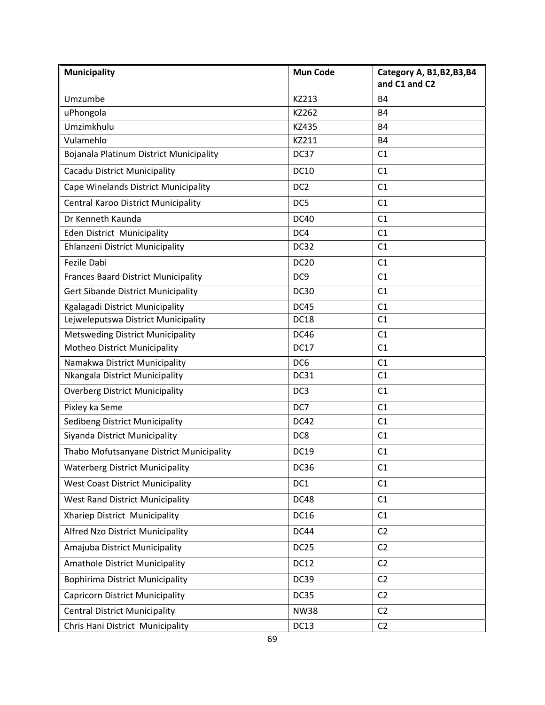| <b>Municipality</b>                        | <b>Mun Code</b>  | Category A, B1, B2, B3, B4<br>and C1 and C2 |
|--------------------------------------------|------------------|---------------------------------------------|
| Umzumbe                                    | KZ213            | <b>B4</b>                                   |
| uPhongola                                  | KZ262            | <b>B4</b>                                   |
| Umzimkhulu                                 | KZ435            | <b>B4</b>                                   |
| Vulamehlo                                  | KZ211            | <b>B4</b>                                   |
| Bojanala Platinum District Municipality    | DC37             | C <sub>1</sub>                              |
| Cacadu District Municipality               | <b>DC10</b>      | C1                                          |
| Cape Winelands District Municipality       | DC <sub>2</sub>  | C <sub>1</sub>                              |
| Central Karoo District Municipality        | DC5              | C1                                          |
| Dr Kenneth Kaunda                          | <b>DC40</b>      | C1                                          |
| <b>Eden District Municipality</b>          | DC4              | C1                                          |
| Ehlanzeni District Municipality            | DC32             | C <sub>1</sub>                              |
| Fezile Dabi                                | <b>DC20</b>      | C1                                          |
| <b>Frances Baard District Municipality</b> | DC <sub>9</sub>  | C1                                          |
| <b>Gert Sibande District Municipality</b>  | <b>DC30</b>      | C1                                          |
| Kgalagadi District Municipality            | <b>DC45</b>      | C1                                          |
| Lejweleputswa District Municipality        | <b>DC18</b>      | C1                                          |
| <b>Metsweding District Municipality</b>    | <b>DC46</b>      | C1                                          |
| Motheo District Municipality               | <b>DC17</b>      | C1                                          |
| Namakwa District Municipality              | DC <sub>6</sub>  | C1                                          |
| Nkangala District Municipality             | DC31             | C1                                          |
| <b>Overberg District Municipality</b>      | DC3              | C1                                          |
| Pixley ka Seme                             | DC7              | C1                                          |
| Sedibeng District Municipality             | DC42             | C1                                          |
| Siyanda District Municipality              | DC8              | C1                                          |
| Thabo Mofutsanyane District Municipality   | <b>DC19</b>      | C1                                          |
| <b>Waterberg District Municipality</b>     | <b>DC36</b>      | C1                                          |
| <b>West Coast District Municipality</b>    | DC1              | C1                                          |
| <b>West Rand District Municipality</b>     | DC48             | C1                                          |
| Xhariep District Municipality              | <b>DC16</b>      | C1                                          |
| Alfred Nzo District Municipality           | DC44             | C <sub>2</sub>                              |
| Amajuba District Municipality              | DC <sub>25</sub> | C <sub>2</sub>                              |
| <b>Amathole District Municipality</b>      | <b>DC12</b>      | C <sub>2</sub>                              |
| <b>Bophirima District Municipality</b>     | <b>DC39</b>      | C <sub>2</sub>                              |
| <b>Capricorn District Municipality</b>     | DC35             | C <sub>2</sub>                              |
| <b>Central District Municipality</b>       | <b>NW38</b>      | C <sub>2</sub>                              |
| Chris Hani District Municipality           | <b>DC13</b>      | C <sub>2</sub>                              |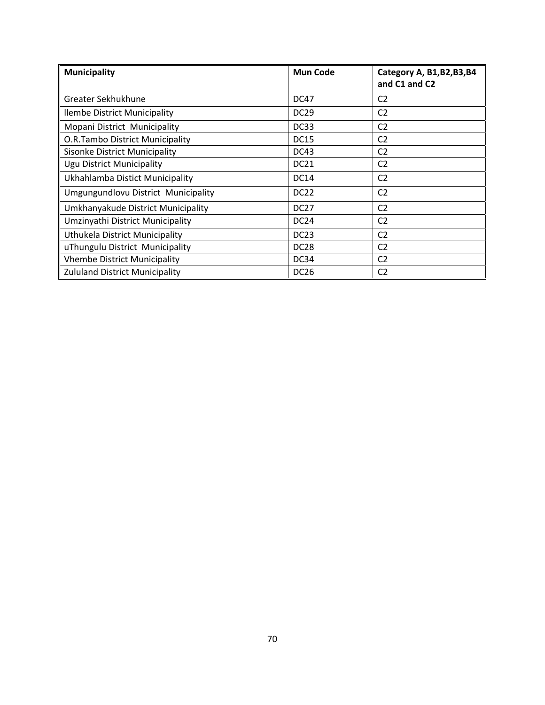| <b>Municipality</b>                    | <b>Mun Code</b>  | Category A, B1, B2, B3, B4<br>and C1 and C2 |
|----------------------------------------|------------------|---------------------------------------------|
| Greater Sekhukhune                     | <b>DC47</b>      | C <sub>2</sub>                              |
| llembe District Municipality           | <b>DC29</b>      | C <sub>2</sub>                              |
| Mopani District Municipality           | DC33             | C <sub>2</sub>                              |
| <b>O.R.Tambo District Municipality</b> | <b>DC15</b>      | C <sub>2</sub>                              |
| <b>Sisonke District Municipality</b>   | DC43             | C <sub>2</sub>                              |
| <b>Ugu District Municipality</b>       | <b>DC21</b>      | C <sub>2</sub>                              |
| Ukhahlamba Distict Municipality        | <b>DC14</b>      | C <sub>2</sub>                              |
| Umgungundlovu District Municipality    | DC <sub>22</sub> | C <sub>2</sub>                              |
| Umkhanyakude District Municipality     | DC <sub>27</sub> | C <sub>2</sub>                              |
| Umzinyathi District Municipality       | DC <sub>24</sub> | C <sub>2</sub>                              |
| Uthukela District Municipality         | DC <sub>23</sub> | C <sub>2</sub>                              |
| uThungulu District Municipality        | DC <sub>28</sub> | C <sub>2</sub>                              |
| <b>Vhembe District Municipality</b>    | <b>DC34</b>      | C <sub>2</sub>                              |
| <b>Zululand District Municipality</b>  | <b>DC26</b>      | C <sub>2</sub>                              |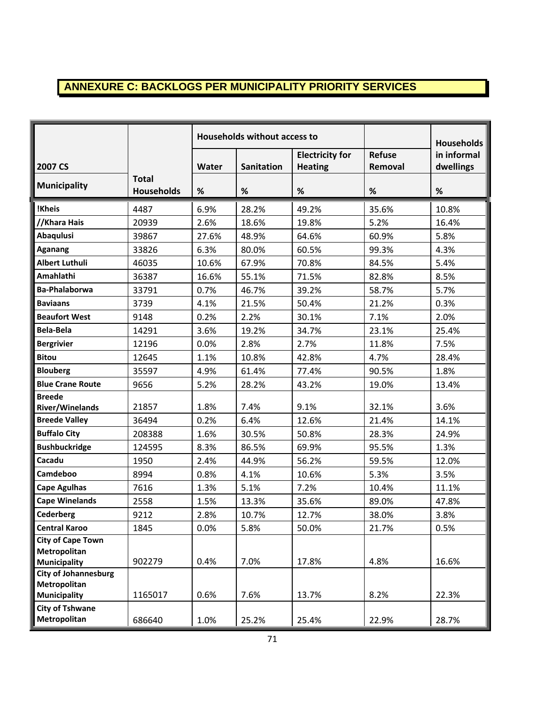# **ANNEXURE C: BACKLOGS PER MUNICIPALITY PRIORITY SERVICES**

|                                     |                                   | Households without access to |                   |                        |               | <b>Households</b> |
|-------------------------------------|-----------------------------------|------------------------------|-------------------|------------------------|---------------|-------------------|
|                                     |                                   |                              |                   | <b>Electricity for</b> | <b>Refuse</b> | in informal       |
| 2007 CS                             |                                   | Water                        | <b>Sanitation</b> | <b>Heating</b>         | Removal       | dwellings         |
| <b>Municipality</b>                 | <b>Total</b><br><b>Households</b> | $\%$                         | $\%$              | $\%$                   | $\%$          | $\%$              |
| !Kheis                              | 4487                              | 6.9%                         | 28.2%             | 49.2%                  | 35.6%         | 10.8%             |
| //Khara Hais                        | 20939                             | 2.6%                         | 18.6%             | 19.8%                  | 5.2%          | 16.4%             |
| <b>Abaqulusi</b>                    | 39867                             | 27.6%                        | 48.9%             | 64.6%                  | 60.9%         | 5.8%              |
| <b>Aganang</b>                      | 33826                             | 6.3%                         | 80.0%             | 60.5%                  | 99.3%         | 4.3%              |
| <b>Albert Luthuli</b>               | 46035                             | 10.6%                        | 67.9%             | 70.8%                  | 84.5%         | 5.4%              |
| Amahlathi                           | 36387                             | 16.6%                        | 55.1%             | 71.5%                  | 82.8%         | 8.5%              |
| <b>Ba-Phalaborwa</b>                | 33791                             | 0.7%                         | 46.7%             | 39.2%                  | 58.7%         | 5.7%              |
| <b>Baviaans</b>                     | 3739                              | 4.1%                         | 21.5%             | 50.4%                  | 21.2%         | 0.3%              |
| <b>Beaufort West</b>                | 9148                              | 0.2%                         | 2.2%              | 30.1%                  | 7.1%          | 2.0%              |
| Bela-Bela                           | 14291                             | 3.6%                         | 19.2%             | 34.7%                  | 23.1%         | 25.4%             |
| <b>Bergrivier</b>                   | 12196                             | 0.0%                         | 2.8%              | 2.7%                   | 11.8%         | 7.5%              |
| <b>Bitou</b>                        | 12645                             | 1.1%                         | 10.8%             | 42.8%                  | 4.7%          | 28.4%             |
| <b>Blouberg</b>                     | 35597                             | 4.9%                         | 61.4%             | 77.4%                  | 90.5%         | 1.8%              |
| <b>Blue Crane Route</b>             | 9656                              | 5.2%                         | 28.2%             | 43.2%                  | 19.0%         | 13.4%             |
| <b>Breede</b>                       |                                   |                              |                   |                        |               |                   |
| <b>River/Winelands</b>              | 21857                             | 1.8%                         | 7.4%              | 9.1%                   | 32.1%         | 3.6%              |
| <b>Breede Valley</b>                | 36494                             | 0.2%                         | 6.4%              | 12.6%                  | 21.4%         | 14.1%             |
| <b>Buffalo City</b>                 | 208388                            | 1.6%                         | 30.5%             | 50.8%                  | 28.3%         | 24.9%             |
| <b>Bushbuckridge</b>                | 124595                            | 8.3%                         | 86.5%             | 69.9%                  | 95.5%         | 1.3%              |
| Cacadu                              | 1950                              | 2.4%                         | 44.9%             | 56.2%                  | 59.5%         | 12.0%             |
| Camdeboo                            | 8994                              | 0.8%                         | 4.1%              | 10.6%                  | 5.3%          | 3.5%              |
| <b>Cape Agulhas</b>                 | 7616                              | 1.3%                         | 5.1%              | 7.2%                   | 10.4%         | 11.1%             |
| <b>Cape Winelands</b>               | 2558                              | 1.5%                         | 13.3%             | 35.6%                  | 89.0%         | 47.8%             |
| <b>Cederberg</b>                    | 9212                              | 2.8%                         | 10.7%             | 12.7%                  | 38.0%         | 3.8%              |
| <b>Central Karoo</b>                | 1845                              | 0.0%                         | 5.8%              | 50.0%                  | 21.7%         | 0.5%              |
| <b>City of Cape Town</b>            |                                   |                              |                   |                        |               |                   |
| Metropolitan<br><b>Municipality</b> | 902279                            | 0.4%                         | 7.0%              | 17.8%                  | 4.8%          | 16.6%             |
| <b>City of Johannesburg</b>         |                                   |                              |                   |                        |               |                   |
| <b>Metropolitan</b>                 |                                   |                              |                   |                        |               |                   |
| <b>Municipality</b>                 | 1165017                           | 0.6%                         | 7.6%              | 13.7%                  | 8.2%          | 22.3%             |
| <b>City of Tshwane</b>              |                                   |                              |                   |                        |               |                   |
| Metropolitan                        | 686640                            | 1.0%                         | 25.2%             | 25.4%                  | 22.9%         | 28.7%             |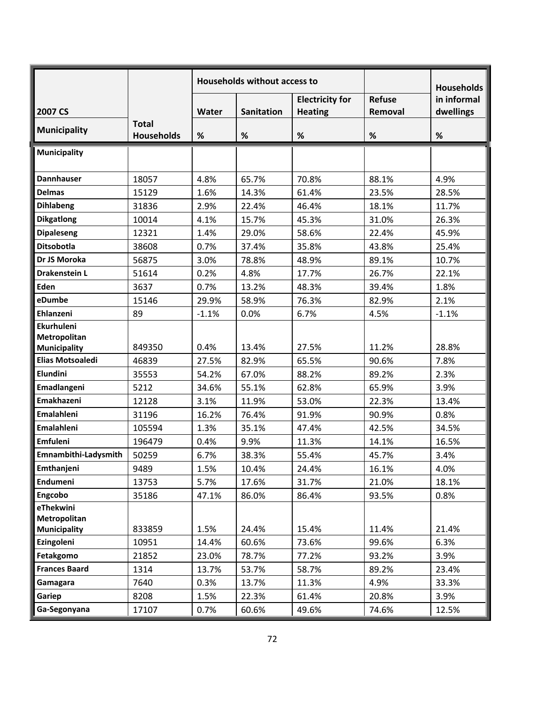|                                   |                                   | <b>Households without access to</b> |                   |                        |         | <b>Households</b> |
|-----------------------------------|-----------------------------------|-------------------------------------|-------------------|------------------------|---------|-------------------|
|                                   |                                   |                                     |                   | <b>Electricity for</b> | Refuse  | in informal       |
| 2007 CS                           |                                   | <b>Water</b>                        | <b>Sanitation</b> | <b>Heating</b>         | Removal | dwellings         |
| <b>Municipality</b>               | <b>Total</b><br><b>Households</b> | %                                   | $\%$              | $\%$                   | $\%$    | $\%$              |
| <b>Municipality</b>               |                                   |                                     |                   |                        |         |                   |
| <b>Dannhauser</b>                 | 18057                             | 4.8%                                | 65.7%             | 70.8%                  | 88.1%   | 4.9%              |
| <b>Delmas</b>                     | 15129                             | 1.6%                                | 14.3%             | 61.4%                  | 23.5%   | 28.5%             |
| <b>Dihlabeng</b>                  | 31836                             | 2.9%                                | 22.4%             | 46.4%                  | 18.1%   | 11.7%             |
| <b>Dikgatlong</b>                 | 10014                             | 4.1%                                | 15.7%             | 45.3%                  | 31.0%   | 26.3%             |
| <b>Dipaleseng</b>                 | 12321                             | 1.4%                                | 29.0%             | 58.6%                  | 22.4%   | 45.9%             |
| Ditsobotla                        | 38608                             | 0.7%                                | 37.4%             | 35.8%                  | 43.8%   | 25.4%             |
| Dr JS Moroka                      | 56875                             | 3.0%                                | 78.8%             | 48.9%                  | 89.1%   | 10.7%             |
| <b>Drakenstein L</b>              | 51614                             | 0.2%                                | 4.8%              | 17.7%                  | 26.7%   | 22.1%             |
| Eden                              | 3637                              | 0.7%                                | 13.2%             | 48.3%                  | 39.4%   | 1.8%              |
| eDumbe                            | 15146                             | 29.9%                               | 58.9%             | 76.3%                  | 82.9%   | 2.1%              |
| Ehlanzeni                         | 89                                | $-1.1%$                             | 0.0%              | 6.7%                   | 4.5%    | $-1.1%$           |
| <b>Ekurhuleni</b>                 |                                   |                                     |                   |                        |         |                   |
| Metropolitan                      |                                   |                                     |                   |                        |         |                   |
| <b>Municipality</b>               | 849350                            | 0.4%                                | 13.4%             | 27.5%                  | 11.2%   | 28.8%             |
| <b>Elias Motsoaledi</b>           | 46839                             | 27.5%                               | 82.9%             | 65.5%                  | 90.6%   | 7.8%              |
| Elundini                          | 35553                             | 54.2%                               | 67.0%             | 88.2%                  | 89.2%   | 2.3%              |
| Emadlangeni                       | 5212                              | 34.6%                               | 55.1%             | 62.8%                  | 65.9%   | 3.9%              |
| Emakhazeni                        | 12128                             | 3.1%                                | 11.9%             | 53.0%                  | 22.3%   | 13.4%             |
| Emalahleni                        | 31196                             | 16.2%                               | 76.4%             | 91.9%                  | 90.9%   | 0.8%              |
| Emalahleni                        | 105594                            | 1.3%                                | 35.1%             | 47.4%                  | 42.5%   | 34.5%             |
| <b>Emfuleni</b>                   | 196479                            | 0.4%                                | 9.9%              | 11.3%                  | 14.1%   | 16.5%             |
| Emnambithi-Ladysmith              | 50259                             | 6.7%                                | 38.3%             | 55.4%                  | 45.7%   | 3.4%              |
| Emthanjeni                        | 9489                              | 1.5%                                | 10.4%             | 24.4%                  | 16.1%   | 4.0%              |
| Endumeni                          | 13753                             | 5.7%                                | 17.6%             | 31.7%                  | 21.0%   | 18.1%             |
| Engcobo                           | 35186                             | 47.1%                               | 86.0%             | 86.4%                  | 93.5%   | 0.8%              |
| eThekwini                         |                                   |                                     |                   |                        |         |                   |
| Metropolitan                      | 833859                            | 1.5%                                | 24.4%             | 15.4%                  | 11.4%   | 21.4%             |
| <b>Municipality</b><br>Ezingoleni | 10951                             | 14.4%                               | 60.6%             | 73.6%                  | 99.6%   | 6.3%              |
| Fetakgomo                         | 21852                             | 23.0%                               | 78.7%             | 77.2%                  | 93.2%   | 3.9%              |
| <b>Frances Baard</b>              |                                   |                                     |                   |                        | 89.2%   | 23.4%             |
|                                   | 1314                              | 13.7%                               | 53.7%             | 58.7%                  |         |                   |
| Gamagara                          | 7640                              | 0.3%                                | 13.7%             | 11.3%                  | 4.9%    | 33.3%             |
| Gariep                            | 8208                              | 1.5%                                | 22.3%             | 61.4%                  | 20.8%   | 3.9%              |
| Ga-Segonyana                      | 17107                             | 0.7%                                | 60.6%             | 49.6%                  | 74.6%   | 12.5%             |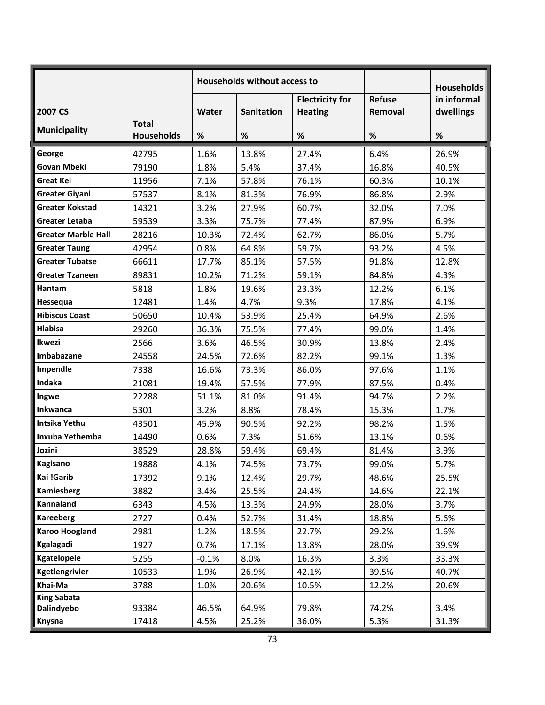|                                  |                                   | <b>Households without access to</b> |                   |                                          |                          | <b>Households</b>        |
|----------------------------------|-----------------------------------|-------------------------------------|-------------------|------------------------------------------|--------------------------|--------------------------|
| 2007 CS                          |                                   | Water                               | <b>Sanitation</b> | <b>Electricity for</b><br><b>Heating</b> | <b>Refuse</b><br>Removal | in informal<br>dwellings |
| <b>Municipality</b>              | <b>Total</b><br><b>Households</b> | %                                   | %                 | %                                        | %                        | %                        |
| George                           | 42795                             | 1.6%                                | 13.8%             | 27.4%                                    | 6.4%                     | 26.9%                    |
| <b>Govan Mbeki</b>               | 79190                             | 1.8%                                | 5.4%              | 37.4%                                    | 16.8%                    | 40.5%                    |
| <b>Great Kei</b>                 | 11956                             | 7.1%                                | 57.8%             | 76.1%                                    | 60.3%                    | 10.1%                    |
| <b>Greater Giyani</b>            | 57537                             | 8.1%                                | 81.3%             | 76.9%                                    | 86.8%                    | 2.9%                     |
| <b>Greater Kokstad</b>           | 14321                             | 3.2%                                | 27.9%             | 60.7%                                    | 32.0%                    | 7.0%                     |
| <b>Greater Letaba</b>            | 59539                             | 3.3%                                | 75.7%             | 77.4%                                    | 87.9%                    | 6.9%                     |
| <b>Greater Marble Hall</b>       | 28216                             | 10.3%                               | 72.4%             | 62.7%                                    | 86.0%                    | 5.7%                     |
| <b>Greater Taung</b>             | 42954                             | 0.8%                                | 64.8%             | 59.7%                                    | 93.2%                    | 4.5%                     |
| <b>Greater Tubatse</b>           | 66611                             | 17.7%                               | 85.1%             | 57.5%                                    | 91.8%                    | 12.8%                    |
| <b>Greater Tzaneen</b>           | 89831                             | 10.2%                               | 71.2%             | 59.1%                                    | 84.8%                    | 4.3%                     |
| Hantam                           | 5818                              | 1.8%                                | 19.6%             | 23.3%                                    | 12.2%                    | 6.1%                     |
| Hessequa                         | 12481                             | 1.4%                                | 4.7%              | 9.3%                                     | 17.8%                    | 4.1%                     |
| <b>Hibiscus Coast</b>            | 50650                             | 10.4%                               | 53.9%             | 25.4%                                    | 64.9%                    | 2.6%                     |
| <b>Hlabisa</b>                   | 29260                             | 36.3%                               | 75.5%             | 77.4%                                    | 99.0%                    | 1.4%                     |
| Ikwezi                           | 2566                              | 3.6%                                | 46.5%             | 30.9%                                    | 13.8%                    | 2.4%                     |
| Imbabazane                       | 24558                             | 24.5%                               | 72.6%             | 82.2%                                    | 99.1%                    | 1.3%                     |
| Impendle                         | 7338                              | 16.6%                               | 73.3%             | 86.0%                                    | 97.6%                    | 1.1%                     |
| Indaka                           | 21081                             | 19.4%                               | 57.5%             | 77.9%                                    | 87.5%                    | 0.4%                     |
| Ingwe                            | 22288                             | 51.1%                               | 81.0%             | 91.4%                                    | 94.7%                    | 2.2%                     |
| <b>Inkwanca</b>                  | 5301                              | 3.2%                                | 8.8%              | 78.4%                                    | 15.3%                    | 1.7%                     |
| Intsika Yethu                    | 43501                             | 45.9%                               | 90.5%             | 92.2%                                    | 98.2%                    | 1.5%                     |
| Inxuba Yethemba                  | 14490                             | 0.6%                                | 7.3%              | 51.6%                                    | 13.1%                    | 0.6%                     |
| Jozini                           | 38529                             | 28.8%                               | 59.4%             | 69.4%                                    | 81.4%                    | 3.9%                     |
| <b>Kagisano</b>                  | 19888                             | 4.1%                                | 74.5%             | 73.7%                                    | 99.0%                    | 5.7%                     |
| Kai !Garib                       | 17392                             | 9.1%                                | 12.4%             | 29.7%                                    | 48.6%                    | 25.5%                    |
| <b>Kamiesberg</b>                | 3882                              | 3.4%                                | 25.5%             | 24.4%                                    | 14.6%                    | 22.1%                    |
| Kannaland                        | 6343                              | 4.5%                                | 13.3%             | 24.9%                                    | 28.0%                    | 3.7%                     |
| <b>Kareeberg</b>                 | 2727                              | 0.4%                                | 52.7%             | 31.4%                                    | 18.8%                    | 5.6%                     |
| <b>Karoo Hoogland</b>            | 2981                              | 1.2%                                | 18.5%             | 22.7%                                    | 29.2%                    | 1.6%                     |
| Kgalagadi                        | 1927                              | 0.7%                                | 17.1%             | 13.8%                                    | 28.0%                    | 39.9%                    |
| Kgatelopele                      | 5255                              | $-0.1%$                             | 8.0%              | 16.3%                                    | 3.3%                     | 33.3%                    |
| Kgetlengrivier                   | 10533                             | 1.9%                                | 26.9%             | 42.1%                                    | 39.5%                    | 40.7%                    |
| Khai-Ma                          | 3788                              | 1.0%                                | 20.6%             | 10.5%                                    | 12.2%                    | 20.6%                    |
| <b>King Sabata</b><br>Dalindyebo | 93384                             | 46.5%                               | 64.9%             | 79.8%                                    | 74.2%                    | 3.4%                     |
| Knysna                           | 17418                             | 4.5%                                | 25.2%             | 36.0%                                    | 5.3%                     | 31.3%                    |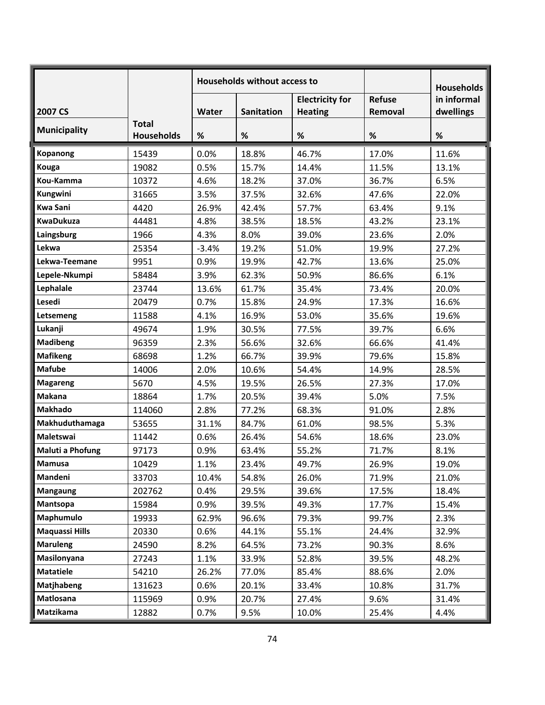|                       |                                   | Households without access to |                   |                                          |                          | <b>Households</b>        |
|-----------------------|-----------------------------------|------------------------------|-------------------|------------------------------------------|--------------------------|--------------------------|
| 2007 CS               |                                   | Water                        | <b>Sanitation</b> | <b>Electricity for</b><br><b>Heating</b> | <b>Refuse</b><br>Removal | in informal<br>dwellings |
| <b>Municipality</b>   | <b>Total</b><br><b>Households</b> | %                            | %                 | $\%$                                     | $\%$                     | $\%$                     |
| <b>Kopanong</b>       | 15439                             | 0.0%                         | 18.8%             | 46.7%                                    | 17.0%                    | 11.6%                    |
| Kouga                 | 19082                             | 0.5%                         | 15.7%             | 14.4%                                    | 11.5%                    | 13.1%                    |
| Kou-Kamma             | 10372                             | 4.6%                         | 18.2%             | 37.0%                                    | 36.7%                    | 6.5%                     |
| Kungwini              | 31665                             | 3.5%                         | 37.5%             | 32.6%                                    | 47.6%                    | 22.0%                    |
| <b>Kwa Sani</b>       | 4420                              | 26.9%                        | 42.4%             | 57.7%                                    | 63.4%                    | 9.1%                     |
| <b>KwaDukuza</b>      | 44481                             | 4.8%                         | 38.5%             | 18.5%                                    | 43.2%                    | 23.1%                    |
| Laingsburg            | 1966                              | 4.3%                         | 8.0%              | 39.0%                                    | 23.6%                    | 2.0%                     |
| Lekwa                 | 25354                             | $-3.4%$                      | 19.2%             | 51.0%                                    | 19.9%                    | 27.2%                    |
| Lekwa-Teemane         | 9951                              | 0.9%                         | 19.9%             | 42.7%                                    | 13.6%                    | 25.0%                    |
| Lepele-Nkumpi         | 58484                             | 3.9%                         | 62.3%             | 50.9%                                    | 86.6%                    | 6.1%                     |
| Lephalale             | 23744                             | 13.6%                        | 61.7%             | 35.4%                                    | 73.4%                    | 20.0%                    |
| Lesedi                | 20479                             | 0.7%                         | 15.8%             | 24.9%                                    | 17.3%                    | 16.6%                    |
| Letsemeng             | 11588                             | 4.1%                         | 16.9%             | 53.0%                                    | 35.6%                    | 19.6%                    |
| Lukanji               | 49674                             | 1.9%                         | 30.5%             | 77.5%                                    | 39.7%                    | 6.6%                     |
| <b>Madibeng</b>       | 96359                             | 2.3%                         | 56.6%             | 32.6%                                    | 66.6%                    | 41.4%                    |
| <b>Mafikeng</b>       | 68698                             | 1.2%                         | 66.7%             | 39.9%                                    | 79.6%                    | 15.8%                    |
| <b>Mafube</b>         | 14006                             | 2.0%                         | 10.6%             | 54.4%                                    | 14.9%                    | 28.5%                    |
| <b>Magareng</b>       | 5670                              | 4.5%                         | 19.5%             | 26.5%                                    | 27.3%                    | 17.0%                    |
| <b>Makana</b>         | 18864                             | 1.7%                         | 20.5%             | 39.4%                                    | 5.0%                     | 7.5%                     |
| <b>Makhado</b>        | 114060                            | 2.8%                         | 77.2%             | 68.3%                                    | 91.0%                    | 2.8%                     |
| Makhuduthamaga        | 53655                             | 31.1%                        | 84.7%             | 61.0%                                    | 98.5%                    | 5.3%                     |
| <b>Maletswai</b>      | 11442                             | 0.6%                         | 26.4%             | 54.6%                                    | 18.6%                    | 23.0%                    |
| Maluti a Phofung      | 97173                             | 0.9%                         | 63.4%             | 55.2%                                    | 71.7%                    | 8.1%                     |
| <b>Mamusa</b>         | 10429                             | 1.1%                         | 23.4%             | 49.7%                                    | 26.9%                    | 19.0%                    |
| Mandeni               | 33703                             | 10.4%                        | 54.8%             | 26.0%                                    | 71.9%                    | 21.0%                    |
| <b>Mangaung</b>       | 202762                            | 0.4%                         | 29.5%             | 39.6%                                    | 17.5%                    | 18.4%                    |
| Mantsopa              | 15984                             | 0.9%                         | 39.5%             | 49.3%                                    | 17.7%                    | 15.4%                    |
| Maphumulo             | 19933                             | 62.9%                        | 96.6%             | 79.3%                                    | 99.7%                    | 2.3%                     |
| <b>Maquassi Hills</b> | 20330                             | 0.6%                         | 44.1%             | 55.1%                                    | 24.4%                    | 32.9%                    |
| <b>Maruleng</b>       | 24590                             | 8.2%                         | 64.5%             | 73.2%                                    | 90.3%                    | 8.6%                     |
| Masilonyana           | 27243                             | 1.1%                         | 33.9%             | 52.8%                                    | 39.5%                    | 48.2%                    |
| <b>Matatiele</b>      | 54210                             | 26.2%                        | 77.0%             | 85.4%                                    | 88.6%                    | 2.0%                     |
| <b>Matjhabeng</b>     | 131623                            | 0.6%                         | 20.1%             | 33.4%                                    | 10.8%                    | 31.7%                    |
| Matlosana             | 115969                            | 0.9%                         | 20.7%             | 27.4%                                    | 9.6%                     | 31.4%                    |
| Matzikama             | 12882                             | 0.7%                         | 9.5%              | 10.0%                                    | 25.4%                    | 4.4%                     |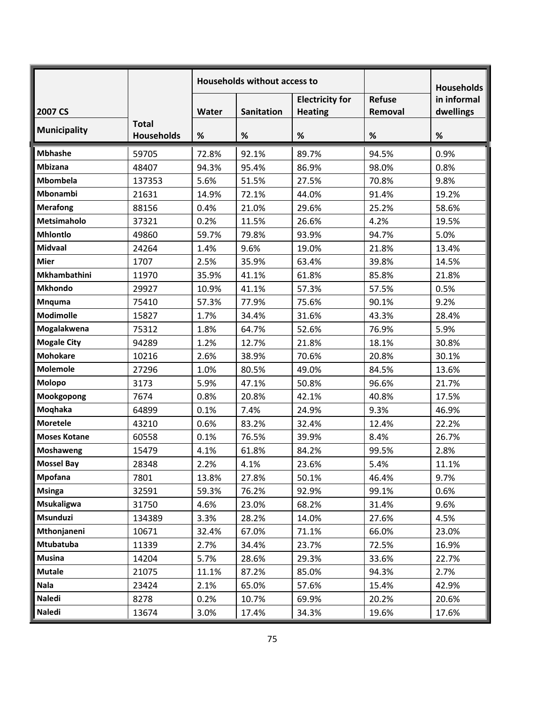|                     |                                   | <b>Households without access to</b> |            |                                          |                          | <b>Households</b>        |
|---------------------|-----------------------------------|-------------------------------------|------------|------------------------------------------|--------------------------|--------------------------|
| 2007 CS             |                                   | Water                               | Sanitation | <b>Electricity for</b><br><b>Heating</b> | <b>Refuse</b><br>Removal | in informal<br>dwellings |
| <b>Municipality</b> | <b>Total</b><br><b>Households</b> | %                                   | $\%$       | %                                        | $\%$                     | $\%$                     |
|                     |                                   |                                     |            |                                          |                          |                          |
| <b>Mbhashe</b>      | 59705                             | 72.8%                               | 92.1%      | 89.7%                                    | 94.5%                    | 0.9%                     |
| <b>Mbizana</b>      | 48407                             | 94.3%                               | 95.4%      | 86.9%                                    | 98.0%                    | 0.8%                     |
| <b>Mbombela</b>     | 137353                            | 5.6%                                | 51.5%      | 27.5%                                    | 70.8%                    | 9.8%                     |
| Mbonambi            | 21631                             | 14.9%                               | 72.1%      | 44.0%                                    | 91.4%                    | 19.2%                    |
| <b>Merafong</b>     | 88156                             | 0.4%                                | 21.0%      | 29.6%                                    | 25.2%                    | 58.6%                    |
| Metsimaholo         | 37321                             | 0.2%                                | 11.5%      | 26.6%                                    | 4.2%                     | 19.5%                    |
| <b>Mhlontlo</b>     | 49860                             | 59.7%                               | 79.8%      | 93.9%                                    | 94.7%                    | 5.0%                     |
| <b>Midvaal</b>      | 24264                             | 1.4%                                | 9.6%       | 19.0%                                    | 21.8%                    | 13.4%                    |
| <b>Mier</b>         | 1707                              | 2.5%                                | 35.9%      | 63.4%                                    | 39.8%                    | 14.5%                    |
| <b>Mkhambathini</b> | 11970                             | 35.9%                               | 41.1%      | 61.8%                                    | 85.8%                    | 21.8%                    |
| <b>Mkhondo</b>      | 29927                             | 10.9%                               | 41.1%      | 57.3%                                    | 57.5%                    | 0.5%                     |
| <b>Mnquma</b>       | 75410                             | 57.3%                               | 77.9%      | 75.6%                                    | 90.1%                    | 9.2%                     |
| <b>Modimolle</b>    | 15827                             | 1.7%                                | 34.4%      | 31.6%                                    | 43.3%                    | 28.4%                    |
| Mogalakwena         | 75312                             | 1.8%                                | 64.7%      | 52.6%                                    | 76.9%                    | 5.9%                     |
| <b>Mogale City</b>  | 94289                             | 1.2%                                | 12.7%      | 21.8%                                    | 18.1%                    | 30.8%                    |
| <b>Mohokare</b>     | 10216                             | 2.6%                                | 38.9%      | 70.6%                                    | 20.8%                    | 30.1%                    |
| <b>Molemole</b>     | 27296                             | 1.0%                                | 80.5%      | 49.0%                                    | 84.5%                    | 13.6%                    |
| Molopo              | 3173                              | 5.9%                                | 47.1%      | 50.8%                                    | 96.6%                    | 21.7%                    |
| Mookgopong          | 7674                              | 0.8%                                | 20.8%      | 42.1%                                    | 40.8%                    | 17.5%                    |
| Moqhaka             | 64899                             | 0.1%                                | 7.4%       | 24.9%                                    | 9.3%                     | 46.9%                    |
| <b>Moretele</b>     | 43210                             | 0.6%                                | 83.2%      | 32.4%                                    | 12.4%                    | 22.2%                    |
| <b>Moses Kotane</b> | 60558                             | 0.1%                                | 76.5%      | 39.9%                                    | 8.4%                     | 26.7%                    |
| Moshaweng           | 15479                             | 4.1%                                | 61.8%      | 84.2%                                    | 99.5%                    | 2.8%                     |
| <b>Mossel Bay</b>   | 28348                             | 2.2%                                | 4.1%       | 23.6%                                    | 5.4%                     | 11.1%                    |
| Mpofana             | 7801                              | 13.8%                               | 27.8%      | 50.1%                                    | 46.4%                    | 9.7%                     |
| <b>Msinga</b>       | 32591                             | 59.3%                               | 76.2%      | 92.9%                                    | 99.1%                    | 0.6%                     |
| <b>Msukaligwa</b>   | 31750                             | 4.6%                                | 23.0%      | 68.2%                                    | 31.4%                    | 9.6%                     |
| Msunduzi            | 134389                            | 3.3%                                | 28.2%      | 14.0%                                    | 27.6%                    | 4.5%                     |
| Mthonjaneni         | 10671                             | 32.4%                               | 67.0%      | 71.1%                                    | 66.0%                    | 23.0%                    |
| Mtubatuba           | 11339                             | 2.7%                                | 34.4%      | 23.7%                                    | 72.5%                    | 16.9%                    |
| <b>Musina</b>       | 14204                             | 5.7%                                | 28.6%      | 29.3%                                    | 33.6%                    | 22.7%                    |
| <b>Mutale</b>       | 21075                             | 11.1%                               | 87.2%      | 85.0%                                    | 94.3%                    | 2.7%                     |
| <b>Nala</b>         | 23424                             | 2.1%                                | 65.0%      | 57.6%                                    | 15.4%                    | 42.9%                    |
| Naledi              | 8278                              | 0.2%                                | 10.7%      | 69.9%                                    | 20.2%                    | 20.6%                    |
| <b>Naledi</b>       | 13674                             | 3.0%                                | 17.4%      | 34.3%                                    | 19.6%                    | 17.6%                    |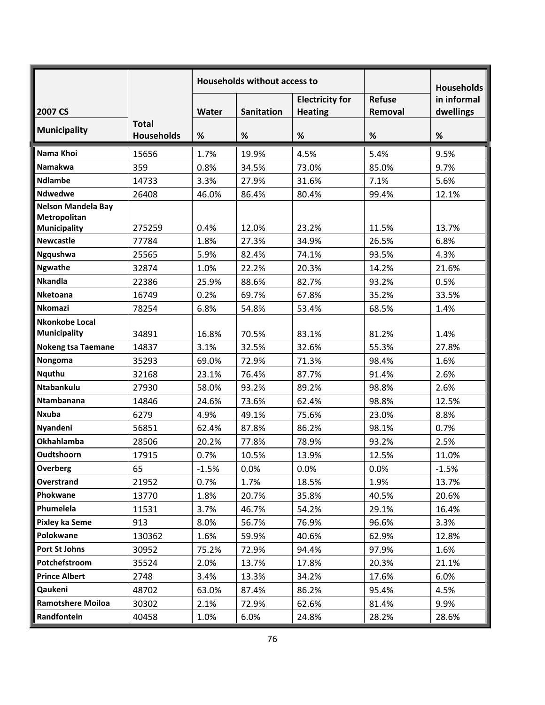|                           |                                   | <b>Households without access to</b> |                   |                                          |                          | <b>Households</b>        |
|---------------------------|-----------------------------------|-------------------------------------|-------------------|------------------------------------------|--------------------------|--------------------------|
| 2007 CS                   |                                   | <b>Water</b>                        | <b>Sanitation</b> | <b>Electricity for</b><br><b>Heating</b> | <b>Refuse</b><br>Removal | in informal<br>dwellings |
| <b>Municipality</b>       | <b>Total</b><br><b>Households</b> | %                                   | $\%$              | %                                        | $\%$                     | %                        |
| Nama Khoi                 | 15656                             | 1.7%                                | 19.9%             | 4.5%                                     | 5.4%                     | 9.5%                     |
| <b>Namakwa</b>            | 359                               | 0.8%                                | 34.5%             | 73.0%                                    | 85.0%                    | 9.7%                     |
| <b>Ndlambe</b>            | 14733                             | 3.3%                                | 27.9%             | 31.6%                                    | 7.1%                     | 5.6%                     |
| <b>Ndwedwe</b>            | 26408                             | 46.0%                               | 86.4%             | 80.4%                                    | 99.4%                    | 12.1%                    |
| <b>Nelson Mandela Bay</b> |                                   |                                     |                   |                                          |                          |                          |
| Metropolitan              |                                   |                                     |                   |                                          |                          |                          |
| Municipality              | 275259                            | 0.4%                                | 12.0%             | 23.2%                                    | 11.5%                    | 13.7%                    |
| <b>Newcastle</b>          | 77784                             | 1.8%                                | 27.3%             | 34.9%                                    | 26.5%                    | 6.8%                     |
| Ngqushwa                  | 25565                             | 5.9%                                | 82.4%             | 74.1%                                    | 93.5%                    | 4.3%                     |
| <b>Ngwathe</b>            | 32874                             | 1.0%                                | 22.2%             | 20.3%                                    | 14.2%                    | 21.6%                    |
| <b>Nkandla</b>            | 22386                             | 25.9%                               | 88.6%             | 82.7%                                    | 93.2%                    | 0.5%                     |
| <b>Nketoana</b>           | 16749                             | 0.2%                                | 69.7%             | 67.8%                                    | 35.2%                    | 33.5%                    |
| <b>Nkomazi</b>            | 78254                             | 6.8%                                | 54.8%             | 53.4%                                    | 68.5%                    | 1.4%                     |
| Nkonkobe Local            |                                   |                                     |                   |                                          |                          |                          |
| <b>Municipality</b>       | 34891                             | 16.8%                               | 70.5%             | 83.1%                                    | 81.2%                    | 1.4%                     |
| <b>Nokeng tsa Taemane</b> | 14837                             | 3.1%                                | 32.5%             | 32.6%                                    | 55.3%                    | 27.8%                    |
| Nongoma                   | 35293                             | 69.0%                               | 72.9%             | 71.3%                                    | 98.4%                    | 1.6%                     |
| <b>Nquthu</b>             | 32168                             | 23.1%                               | 76.4%             | 87.7%                                    | 91.4%                    | 2.6%                     |
| Ntabankulu                | 27930                             | 58.0%                               | 93.2%             | 89.2%                                    | 98.8%                    | 2.6%                     |
| <b>Ntambanana</b>         | 14846                             | 24.6%                               | 73.6%             | 62.4%                                    | 98.8%                    | 12.5%                    |
| <b>Nxuba</b>              | 6279                              | 4.9%                                | 49.1%             | 75.6%                                    | 23.0%                    | 8.8%                     |
| Nyandeni                  | 56851                             | 62.4%                               | 87.8%             | 86.2%                                    | 98.1%                    | 0.7%                     |
| Okhahlamba                | 28506                             | 20.2%                               | 77.8%             | 78.9%                                    | 93.2%                    | 2.5%                     |
| Oudtshoorn                | 17915                             | 0.7%                                | 10.5%             | 13.9%                                    | 12.5%                    | 11.0%                    |
| <b>Overberg</b>           | 65                                | $-1.5%$                             | 0.0%              | 0.0%                                     | 0.0%                     | $-1.5%$                  |
| Overstrand                | 21952                             | 0.7%                                | 1.7%              | 18.5%                                    | 1.9%                     | 13.7%                    |
| Phokwane                  | 13770                             | 1.8%                                | 20.7%             | 35.8%                                    | 40.5%                    | 20.6%                    |
| Phumelela                 | 11531                             | 3.7%                                | 46.7%             | 54.2%                                    | 29.1%                    | 16.4%                    |
| Pixley ka Seme            | 913                               | 8.0%                                | 56.7%             | 76.9%                                    | 96.6%                    | 3.3%                     |
| Polokwane                 | 130362                            | 1.6%                                | 59.9%             | 40.6%                                    | 62.9%                    | 12.8%                    |
| Port St Johns             | 30952                             | 75.2%                               | 72.9%             | 94.4%                                    | 97.9%                    | 1.6%                     |
| Potchefstroom             | 35524                             | 2.0%                                | 13.7%             | 17.8%                                    | 20.3%                    | 21.1%                    |
| <b>Prince Albert</b>      | 2748                              | 3.4%                                | 13.3%             | 34.2%                                    | 17.6%                    | 6.0%                     |
| Qaukeni                   | 48702                             | 63.0%                               | 87.4%             | 86.2%                                    | 95.4%                    | 4.5%                     |
| <b>Ramotshere Moiloa</b>  | 30302                             | 2.1%                                | 72.9%             | 62.6%                                    | 81.4%                    | 9.9%                     |
| Randfontein               | 40458                             | 1.0%                                | 6.0%              | 24.8%                                    | 28.2%                    | 28.6%                    |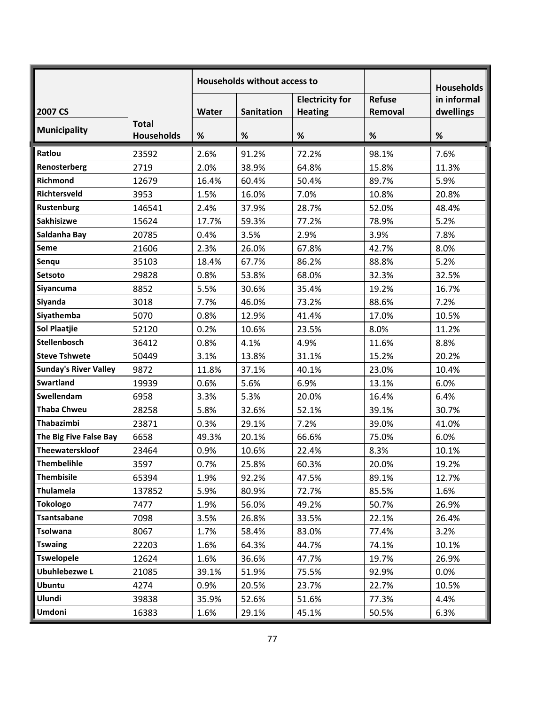|                              |                                   | <b>Households without access to</b> |                   |                                          |                          | <b>Households</b>        |
|------------------------------|-----------------------------------|-------------------------------------|-------------------|------------------------------------------|--------------------------|--------------------------|
| 2007 CS                      |                                   | Water                               | <b>Sanitation</b> | <b>Electricity for</b><br><b>Heating</b> | <b>Refuse</b><br>Removal | in informal<br>dwellings |
| <b>Municipality</b>          | <b>Total</b><br><b>Households</b> | %                                   | $\%$              | $\%$                                     | $\%$                     | $\%$                     |
| Ratlou                       | 23592                             | 2.6%                                | 91.2%             | 72.2%                                    | 98.1%                    | 7.6%                     |
| Renosterberg                 | 2719                              | 2.0%                                | 38.9%             | 64.8%                                    | 15.8%                    | 11.3%                    |
| Richmond                     | 12679                             | 16.4%                               | 60.4%             | 50.4%                                    | 89.7%                    | 5.9%                     |
| Richtersveld                 | 3953                              | 1.5%                                | 16.0%             | 7.0%                                     | 10.8%                    | 20.8%                    |
| Rustenburg                   | 146541                            | 2.4%                                | 37.9%             | 28.7%                                    | 52.0%                    | 48.4%                    |
| Sakhisizwe                   | 15624                             | 17.7%                               | 59.3%             | 77.2%                                    | 78.9%                    | 5.2%                     |
| Saldanha Bay                 | 20785                             | 0.4%                                | 3.5%              | 2.9%                                     | 3.9%                     | 7.8%                     |
| Seme                         | 21606                             | 2.3%                                | 26.0%             | 67.8%                                    | 42.7%                    | 8.0%                     |
| Senqu                        | 35103                             | 18.4%                               | 67.7%             | 86.2%                                    | 88.8%                    | 5.2%                     |
| Setsoto                      | 29828                             | 0.8%                                | 53.8%             | 68.0%                                    | 32.3%                    | 32.5%                    |
| Siyancuma                    | 8852                              | 5.5%                                | 30.6%             | 35.4%                                    | 19.2%                    | 16.7%                    |
| Siyanda                      | 3018                              | 7.7%                                | 46.0%             | 73.2%                                    | 88.6%                    | 7.2%                     |
| Siyathemba                   | 5070                              | 0.8%                                | 12.9%             | 41.4%                                    | 17.0%                    | 10.5%                    |
| <b>Sol Plaatjie</b>          | 52120                             | 0.2%                                | 10.6%             | 23.5%                                    | 8.0%                     | 11.2%                    |
| <b>Stellenbosch</b>          | 36412                             | 0.8%                                | 4.1%              | 4.9%                                     | 11.6%                    | 8.8%                     |
| <b>Steve Tshwete</b>         | 50449                             | 3.1%                                | 13.8%             | 31.1%                                    | 15.2%                    | 20.2%                    |
| <b>Sunday's River Valley</b> | 9872                              | 11.8%                               | 37.1%             | 40.1%                                    | 23.0%                    | 10.4%                    |
| <b>Swartland</b>             | 19939                             | 0.6%                                | 5.6%              | 6.9%                                     | 13.1%                    | 6.0%                     |
| Swellendam                   | 6958                              | 3.3%                                | 5.3%              | 20.0%                                    | 16.4%                    | 6.4%                     |
| <b>Thaba Chweu</b>           | 28258                             | 5.8%                                | 32.6%             | 52.1%                                    | 39.1%                    | 30.7%                    |
| Thabazimbi                   | 23871                             | 0.3%                                | 29.1%             | 7.2%                                     | 39.0%                    | 41.0%                    |
| The Big Five False Bay       | 6658                              | 49.3%                               | 20.1%             | 66.6%                                    | 75.0%                    | 6.0%                     |
| Theewaterskloof              | 23464                             | 0.9%                                | 10.6%             | 22.4%                                    | 8.3%                     | 10.1%                    |
| Thembelihle                  | 3597                              | 0.7%                                | 25.8%             | 60.3%                                    | 20.0%                    | 19.2%                    |
| <b>Thembisile</b>            | 65394                             | 1.9%                                | 92.2%             | 47.5%                                    | 89.1%                    | 12.7%                    |
| <b>Thulamela</b>             | 137852                            | 5.9%                                | 80.9%             | 72.7%                                    | 85.5%                    | 1.6%                     |
| <b>Tokologo</b>              | 7477                              | 1.9%                                | 56.0%             | 49.2%                                    | 50.7%                    | 26.9%                    |
| Tsantsabane                  | 7098                              | 3.5%                                | 26.8%             | 33.5%                                    | 22.1%                    | 26.4%                    |
| Tsolwana                     | 8067                              | 1.7%                                | 58.4%             | 83.0%                                    | 77.4%                    | 3.2%                     |
| <b>Tswaing</b>               | 22203                             | 1.6%                                | 64.3%             | 44.7%                                    | 74.1%                    | 10.1%                    |
| <b>Tswelopele</b>            | 12624                             | 1.6%                                | 36.6%             | 47.7%                                    | 19.7%                    | 26.9%                    |
| <b>Ubuhlebezwe L</b>         | 21085                             | 39.1%                               | 51.9%             | 75.5%                                    | 92.9%                    | 0.0%                     |
| <b>Ubuntu</b>                | 4274                              | 0.9%                                | 20.5%             | 23.7%                                    | 22.7%                    | 10.5%                    |
| Ulundi                       | 39838                             | 35.9%                               | 52.6%             | 51.6%                                    | 77.3%                    | 4.4%                     |
| <b>Umdoni</b>                | 16383                             | 1.6%                                | 29.1%             | 45.1%                                    | 50.5%                    | 6.3%                     |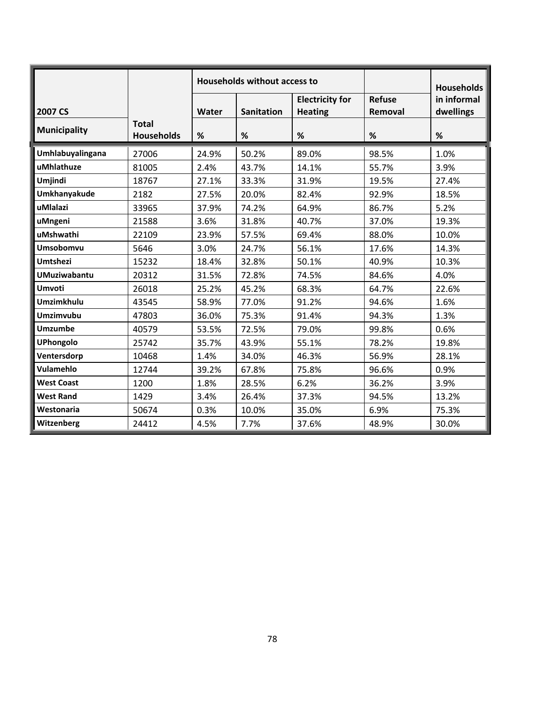|                     |                                   |       | Households without access to |                                          | <b>Households</b>        |                          |
|---------------------|-----------------------------------|-------|------------------------------|------------------------------------------|--------------------------|--------------------------|
| 2007 CS             |                                   | Water | <b>Sanitation</b>            | <b>Electricity for</b><br><b>Heating</b> | <b>Refuse</b><br>Removal | in informal<br>dwellings |
| <b>Municipality</b> | <b>Total</b><br><b>Households</b> | %     | %                            | %                                        | %                        | %                        |
| Umhlabuyalingana    | 27006                             | 24.9% | 50.2%                        | 89.0%                                    | 98.5%                    | 1.0%                     |
| uMhlathuze          | 81005                             | 2.4%  | 43.7%                        | 14.1%                                    | 55.7%                    | 3.9%                     |
| Umjindi             | 18767                             | 27.1% | 33.3%                        | 31.9%                                    | 19.5%                    | 27.4%                    |
| Umkhanyakude        | 2182                              | 27.5% | 20.0%                        | 82.4%                                    | 92.9%                    | 18.5%                    |
| uMlalazi            | 33965                             | 37.9% | 74.2%                        | 64.9%                                    | 86.7%                    | 5.2%                     |
| uMngeni             | 21588                             | 3.6%  | 31.8%                        | 40.7%                                    | 37.0%                    | 19.3%                    |
| uMshwathi           | 22109                             | 23.9% | 57.5%                        | 69.4%                                    | 88.0%                    | 10.0%                    |
| Umsobomvu           | 5646                              | 3.0%  | 24.7%                        | 56.1%                                    | 17.6%                    | 14.3%                    |
| <b>Umtshezi</b>     | 15232                             | 18.4% | 32.8%                        | 50.1%                                    | 40.9%                    | 10.3%                    |
| <b>UMuziwabantu</b> | 20312                             | 31.5% | 72.8%                        | 74.5%                                    | 84.6%                    | 4.0%                     |
| <b>Umvoti</b>       | 26018                             | 25.2% | 45.2%                        | 68.3%                                    | 64.7%                    | 22.6%                    |
| <b>Umzimkhulu</b>   | 43545                             | 58.9% | 77.0%                        | 91.2%                                    | 94.6%                    | 1.6%                     |
| <b>Umzimvubu</b>    | 47803                             | 36.0% | 75.3%                        | 91.4%                                    | 94.3%                    | 1.3%                     |
| <b>Umzumbe</b>      | 40579                             | 53.5% | 72.5%                        | 79.0%                                    | 99.8%                    | 0.6%                     |
| <b>UPhongolo</b>    | 25742                             | 35.7% | 43.9%                        | 55.1%                                    | 78.2%                    | 19.8%                    |
| Ventersdorp         | 10468                             | 1.4%  | 34.0%                        | 46.3%                                    | 56.9%                    | 28.1%                    |
| Vulamehlo           | 12744                             | 39.2% | 67.8%                        | 75.8%                                    | 96.6%                    | 0.9%                     |
| <b>West Coast</b>   | 1200                              | 1.8%  | 28.5%                        | 6.2%                                     | 36.2%                    | 3.9%                     |
| <b>West Rand</b>    | 1429                              | 3.4%  | 26.4%                        | 37.3%                                    | 94.5%                    | 13.2%                    |
| Westonaria          | 50674                             | 0.3%  | 10.0%                        | 35.0%                                    | 6.9%                     | 75.3%                    |
| Witzenberg          | 24412                             | 4.5%  | 7.7%                         | 37.6%                                    | 48.9%                    | 30.0%                    |